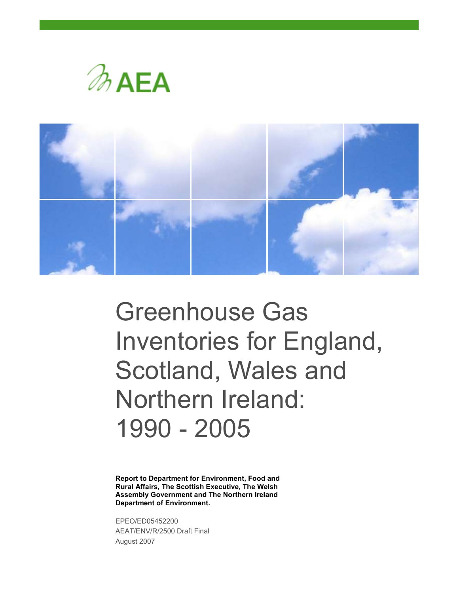



# Greenhouse Gas Inventories for England, Scotland, Wales and Northern Ireland: 1990 - 2005

Report to Department for Environment, Food and Rural Affairs, The Scottish Executive, The Welsh Assembly Government and The Northern Ireland Department of Environment.

EPEO/ED05452200 AEAT/ENV/R/2500 Draft Final August 2007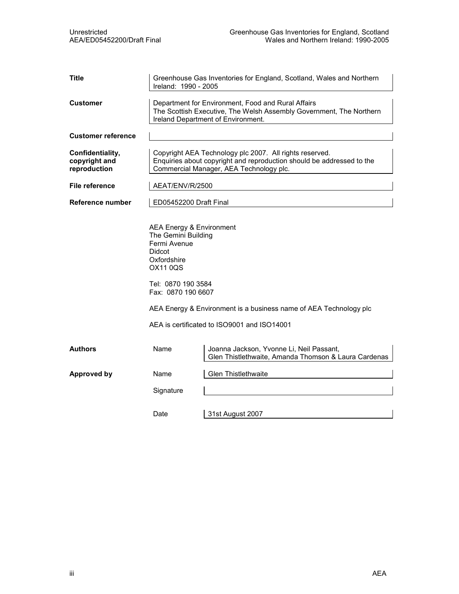| <b>Title</b>                                      | Ireland: 1990 - 2005                                                                                                                                    | Greenhouse Gas Inventories for England, Scotland, Wales and Northern                                                                                                        |
|---------------------------------------------------|---------------------------------------------------------------------------------------------------------------------------------------------------------|-----------------------------------------------------------------------------------------------------------------------------------------------------------------------------|
| <b>Customer</b>                                   |                                                                                                                                                         | Department for Environment, Food and Rural Affairs<br>The Scottish Executive, The Welsh Assembly Government, The Northern<br>Ireland Department of Environment.             |
| <b>Customer reference</b>                         |                                                                                                                                                         |                                                                                                                                                                             |
| Confidentiality,<br>copyright and<br>reproduction |                                                                                                                                                         | Copyright AEA Technology plc 2007. All rights reserved.<br>Enquiries about copyright and reproduction should be addressed to the<br>Commercial Manager, AEA Technology plc. |
| File reference                                    | AEAT/ENV/R/2500                                                                                                                                         |                                                                                                                                                                             |
| Reference number                                  | ED05452200 Draft Final                                                                                                                                  |                                                                                                                                                                             |
|                                                   | AEA Energy & Environment<br>The Gemini Building<br>Fermi Avenue<br><b>Didcot</b><br>Oxfordshire<br>OX11 0QS<br>Tel: 0870 190 3584<br>Fax: 0870 190 6607 | AEA Energy & Environment is a business name of AEA Technology plc<br>AEA is certificated to ISO9001 and ISO14001                                                            |
| <b>Authors</b>                                    | Name                                                                                                                                                    | Joanna Jackson, Yvonne Li, Neil Passant,<br>Glen Thistlethwaite, Amanda Thomson & Laura Cardenas                                                                            |
| <b>Approved by</b>                                | Name                                                                                                                                                    | <b>Glen Thistlethwaite</b>                                                                                                                                                  |
|                                                   | Signature                                                                                                                                               |                                                                                                                                                                             |
|                                                   | Date                                                                                                                                                    | 31st August 2007                                                                                                                                                            |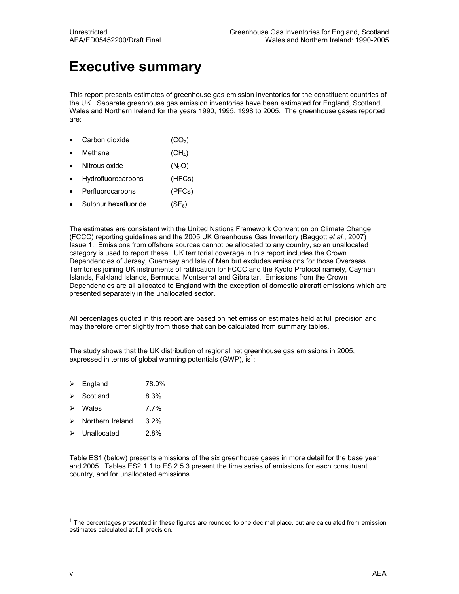## Executive summary

This report presents estimates of greenhouse gas emission inventories for the constituent countries of the UK. Separate greenhouse gas emission inventories have been estimated for England, Scotland, Wales and Northern Ireland for the years 1990, 1995, 1998 to 2005. The greenhouse gases reported are:

- Carbon dioxide  $(CO_2)$
- Methane  $(CH_4)$
- Nitrous oxide  $(N_2O)$
- Hydrofluorocarbons (HFCs)
- Perfluorocarbons (PFCs)
- Sulphur hexafluoride  $(SF_6)$

The estimates are consistent with the United Nations Framework Convention on Climate Change (FCCC) reporting guidelines and the 2005 UK Greenhouse Gas Inventory (Baggott et al., 2007) Issue 1. Emissions from offshore sources cannot be allocated to any country, so an unallocated category is used to report these. UK territorial coverage in this report includes the Crown Dependencies of Jersey, Guernsey and Isle of Man but excludes emissions for those Overseas Territories joining UK instruments of ratification for FCCC and the Kyoto Protocol namely, Cayman Islands, Falkland Islands, Bermuda, Montserrat and Gibraltar. Emissions from the Crown Dependencies are all allocated to England with the exception of domestic aircraft emissions which are presented separately in the unallocated sector.

All percentages quoted in this report are based on net emission estimates held at full precision and may therefore differ slightly from those that can be calculated from summary tables.

The study shows that the UK distribution of regional net greenhouse gas emissions in 2005, expressed in terms of global warming potentials (GWP), is<sup>1</sup>:

- $\triangleright$  England 78.0%
- $\triangleright$  Scotland 8.3%
- $\triangleright$  Wales 7.7%
- $\triangleright$  Northern Ireland 3.2%
- Unallocated 2.8%

Table ES1 (below) presents emissions of the six greenhouse gases in more detail for the base year and 2005. Tables ES2.1.1 to ES 2.5.3 present the time series of emissions for each constituent country, and for unallocated emissions.

 1 The percentages presented in these figures are rounded to one decimal place, but are calculated from emission estimates calculated at full precision.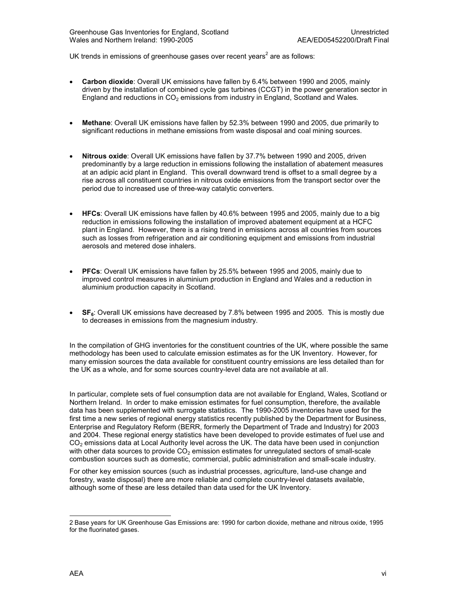UK trends in emissions of greenhouse gases over recent years<sup>2</sup> are as follows:

- Carbon dioxide: Overall UK emissions have fallen by 6.4% between 1990 and 2005, mainly driven by the installation of combined cycle gas turbines (CCGT) in the power generation sector in England and reductions in  $CO<sub>2</sub>$  emissions from industry in England, Scotland and Wales.
- Methane: Overall UK emissions have fallen by 52.3% between 1990 and 2005, due primarily to significant reductions in methane emissions from waste disposal and coal mining sources.
- Nitrous oxide: Overall UK emissions have fallen by 37.7% between 1990 and 2005, driven predominantly by a large reduction in emissions following the installation of abatement measures at an adipic acid plant in England. This overall downward trend is offset to a small degree by a rise across all constituent countries in nitrous oxide emissions from the transport sector over the period due to increased use of three-way catalytic converters.
- HFCs: Overall UK emissions have fallen by 40.6% between 1995 and 2005, mainly due to a big reduction in emissions following the installation of improved abatement equipment at a HCFC plant in England. However, there is a rising trend in emissions across all countries from sources such as losses from refrigeration and air conditioning equipment and emissions from industrial aerosols and metered dose inhalers.
- PFCs: Overall UK emissions have fallen by 25.5% between 1995 and 2005, mainly due to improved control measures in aluminium production in England and Wales and a reduction in aluminium production capacity in Scotland.
- SF<sub>6</sub>: Overall UK emissions have decreased by 7.8% between 1995 and 2005. This is mostly due to decreases in emissions from the magnesium industry.

In the compilation of GHG inventories for the constituent countries of the UK, where possible the same methodology has been used to calculate emission estimates as for the UK Inventory. However, for many emission sources the data available for constituent country emissions are less detailed than for the UK as a whole, and for some sources country-level data are not available at all.

In particular, complete sets of fuel consumption data are not available for England, Wales, Scotland or Northern Ireland. In order to make emission estimates for fuel consumption, therefore, the available data has been supplemented with surrogate statistics. The 1990-2005 inventories have used for the first time a new series of regional energy statistics recently published by the Department for Business, Enterprise and Regulatory Reform (BERR, formerly the Department of Trade and Industry) for 2003 and 2004. These regional energy statistics have been developed to provide estimates of fuel use and CO<sub>2</sub> emissions data at Local Authority level across the UK. The data have been used in conjunction with other data sources to provide  $CO<sub>2</sub>$  emission estimates for unregulated sectors of small-scale combustion sources such as domestic, commercial, public administration and small-scale industry.

For other key emission sources (such as industrial processes, agriculture, land-use change and forestry, waste disposal) there are more reliable and complete country-level datasets available, although some of these are less detailed than data used for the UK Inventory.

1

<sup>2</sup> Base years for UK Greenhouse Gas Emissions are: 1990 for carbon dioxide, methane and nitrous oxide, 1995 for the fluorinated gases.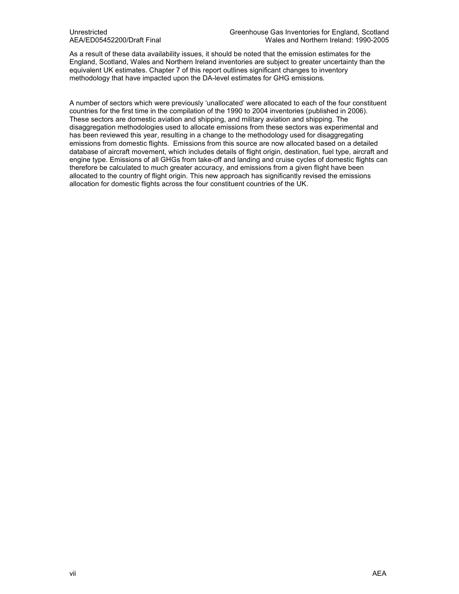As a result of these data availability issues, it should be noted that the emission estimates for the England, Scotland, Wales and Northern Ireland inventories are subject to greater uncertainty than the equivalent UK estimates. Chapter 7 of this report outlines significant changes to inventory methodology that have impacted upon the DA-level estimates for GHG emissions.

A number of sectors which were previously 'unallocated' were allocated to each of the four constituent countries for the first time in the compilation of the 1990 to 2004 inventories (published in 2006). These sectors are domestic aviation and shipping, and military aviation and shipping. The disaggregation methodologies used to allocate emissions from these sectors was experimental and has been reviewed this year, resulting in a change to the methodology used for disaggregating emissions from domestic flights. Emissions from this source are now allocated based on a detailed database of aircraft movement, which includes details of flight origin, destination, fuel type, aircraft and engine type. Emissions of all GHGs from take-off and landing and cruise cycles of domestic flights can therefore be calculated to much greater accuracy, and emissions from a given flight have been allocated to the country of flight origin. This new approach has significantly revised the emissions allocation for domestic flights across the four constituent countries of the UK.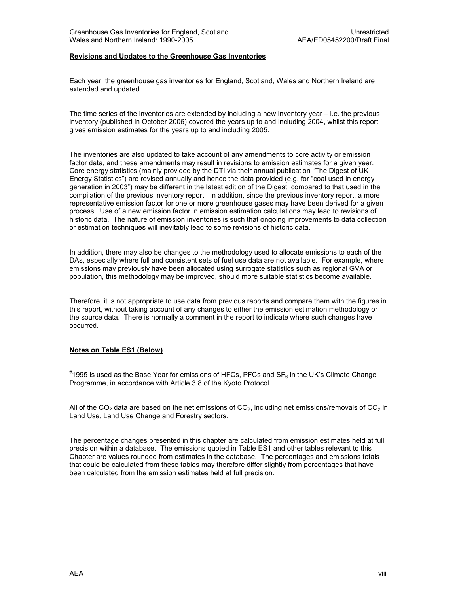#### Revisions and Updates to the Greenhouse Gas Inventories

Each year, the greenhouse gas inventories for England, Scotland, Wales and Northern Ireland are extended and updated.

The time series of the inventories are extended by including a new inventory year – i.e. the previous inventory (published in October 2006) covered the years up to and including 2004, whilst this report gives emission estimates for the years up to and including 2005.

The inventories are also updated to take account of any amendments to core activity or emission factor data, and these amendments may result in revisions to emission estimates for a given year. Core energy statistics (mainly provided by the DTI via their annual publication "The Digest of UK Energy Statistics") are revised annually and hence the data provided (e.g. for "coal used in energy generation in 2003") may be different in the latest edition of the Digest, compared to that used in the compilation of the previous inventory report. In addition, since the previous inventory report, a more representative emission factor for one or more greenhouse gases may have been derived for a given process. Use of a new emission factor in emission estimation calculations may lead to revisions of historic data. The nature of emission inventories is such that ongoing improvements to data collection or estimation techniques will inevitably lead to some revisions of historic data.

In addition, there may also be changes to the methodology used to allocate emissions to each of the DAs, especially where full and consistent sets of fuel use data are not available. For example, where emissions may previously have been allocated using surrogate statistics such as regional GVA or population, this methodology may be improved, should more suitable statistics become available.

Therefore, it is not appropriate to use data from previous reports and compare them with the figures in this report, without taking account of any changes to either the emission estimation methodology or the source data. There is normally a comment in the report to indicate where such changes have occurred.

#### Notes on Table ES1 (Below)

 $^{\text{\#}}$ 1995 is used as the Base Year for emissions of HFCs, PFCs and SF $_6$  in the UK's Climate Change Programme, in accordance with Article 3.8 of the Kyoto Protocol.

All of the CO<sub>2</sub> data are based on the net emissions of CO<sub>2</sub>, including net emissions/removals of CO<sub>2</sub> in Land Use, Land Use Change and Forestry sectors.

The percentage changes presented in this chapter are calculated from emission estimates held at full precision within a database. The emissions quoted in Table ES1 and other tables relevant to this Chapter are values rounded from estimates in the database. The percentages and emissions totals that could be calculated from these tables may therefore differ slightly from percentages that have been calculated from the emission estimates held at full precision.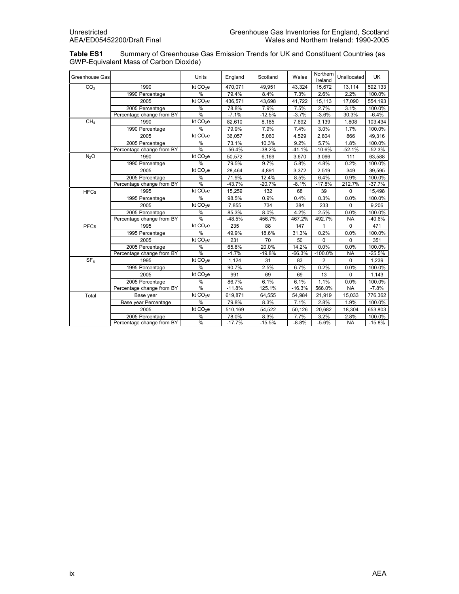Table ES1 Summary of Greenhouse Gas Emission Trends for UK and Constituent Countries (as GWP-Equivalent Mass of Carbon Dioxide)

| Greenhouse Gas   |                           | <b>Units</b>         | England  | Scotland | Wales    | Northern<br>Ireland | Unallocated | <b>UK</b> |
|------------------|---------------------------|----------------------|----------|----------|----------|---------------------|-------------|-----------|
| CO <sub>2</sub>  | 1990                      | kt CO <sub>2</sub> e | 470.071  | 49,951   | 43,324   | 15,672              | 13,114      | 592,133   |
|                  | 1990 Percentage           | %                    | 79.4%    | 8.4%     | 7.3%     | 2.6%                | 2.2%        | 100.0%    |
|                  | 2005                      | kt CO <sub>2</sub> e | 436,571  | 43,698   | 41,722   | 15,113              | 17,090      | 554,193   |
|                  | 2005 Percentage           | %                    | 78.8%    | 7.9%     | 7.5%     | 2.7%                | 3.1%        | 100.0%    |
|                  | Percentage change from BY | $\frac{0}{6}$        | $-7.1%$  | $-12.5%$ | $-3.7%$  | $-3.6%$             | 30.3%       | $-6.4%$   |
| CH <sub>a</sub>  | 1990                      | kt $CO2e$            | 82,610   | 8,185    | 7,692    | 3,139               | 1,808       | 103,434   |
|                  | 1990 Percentage           | %                    | 79.9%    | 7.9%     | 7.4%     | 3.0%                | 1.7%        | 100.0%    |
|                  | 2005                      | kt CO <sub>2</sub> e | 36,057   | 5,060    | 4,529    | 2,804               | 866         | 49,316    |
|                  | 2005 Percentage           | %                    | 73.1%    | 10.3%    | 9.2%     | 5.7%                | 1.8%        | 100.0%    |
|                  | Percentage change from BY | $\frac{0}{0}$        | $-56.4%$ | $-38.2%$ | $-41.1%$ | $-10.6%$            | $-52.1%$    | $-52.3%$  |
| N <sub>2</sub> O | 1990                      | kt $CO2e$            | 50,572   | 6,169    | 3,670    | 3,066               | 111         | 63,588    |
|                  | 1990 Percentage           | $\frac{0}{0}$        | 79.5%    | 9.7%     | 5.8%     | 4.8%                | 0.2%        | 100.0%    |
|                  | 2005                      | kt CO <sub>2</sub> e | 28,464   | 4,891    | 3,372    | 2,519               | 349         | 39,595    |
|                  | 2005 Percentage           | $\%$                 | 71.9%    | 12.4%    | 8.5%     | 6.4%                | 0.9%        | 100.0%    |
|                  | Percentage change from BY | $\frac{0}{2}$        | $-43.7%$ | $-20.7%$ | $-8.1%$  | $-17.8%$            | 212.7%      | $-37.7%$  |
| <b>HFCs</b>      | 1995                      | kt $CO2e$            | 15,259   | 132      | 68       | 39                  | $\mathbf 0$ | 15,498    |
|                  | 1995 Percentage           | %                    | 98.5%    | 0.9%     | 0.4%     | 0.3%                | 0.0%        | 100.0%    |
|                  | 2005                      | kt CO <sub>2</sub> e | 7,855    | 734      | 384      | 233                 | $\mathbf 0$ | 9,206     |
|                  | 2005 Percentage           | %                    | 85.3%    | 8.0%     | 4.2%     | 2.5%                | 0.0%        | 100.0%    |
|                  | Percentage change from BY | %                    | $-48.5%$ | 456.7%   | 467.2%   | 492.7%              | <b>NA</b>   | $-40.6%$  |
| PFCs             | 1995                      | kt CO <sub>2</sub> e | 235      | 88       | 147      | 1                   | $\mathbf 0$ | 471       |
|                  | 1995 Percentage           | $\%$                 | 49.9%    | 18.6%    | 31.3%    | 0.2%                | 0.0%        | 100.0%    |
|                  | 2005                      | kt $CO2e$            | 231      | 70       | 50       | 0                   | $\mathbf 0$ | 351       |
|                  | 2005 Percentage           | %                    | 65.8%    | 20.0%    | 14.2%    | 0.0%                | 0.0%        | 100.0%    |
|                  | Percentage change from BY | $\frac{0}{0}$        | $-1.7%$  | $-19.8%$ | $-66.3%$ | $-100.0%$           | <b>NA</b>   | $-25.5%$  |
| SF <sub>6</sub>  | 1995                      | kt $CO2e$            | 1,124    | 31       | 83       | 2                   | $\mathbf 0$ | 1,239     |
|                  | 1995 Percentage           | %                    | 90.7%    | 2.5%     | 6.7%     | 0.2%                | 0.0%        | 100.0%    |
|                  | 2005                      | kt $CO2e$            | 991      | 69       | 69       | 13                  | 0           | 1,143     |
|                  | 2005 Percentage           | %                    | 86.7%    | 6.1%     | 6.1%     | 1.1%                | 0.0%        | 100.0%    |
|                  | Percentage change from BY | $\frac{0}{0}$        | $-11.8%$ | 125.1%   | $-16.3%$ | 566.0%              | <b>NA</b>   | $-7.8%$   |
| Total            | Base year                 | kt $CO2e$            | 619.871  | 64,555   | 54.984   | 21,919              | 15.033      | 776,362   |
|                  | Base year Percentage      | %                    | 79.8%    | 8.3%     | 7.1%     | 2.8%                | 1.9%        | 100.0%    |
|                  | 2005                      | kt CO <sub>2</sub> e | 510,169  | 54,522   | 50,126   | 20,682              | 18,304      | 653,803   |
|                  | 2005 Percentage           | %                    | 78.0%    | 8.3%     | 7.7%     | 3.2%                | 2.8%        | 100.0%    |
|                  | Percentage change from BY | %                    | $-17.7%$ | $-15.5%$ | $-8.8%$  | $-5.6%$             | <b>NA</b>   | $-15.8%$  |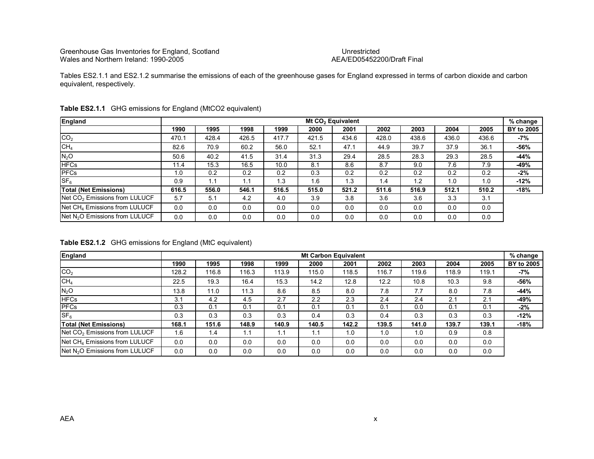## AEA/ED05452200/Draft Final

Tables ES2.1.1 and ES2.1.2 summarise the emissions of each of the greenhouse gases for England expressed in terms of carbon dioxide and carbon equivalent, respectively.

| England                                    |       |       |       |       |       | Mt CO <sub>2</sub> Equivalent |       |       |       |       | % change          |
|--------------------------------------------|-------|-------|-------|-------|-------|-------------------------------|-------|-------|-------|-------|-------------------|
|                                            | 1990  | 1995  | 1998  | 1999  | 2000  | 2001                          | 2002  | 2003  | 2004  | 2005  | <b>BY to 2005</b> |
| CO <sub>2</sub>                            | 470.1 | 428.4 | 426.5 | 417.7 | 421.5 | 434.6                         | 428.0 | 438.6 | 436.0 | 436.6 | -7%               |
| CH <sub>4</sub>                            | 82.6  | 70.9  | 60.2  | 56.0  | 52.1  | 47.1                          | 44.9  | 39.7  | 37.9  | 36.1  | -56%              |
| N <sub>2</sub> O                           | 50.6  | 40.2  | 41.5  | 31.4  | 31.3  | 29.4                          | 28.5  | 28.3  | 29.3  | 28.5  | $-44%$            |
| <b>HFCs</b>                                | 11.4  | 15.3  | 16.5  | 10.0  | 8.1   | 8.6                           | 8.7   | 9.0   | 7.6   | 7.9   | -49%              |
| <b>PFCs</b>                                | 1.0   | 0.2   | 0.2   | 0.2   | 0.3   | 0.2                           | 0.2   | 0.2   | 0.2   | 0.2   | -2%               |
| SF <sub>6</sub>                            | 0.9   | 1.1   | 1.1   | 1.3   | 1.6   | 1.3                           | 1.4   | 1.2   | 1.0   | 1.0   | -12%              |
| <b>Total (Net Emissions)</b>               | 616.5 | 556.0 | 546.1 | 516.5 | 515.0 | 521.2                         | 511.6 | 516.9 | 512.1 | 510.2 | -18%              |
| Net CO <sub>2</sub> Emissions from LULUCF  | 5.7   | 5.1   | 4.2   | 4.0   | 3.9   | 3.8                           | 3.6   | 3.6   | 3.3   | 3.1   |                   |
| Net CH <sub>4</sub> Emissions from LULUCF  | 0.0   | 0.0   | 0.0   | 0.0   | 0.0   | 0.0                           | 0.0   | 0.0   | 0.0   | 0.0   |                   |
| Net N <sub>2</sub> O Emissions from LULUCF | 0.0   | 0.0   | 0.0   | 0.0   | 0.0   | 0.0                           | 0.0   | 0.0   | 0.0   | 0.0   |                   |

#### Table ES2.1.1 GHG emissions for England (MtCO2 equivalent)

Table ES2.1.2 GHG emissions for England (MtC equivalent)

| England                                    |       | <b>Mt Carbon Equivalent</b> |       |       |       |       |       |       |       |       |                   |  |  |  |
|--------------------------------------------|-------|-----------------------------|-------|-------|-------|-------|-------|-------|-------|-------|-------------------|--|--|--|
|                                            | 1990  | 1995                        | 1998  | 1999  | 2000  | 2001  | 2002  | 2003  | 2004  | 2005  | <b>BY to 2005</b> |  |  |  |
| CO <sub>2</sub>                            | 128.2 | 116.8                       | 116.3 | 113.9 | 115.0 | 118.5 | 116.7 | 119.6 | 118.9 | 119.1 | -7%               |  |  |  |
| CH <sub>4</sub>                            | 22.5  | 19.3                        | 16.4  | 15.3  | 14.2  | 12.8  | 12.2  | 10.8  | 10.3  | 9.8   | $-56%$            |  |  |  |
| $N_2O$                                     | 13.8  | 11.0                        | 11.3  | 8.6   | 8.5   | 8.0   | 7.8   | 7.7   | 8.0   | 7.8   | $-44%$            |  |  |  |
| <b>HFCs</b>                                | 3.1   | 4.2                         | 4.5   | 2.7   | 2.2   | 2.3   | 2.4   | 2.4   | 2.1   | 2.1   | -49%              |  |  |  |
| PFCs                                       | 0.3   | 0.1                         | 0.1   | 0.1   | 0.1   | 0.1   | 0.1   | 0.0   | 0.1   | 0.1   | $-2%$             |  |  |  |
| SF <sub>6</sub>                            | 0.3   | 0.3                         | 0.3   | 0.3   | 0.4   | 0.3   | 0.4   | 0.3   | 0.3   | 0.3   | $-12%$            |  |  |  |
| <b>Total (Net Emissions)</b>               | 168.1 | 151.6                       | 148.9 | 140.9 | 140.5 | 142.2 | 139.5 | 141.0 | 139.7 | 139.1 | $-18%$            |  |  |  |
| Net CO <sub>2</sub> Emissions from LULUCF  | 1.6   | 1.4                         | 1.1   | 1.1   | 1.1   | 1.0   | 1.0   | 1.0   | 0.9   | 0.8   |                   |  |  |  |
| Net CH <sub>4</sub> Emissions from LULUCF  | 0.0   | 0.0                         | 0.0   | 0.0   | 0.0   | 0.0   | 0.0   | 0.0   | 0.0   | 0.0   |                   |  |  |  |
| Net N <sub>2</sub> O Emissions from LULUCF | 0.0   | 0.0                         | 0.0   | 0.0   | 0.0   | 0.0   | 0.0   | 0.0   | 0.0   | 0.0   |                   |  |  |  |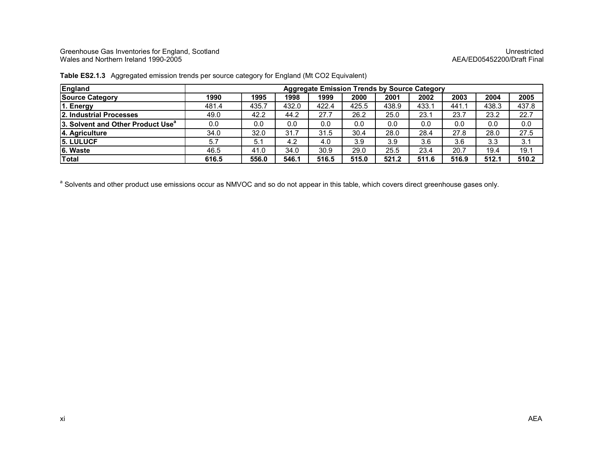Greenhouse Gas Inventories for England, Scotland Unrestricted Wales and Northern Ireland 1990-2005 AEA/ED05452200/Draft Final

| England                                       |       |       |       | <b>Aggregate Emission Trends by Source Category</b> |       |       |       |        |       |       |
|-----------------------------------------------|-------|-------|-------|-----------------------------------------------------|-------|-------|-------|--------|-------|-------|
| <b>Source Category</b>                        | 1990  | 1995  | 1998  | 1999                                                | 2000  | 2001  | 2002  | 2003   | 2004  | 2005  |
| 1. Energy                                     | 481.4 | 435.7 | 432.0 | 422.4                                               | 425.5 | 438.9 | 433.1 | 441. . | 438.3 | 437.8 |
| 12. Industrial Processes                      | 49.0  | 42.2  | 44.2  | 27.7                                                | 26.2  | 25.0  | 23.1  | 23.7   | 23.2  | 22.7  |
| 3. Solvent and Other Product Use <sup>a</sup> | 0.0   | 0.0   | 0.0   | 0.0                                                 | 0.0   | 0.0   | 0.0   | 0.0    | 0.0   | 0.0   |
| 4. Agriculture                                | 34.0  | 32.0  | 31.7  | 31.5                                                | 30.4  | 28.0  | 28.4  | 27.8   | 28.0  | 27.5  |
| <b>15. LULUCF</b>                             | 5.7   | 5.1   | 4.2   | 4.0                                                 | 3.9   | 3.9   | 3.6   | 3.6    | 3.3   | 3.1   |
| 6. Waste                                      | 46.5  | 41.0  | 34.0  | 30.9                                                | 29.0  | 25.5  | 23.4  | 20.7   | 19.4  | 19.1  |
| Total                                         | 616.5 | 556.0 | 546.1 | 516.5                                               | 515.0 | 521.2 | 511.6 | 516.9  | 512.1 | 510.2 |

#### Table ES2.1.3 Aggregated emission trends per source category for England (Mt CO2 Equivalent)

a Solvents and other product use emissions occur as NMVOC and so do not appear in this table, which covers direct greenhouse gases only.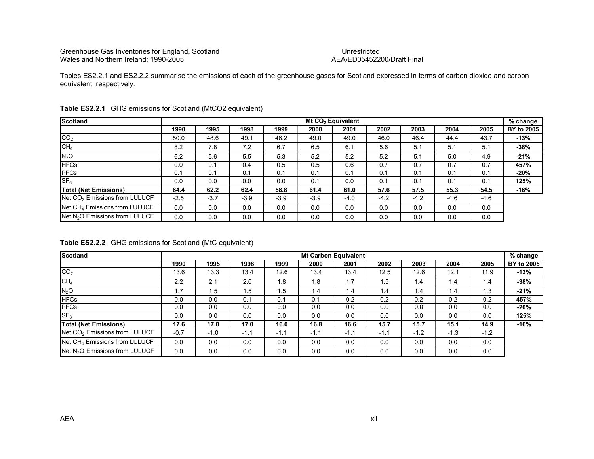## AEA/ED05452200/Draft Final

Tables ES2.2.1 and ES2.2.2 summarise the emissions of each of the greenhouse gases for Scotland expressed in terms of carbon dioxide and carbon equivalent, respectively.

| <b>Scotland</b>                            | Mt CO <sub>2</sub> Equivalent<br>% change |        |        |        |        |        |        |        |        |      |            |  |  |
|--------------------------------------------|-------------------------------------------|--------|--------|--------|--------|--------|--------|--------|--------|------|------------|--|--|
|                                            | 1990                                      | 1995   | 1998   | 1999   | 2000   | 2001   | 2002   | 2003   | 2004   | 2005 | BY to 2005 |  |  |
| CO <sub>2</sub>                            | 50.0                                      | 48.6   | 49.1   | 46.2   | 49.0   | 49.0   | 46.0   | 46.4   | 44.4   | 43.7 | -13%       |  |  |
| CH <sub>4</sub>                            | 8.2                                       | 7.8    | 7.2    | 6.7    | 6.5    | 6.1    | 5.6    | 5.1    | 5.1    | 5.1  | -38%       |  |  |
| N <sub>2</sub> O                           | 6.2                                       | 5.6    | 5.5    | 5.3    | 5.2    | 5.2    | 5.2    | 5.1    | 5.0    | 4.9  | $-21%$     |  |  |
| <b>HFCs</b>                                | 0.0                                       | 0.1    | 0.4    | 0.5    | 0.5    | 0.6    | 0.7    | 0.7    | 0.7    | 0.7  | 457%       |  |  |
| <b>PFCs</b>                                | 0.1                                       | 0.1    | 0.1    | 0.1    | 0.1    | 0.1    | 0.1    | 0.1    | 0.1    | 0.1  | -20%       |  |  |
| SF <sub>6</sub>                            | 0.0                                       | 0.0    | 0.0    | 0.0    | 0.1    | 0.0    | 0.1    | 0.1    | 0.1    | 0.1  | 125%       |  |  |
| <b>Total (Net Emissions)</b>               | 64.4                                      | 62.2   | 62.4   | 58.8   | 61.4   | 61.0   | 57.6   | 57.5   | 55.3   | 54.5 | -16%       |  |  |
| Net CO <sub>2</sub> Emissions from LULUCF  | $-2.5$                                    | $-3.7$ | $-3.9$ | $-3.9$ | $-3.9$ | $-4.0$ | $-4.2$ | $-4.2$ | $-4.6$ | -4.6 |            |  |  |
| Net CH <sub>4</sub> Emissions from LULUCF  | 0.0                                       | 0.0    | 0.0    | 0.0    | 0.0    | 0.0    | 0.0    | 0.0    | 0.0    | 0.0  |            |  |  |
| Net N <sub>2</sub> O Emissions from LULUCF | 0.0                                       | 0.0    | 0.0    | 0.0    | 0.0    | 0.0    | 0.0    | 0.0    | 0.0    | 0.0  |            |  |  |

#### Table ES2.2.1 GHG emissions for Scotland (MtCO2 equivalent)

Table ES2.2.2 GHG emissions for Scotland (MtC equivalent)

| <b>Scotland</b>                            | <b>Mt Carbon Equivalent</b><br>$%$ change |        |        |        |        |        |        |        |        |        |            |  |  |
|--------------------------------------------|-------------------------------------------|--------|--------|--------|--------|--------|--------|--------|--------|--------|------------|--|--|
|                                            | 1990                                      | 1995   | 1998   | 1999   | 2000   | 2001   | 2002   | 2003   | 2004   | 2005   | BY to 2005 |  |  |
| CO <sub>2</sub>                            | 13.6                                      | 13.3   | 13.4   | 12.6   | 13.4   | 13.4   | 12.5   | 12.6   | 12.1   | 11.9   | $-13%$     |  |  |
| CH <sub>4</sub>                            | 2.2                                       | 2.1    | 2.0    | 1.8    | 1.8    | 1.7    | 1.5    | 1.4    | 1.4    | 1.4    | $-38%$     |  |  |
| N <sub>2</sub> O                           | 1.7                                       | 1.5    | 1.5    | 1.5    | 1.4    | 1.4    | 1.4    | 1.4    | 1.4    | 1.3    | $-21%$     |  |  |
| <b>HFCs</b>                                | 0.0                                       | 0.0    | 0.1    | 0.1    | 0.1    | 0.2    | 0.2    | 0.2    | 0.2    | 0.2    | 457%       |  |  |
| <b>PFCs</b>                                | 0.0                                       | 0.0    | 0.0    | 0.0    | 0.0    | 0.0    | 0.0    | 0.0    | 0.0    | 0.0    | $-20%$     |  |  |
| SF <sub>6</sub>                            | 0.0                                       | 0.0    | 0.0    | 0.0    | 0.0    | 0.0    | 0.0    | 0.0    | 0.0    | 0.0    | 125%       |  |  |
| <b>Total (Net Emissions)</b>               | 17.6                                      | 17.0   | 17.0   | 16.0   | 16.8   | 16.6   | 15.7   | 15.7   | 15.1   | 14.9   | $-16%$     |  |  |
| Net CO <sub>2</sub> Emissions from LULUCF  | $-0.7$                                    | $-1.0$ | $-1.1$ | $-1.1$ | $-1.1$ | $-1.1$ | $-1.1$ | $-1.2$ | $-1.3$ | $-1.2$ |            |  |  |
| Net CH <sub>4</sub> Emissions from LULUCF  | 0.0                                       | 0.0    | 0.0    | 0.0    | 0.0    | 0.0    | 0.0    | 0.0    | 0.0    | 0.0    |            |  |  |
| Net N <sub>2</sub> O Emissions from LULUCF | 0.0                                       | 0.0    | 0.0    | 0.0    | 0.0    | 0.0    | 0.0    | 0.0    | 0.0    | 0.0    |            |  |  |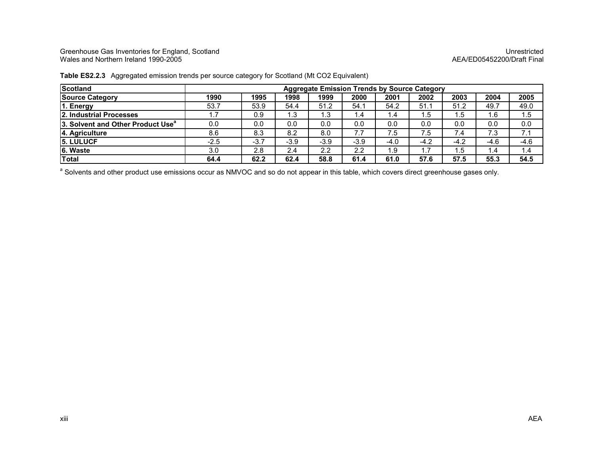Greenhouse Gas Inventories for England, Scotland Unrestricted Wales and Northern Ireland 1990-2005 AEA/ED05452200/Draft Final

| <b>Scotland</b>                               | <b>Aggregate Emission Trends by Source Category</b> |        |        |        |        |      |                     |        |      |        |  |
|-----------------------------------------------|-----------------------------------------------------|--------|--------|--------|--------|------|---------------------|--------|------|--------|--|
| <b>Source Category</b>                        | 1990                                                | 1995   | 1998   | 1999   | 2000   | 2001 | 2002                | 2003   | 2004 | 2005   |  |
| 1. Energy                                     | 53.7                                                | 53.9   | 54.4   | 51.2   | 54.1   | 54.2 | 51.1                | 51.2   | 49.7 | 49.0   |  |
| <b>2. Industrial Processes</b>                |                                                     | 0.9    | 1.3    | 1.3    | 1.4    | 1.4  | 1.5                 | 1.5    | 6. ا | 1.5    |  |
| 3. Solvent and Other Product Use <sup>a</sup> | 0.0                                                 | 0.0    | 0.0    | 0.0    | 0.0    | 0.0  | 0.0                 | 0.0    | 0.0  | 0.0    |  |
| 4. Agriculture                                | 8.6                                                 | 8.3    | 8.2    | 8.0    | 7.7    | 7.5  | 7.5                 | 7.4    | 7.3  | 7.1    |  |
| <b>15. LULUCF</b>                             | $-2.5$                                              | $-3.7$ | $-3.9$ | $-3.9$ | $-3.9$ | -4.0 | $-4.2$              | $-4.2$ | -4.6 | $-4.6$ |  |
| 6. Waste                                      | 3.0                                                 | 2.8    | 2.4    | 2.2    | 2.2    | 1.9  | $\overline{7}$<br>. | . .5   | 4.۱  | 1.4    |  |
| Total                                         | 64.4                                                | 62.2   | 62.4   | 58.8   | 61.4   | 61.0 | 57.6                | 57.5   | 55.3 | 54.5   |  |

#### Table ES2.2.3 Aggregated emission trends per source category for Scotland (Mt CO2 Equivalent)

a Solvents and other product use emissions occur as NMVOC and so do not appear in this table, which covers direct greenhouse gases only.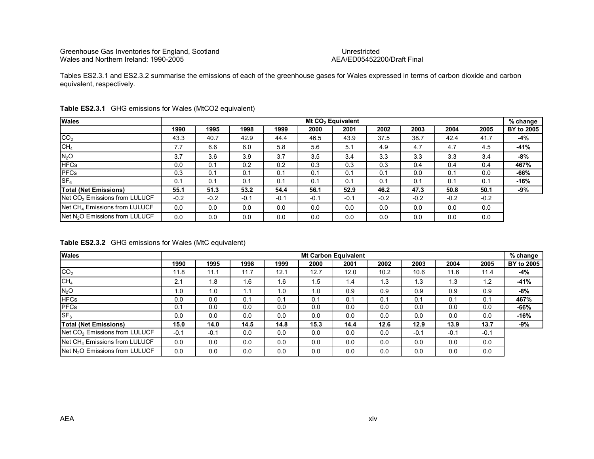## AEA/ED05452200/Draft Final

Tables ES2.3.1 and ES2.3.2 summarise the emissions of each of the greenhouse gases for Wales expressed in terms of carbon dioxide and carbon equivalent, respectively.

| <b>Wales</b>                               |        |        |        |        |        |        |        | Mt CO <sub>2</sub> Equivalent |        |        |            |  |  |  |  |  |  |  |  |  |
|--------------------------------------------|--------|--------|--------|--------|--------|--------|--------|-------------------------------|--------|--------|------------|--|--|--|--|--|--|--|--|--|
|                                            | 1990   | 1995   | 1998   | 1999   | 2000   | 2001   | 2002   | 2003                          | 2004   | 2005   | BY to 2005 |  |  |  |  |  |  |  |  |  |
| CO <sub>2</sub>                            | 43.3   | 40.7   | 42.9   | 44.4   | 46.5   | 43.9   | 37.5   | 38.7                          | 42.4   | 41.7   | -4%        |  |  |  |  |  |  |  |  |  |
| CH <sub>4</sub>                            | 7.7    | 6.6    | 6.0    | 5.8    | 5.6    | 5.1    | 4.9    | 4.7                           | 4.7    | 4.5    | -41%       |  |  |  |  |  |  |  |  |  |
| N <sub>2</sub> O                           | 3.7    | 3.6    | 3.9    | 3.7    | 3.5    | 3.4    | 3.3    | 3.3                           | 3.3    | 3.4    | -8%        |  |  |  |  |  |  |  |  |  |
| <b>HFCs</b>                                | 0.0    | 0.1    | 0.2    | 0.2    | 0.3    | 0.3    | 0.3    | 0.4                           | 0.4    | 0.4    | 467%       |  |  |  |  |  |  |  |  |  |
| <b>PFCs</b>                                | 0.3    | 0.1    | 0.1    | 0.1    | 0.1    | 0.1    | 0.1    | 0.0                           | 0.1    | 0.0    | -66%       |  |  |  |  |  |  |  |  |  |
| SF <sub>6</sub>                            | 0.1    | 0.1    | 0.1    | 0.1    | 0.1    | 0.1    | 0.1    | 0.1                           | 0.1    | 0.1    | -16%       |  |  |  |  |  |  |  |  |  |
| <b>Total (Net Emissions)</b>               | 55.1   | 51.3   | 53.2   | 54.4   | 56.1   | 52.9   | 46.2   | 47.3                          | 50.8   | 50.1   | -9%        |  |  |  |  |  |  |  |  |  |
| Net CO <sub>2</sub> Emissions from LULUCF  | $-0.2$ | $-0.2$ | $-0.1$ | $-0.1$ | $-0.1$ | $-0.1$ | $-0.2$ | $-0.2$                        | $-0.2$ | $-0.2$ |            |  |  |  |  |  |  |  |  |  |
| Net CH <sub>4</sub> Emissions from LULUCF  | 0.0    | 0.0    | 0.0    | 0.0    | 0.0    | 0.0    | 0.0    | 0.0                           | 0.0    | 0.0    |            |  |  |  |  |  |  |  |  |  |
| Net N <sub>2</sub> O Emissions from LULUCF | 0.0    | 0.0    | 0.0    | 0.0    | 0.0    | 0.0    | 0.0    | 0.0                           | 0.0    | 0.0    |            |  |  |  |  |  |  |  |  |  |

#### Table ES2.3.1 GHG emissions for Wales (MtCO2 equivalent)

Table ES2.3.2 GHG emissions for Wales (MtC equivalent)

| <b>Wales</b>                               | <b>Mt Carbon Equivalent</b> |        |      |      |      |      |      |        |        |        |            |  |  |  |
|--------------------------------------------|-----------------------------|--------|------|------|------|------|------|--------|--------|--------|------------|--|--|--|
|                                            | 1990                        | 1995   | 1998 | 1999 | 2000 | 2001 | 2002 | 2003   | 2004   | 2005   | BY to 2005 |  |  |  |
| CO <sub>2</sub>                            | 11.8                        | 11.1   | 11.7 | 12.1 | 12.7 | 12.0 | 10.2 | 10.6   | 11.6   | 11.4   | -4%        |  |  |  |
| CH <sub>4</sub>                            | 2.1                         | 1.8    | 1.6  | 1.6  | 1.5  | 1.4  | 1.3  | 1.3    | 1.3    | 1.2    | $-41%$     |  |  |  |
| N <sub>2</sub> O                           | 1.0                         | 1.0    | 1.1  | 1.0  | 1.0  | 0.9  | 0.9  | 0.9    | 0.9    | 0.9    | -8%        |  |  |  |
| <b>HFCs</b>                                | 0.0                         | 0.0    | 0.1  | 0.1  | 0.1  | 0.1  | 0.1  | 0.1    | 0.1    | 0.1    | 467%       |  |  |  |
| <b>PFCs</b>                                | 0.1                         | 0.0    | 0.0  | 0.0  | 0.0  | 0.0  | 0.0  | 0.0    | 0.0    | 0.0    | -66%       |  |  |  |
| SF <sub>6</sub>                            | 0.0                         | 0.0    | 0.0  | 0.0  | 0.0  | 0.0  | 0.0  | 0.0    | 0.0    | 0.0    | $-16%$     |  |  |  |
| <b>Total (Net Emissions)</b>               | 15.0                        | 14.0   | 14.5 | 14.8 | 15.3 | 14.4 | 12.6 | 12.9   | 13.9   | 13.7   | -9%        |  |  |  |
| Net CO <sub>2</sub> Emissions from LULUCF  | $-0.1$                      | $-0.1$ | 0.0  | 0.0  | 0.0  | 0.0  | 0.0  | $-0.1$ | $-0.1$ | $-0.1$ |            |  |  |  |
| Net CH <sub>4</sub> Emissions from LULUCF  | 0.0                         | 0.0    | 0.0  | 0.0  | 0.0  | 0.0  | 0.0  | 0.0    | 0.0    | 0.0    |            |  |  |  |
| Net N <sub>2</sub> O Emissions from LULUCF | 0.0                         | 0.0    | 0.0  | 0.0  | 0.0  | 0.0  | 0.0  | 0.0    | 0.0    | 0.0    |            |  |  |  |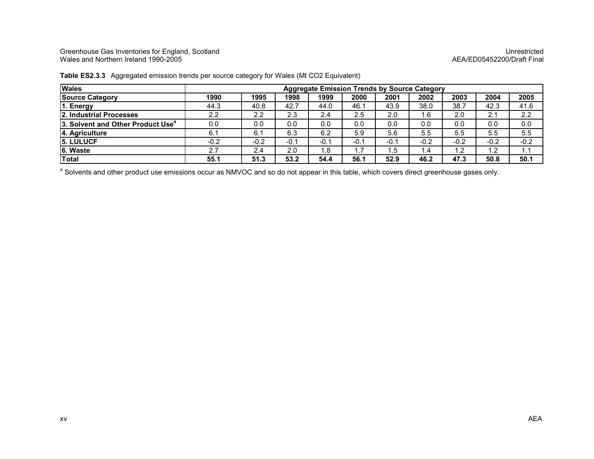Greenhouse Gas Inventories for England, Scotland Unrestricted Wales and Northern Ireland 1990-2005 AEA/ED05452200/Draft Final

| <b>Wales</b>                                  | <b>Aggregate Emission Trends by Source Category</b> |        |        |        |      |      |                 |        |                  |        |  |  |
|-----------------------------------------------|-----------------------------------------------------|--------|--------|--------|------|------|-----------------|--------|------------------|--------|--|--|
| <b>Source Category</b>                        | 1990                                                | 1995   | 1998   | 1999   | 2000 | 2001 | 2002            | 2003   | 2004             | 2005   |  |  |
| 1. Energy                                     | 44.3                                                | 40.8   | 42.7   | 44.0   | 46.1 | 43.9 | 38.0            | 38.7   | 42.3             | 41.6   |  |  |
| 2. Industrial Processes                       | 2.2                                                 | 2.2    | 2.3    | 2.4    | 2.5  | 2.0  | 1.6             | 2.0    | 2.1              | 2.2    |  |  |
| 3. Solvent and Other Product Use <sup>a</sup> | 0.0                                                 | 0.0    | 0.0    | 0.0    | 0.0  | 0.0  | 0.0             | 0.0    | 0.0              | 0.0    |  |  |
| 4. Agriculture                                | 6.1                                                 | 6.1    | 6.3    | 6.2    | 5.9  | 5.6  | 5.5             | 5.5    | 5.5              | 5.5    |  |  |
| <b>15. LULUCF</b>                             | $-0.2$                                              | $-0.2$ | $-0.1$ | $-0.7$ | -0.1 | -0.1 | $-0.2$          | $-0.2$ | $-0.2$           | $-0.2$ |  |  |
| 6. Waste                                      | 2.7                                                 | 2.4    | 2.0    | 1.8    | 1.7  | 1.5  | $\mathsf{I}$ .4 | 1.2    | $\overline{1.2}$ | 1.1    |  |  |
| Total                                         | 55.1                                                | 51.3   | 53.2   | 54.4   | 56.1 | 52.9 | 46.2            | 47.3   | 50.8             | 50.1   |  |  |

Table ES2.3.3 Aggregated emission trends per source category for Wales (Mt CO2 Equivalent)

a Solvents and other product use emissions occur as NMVOC and so do not appear in this table, which covers direct greenhouse gases only.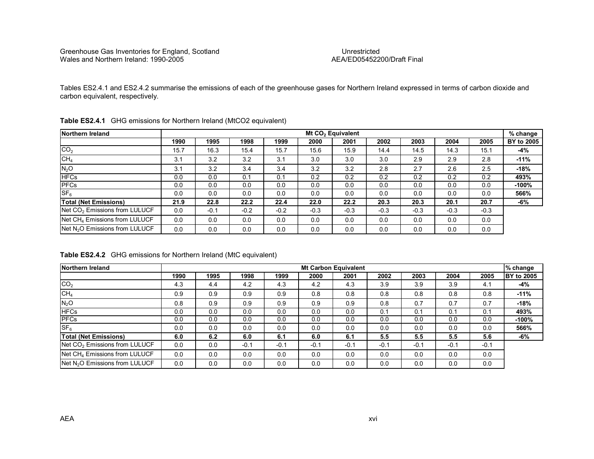AEA/ED05452200/Draft Final

Tables ES2.4.1 and ES2.4.2 summarise the emissions of each of the greenhouse gases for Northern Ireland expressed in terms of carbon dioxide and carbon equivalent, respectively.

| Northern Ireland                           | Mt CO <sub>2</sub> Equivalent<br>% change |        |        |        |        |        |        |        |        |        |            |  |  |
|--------------------------------------------|-------------------------------------------|--------|--------|--------|--------|--------|--------|--------|--------|--------|------------|--|--|
|                                            | 1990                                      | 1995   | 1998   | 1999   | 2000   | 2001   | 2002   | 2003   | 2004   | 2005   | BY to 2005 |  |  |
| CO <sub>2</sub>                            | 15.7                                      | 16.3   | 15.4   | 15.7   | 15.6   | 15.9   | 14.4   | 14.5   | 14.3   | 15.1   | -4%        |  |  |
| CH <sub>4</sub>                            | 3.1                                       | 3.2    | 3.2    | 3.1    | 3.0    | 3.0    | 3.0    | 2.9    | 2.9    | 2.8    | $-11%$     |  |  |
| $N_2O$                                     | 3.1                                       | 3.2    | 3.4    | 3.4    | 3.2    | 3.2    | 2.8    | 2.7    | 2.6    | 2.5    | -18%       |  |  |
| <b>HFCs</b>                                | 0.0                                       | 0.0    | 0.1    | 0.1    | 0.2    | 0.2    | 0.2    | 0.2    | 0.2    | 0.2    | 493%       |  |  |
| <b>PFCs</b>                                | 0.0                                       | 0.0    | 0.0    | 0.0    | 0.0    | 0.0    | 0.0    | 0.0    | 0.0    | 0.0    | $-100%$    |  |  |
| SF <sub>6</sub>                            | 0.0                                       | 0.0    | 0.0    | 0.0    | 0.0    | 0.0    | 0.0    | 0.0    | 0.0    | 0.0    | 566%       |  |  |
| <b>Total (Net Emissions)</b>               | 21.9                                      | 22.8   | 22.2   | 22.4   | 22.0   | 22.2   | 20.3   | 20.3   | 20.1   | 20.7   | -6%        |  |  |
| Net CO <sub>2</sub> Emissions from LULUCF  | 0.0                                       | $-0.1$ | $-0.2$ | $-0.2$ | $-0.3$ | $-0.3$ | $-0.3$ | $-0.3$ | $-0.3$ | $-0.3$ |            |  |  |
| Net CH <sub>4</sub> Emissions from LULUCF  | 0.0                                       | 0.0    | 0.0    | 0.0    | 0.0    | 0.0    | 0.0    | 0.0    | 0.0    | 0.0    |            |  |  |
| Net N <sub>2</sub> O Emissions from LULUCF | 0.0                                       | 0.0    | 0.0    | 0.0    | 0.0    | 0.0    | 0.0    | 0.0    | 0.0    | 0.0    |            |  |  |

|  | <b>Table ES2.4.1</b> GHG emissions for Northern Ireland (MtCO2 equivalent) |  |
|--|----------------------------------------------------------------------------|--|
|--|----------------------------------------------------------------------------|--|

Table ES2.4.2 GHG emissions for Northern Ireland (MtC equivalent)

| Northern Ireland                           |      |      |        |        |        | <b>Mt Carbon Equivalent</b> |        |        |        |        | % change          |
|--------------------------------------------|------|------|--------|--------|--------|-----------------------------|--------|--------|--------|--------|-------------------|
|                                            | 1990 | 1995 | 1998   | 1999   | 2000   | 2001                        | 2002   | 2003   | 2004   | 2005   | <b>BY to 2005</b> |
| CO <sub>2</sub>                            | 4.3  | 4.4  | 4.2    | 4.3    | 4.2    | 4.3                         | 3.9    | 3.9    | 3.9    | 4.1    | -4%               |
| CH <sub>4</sub>                            | 0.9  | 0.9  | 0.9    | 0.9    | 0.8    | 0.8                         | 0.8    | 0.8    | 0.8    | 0.8    | $-11%$            |
| $N_2O$                                     | 0.8  | 0.9  | 0.9    | 0.9    | 0.9    | 0.9                         | 0.8    | 0.7    | 0.7    | 0.7    | $-18%$            |
| <b>HFCs</b>                                | 0.0  | 0.0  | 0.0    | 0.0    | 0.0    | 0.0                         | 0.1    | 0.1    | 0.1    | 0.1    | 493%              |
| <b>PFCs</b>                                | 0.0  | 0.0  | 0.0    | 0.0    | 0.0    | 0.0                         | 0.0    | 0.0    | 0.0    | 0.0    | $-100%$           |
| $S_{F_{R}}$                                | 0.0  | 0.0  | 0.0    | 0.0    | 0.0    | 0.0                         | 0.0    | 0.0    | 0.0    | 0.0    | 566%              |
| <b>Total (Net Emissions)</b>               | 6.0  | 6.2  | 6.0    | 6.1    | 6.0    | 6.1                         | 5.5    | 5.5    | 5.5    | 5.6    | -6%               |
| Net CO <sub>2</sub> Emissions from LULUCF  | 0.0  | 0.0  | $-0.1$ | $-0.1$ | $-0.1$ | $-0.1$                      | $-0.1$ | $-0.1$ | $-0.1$ | $-0.1$ |                   |
| Net CH <sub>4</sub> Emissions from LULUCF  | 0.0  | 0.0  | 0.0    | 0.0    | 0.0    | 0.0                         | 0.0    | 0.0    | 0.0    | 0.0    |                   |
| Net N <sub>2</sub> O Emissions from LULUCF | 0.0  | 0.0  | 0.0    | 0.0    | 0.0    | 0.0                         | 0.0    | 0.0    | 0.0    | 0.0    |                   |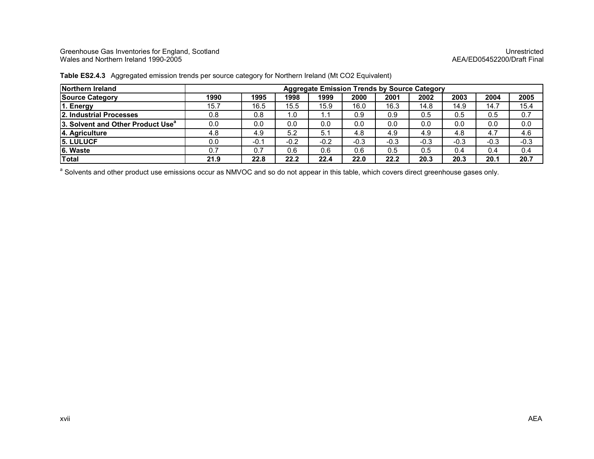Greenhouse Gas Inventories for England, Scotland Unrestricted Wales and Northern Ireland 1990-2005 AEA/ED05452200/Draft Final

| Northern Ireland                                     | <b>Aggregate Emission Trends by Source Category</b> |        |        |        |        |        |        |        |        |        |
|------------------------------------------------------|-----------------------------------------------------|--------|--------|--------|--------|--------|--------|--------|--------|--------|
| <b>Source Category</b>                               | 1990                                                | 1995   | 1998   | 1999   | 2000   | 2001   | 2002   | 2003   | 2004   | 2005   |
| 1. Energy                                            | 15.7                                                | 16.5   | 15.5   | 15.9   | 16.0   | 16.3   | 14.8   | 14.9   | 14.7   | 15.4   |
| <b>2. Industrial Processes</b>                       | 0.8                                                 | 0.8    | 1.0    | l . 1  | 0.9    | 0.9    | 0.5    | 0.5    | 0.5    | 0.7    |
| <b>13. Solvent and Other Product Use<sup>a</sup></b> | 0.0                                                 | 0.0    | 0.0    | 0.0    | 0.0    | 0.0    | 0.0    | 0.0    | 0.0    | 0.0    |
| 4. Agriculture                                       | 4.8                                                 | 4.9    | 5.2    | 5.1    | 4.8    | 4.9    | 4.9    | 4.8    | 4.7    | 4.6    |
| <b>15. LULUCF</b>                                    | 0.0                                                 | $-0.1$ | $-0.2$ | $-0.2$ | $-0.3$ | $-0.3$ | $-0.3$ | $-0.3$ | $-0.3$ | $-0.3$ |
| 6. Waste                                             | 0.7                                                 | 0.7    | 0.6    | 0.6    | 0.6    | 0.5    | 0.5    | 0.4    | 0.4    | 0.4    |
| Total                                                | 21.9                                                | 22.8   | 22.2   | 22.4   | 22.0   | 22.2   | 20.3   | 20.3   | 20.1   | 20.7   |

Table ES2.4.3 Aggregated emission trends per source category for Northern Ireland (Mt CO2 Equivalent)

a Solvents and other product use emissions occur as NMVOC and so do not appear in this table, which covers direct greenhouse gases only.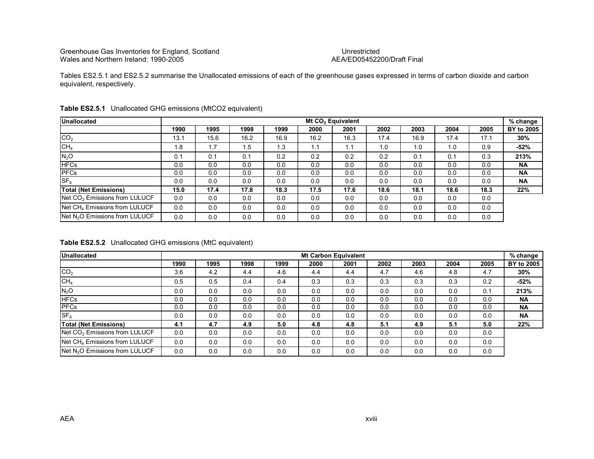## AEA/ED05452200/Draft Final

Tables ES2.5.1 and ES2.5.2 summarise the Unallocated emissions of each of the greenhouse gases expressed in terms of carbon dioxide and carbon equivalent, respectively.

| <b>Unallocated</b>                         |      |      |      |      |      | Mt CO <sub>2</sub> Equivalent |      |      |      |      | % change   |
|--------------------------------------------|------|------|------|------|------|-------------------------------|------|------|------|------|------------|
|                                            | 1990 | 1995 | 1998 | 1999 | 2000 | 2001                          | 2002 | 2003 | 2004 | 2005 | BY to 2005 |
| CO <sub>2</sub>                            | 13.1 | 15.6 | 16.2 | 16.9 | 16.2 | 16.3                          | 17.4 | 16.9 | 17.4 | 17.1 | 30%        |
| CH <sub>4</sub>                            | 1.8  | 1.7  | 1.5  | 1.3  | 1.1  | 1.1                           | 1.0  | 1.0  | 1.0  | 0.9  | -52%       |
| N <sub>2</sub> O                           | 0.1  | 0.1  | 0.1  | 0.2  | 0.2  | 0.2                           | 0.2  | 0.1  | 0.1  | 0.3  | 213%       |
| <b>HFCs</b>                                | 0.0  | 0.0  | 0.0  | 0.0  | 0.0  | 0.0                           | 0.0  | 0.0  | 0.0  | 0.0  | <b>NA</b>  |
| <b>PFCs</b>                                | 0.0  | 0.0  | 0.0  | 0.0  | 0.0  | 0.0                           | 0.0  | 0.0  | 0.0  | 0.0  | <b>NA</b>  |
| SF <sub>6</sub>                            | 0.0  | 0.0  | 0.0  | 0.0  | 0.0  | 0.0                           | 0.0  | 0.0  | 0.0  | 0.0  | <b>NA</b>  |
| <b>Total (Net Emissions)</b>               | 15.0 | 17.4 | 17.8 | 18.3 | 17.5 | 17.6                          | 18.6 | 18.1 | 18.6 | 18.3 | 22%        |
| Net CO <sub>2</sub> Emissions from LULUCF  | 0.0  | 0.0  | 0.0  | 0.0  | 0.0  | 0.0                           | 0.0  | 0.0  | 0.0  | 0.0  |            |
| Net CH <sub>4</sub> Emissions from LULUCF  | 0.0  | 0.0  | 0.0  | 0.0  | 0.0  | 0.0                           | 0.0  | 0.0  | 0.0  | 0.0  |            |
| Net N <sub>2</sub> O Emissions from LULUCF | 0.0  | 0.0  | 0.0  | 0.0  | 0.0  | 0.0                           | 0.0  | 0.0  | 0.0  | 0.0  |            |

#### Table ES2.5.1 Unallocated GHG emissions (MtCO2 equivalent)

#### Table ES2.5.2 Unallocated GHG emissions (MtC equivalent)

| <b>Unallocated</b>                         |      |      |      |      |      | <b>Mt Carbon Equivalent</b> |      |      |      |      | $%$ change |
|--------------------------------------------|------|------|------|------|------|-----------------------------|------|------|------|------|------------|
|                                            | 1990 | 1995 | 1998 | 1999 | 2000 | 2001                        | 2002 | 2003 | 2004 | 2005 | BY to 2005 |
| CO <sub>2</sub>                            | 3.6  | 4.2  | 4.4  | 4.6  | 4.4  | 4.4                         | 4.7  | 4.6  | 4.8  | 4.7  | 30%        |
| CH <sub>4</sub>                            | 0.5  | 0.5  | 0.4  | 0.4  | 0.3  | 0.3                         | 0.3  | 0.3  | 0.3  | 0.2  | $-52%$     |
| N <sub>2</sub> O                           | 0.0  | 0.0  | 0.0  | 0.0  | 0.0  | 0.0                         | 0.0  | 0.0  | 0.0  | 0.1  | 213%       |
| <b>HFCs</b>                                | 0.0  | 0.0  | 0.0  | 0.0  | 0.0  | 0.0                         | 0.0  | 0.0  | 0.0  | 0.0  | <b>NA</b>  |
| <b>PFCs</b>                                | 0.0  | 0.0  | 0.0  | 0.0  | 0.0  | 0.0                         | 0.0  | 0.0  | 0.0  | 0.0  | <b>NA</b>  |
| SF <sub>6</sub>                            | 0.0  | 0.0  | 0.0  | 0.0  | 0.0  | 0.0                         | 0.0  | 0.0  | 0.0  | 0.0  | <b>NA</b>  |
| <b>Total (Net Emissions)</b>               | 4.1  | 4.7  | 4.9  | 5.0  | 4.8  | 4.8                         | 5.1  | 4.9  | 5.1  | 5.0  | 22%        |
| Net CO <sub>2</sub> Emissions from LULUCF  | 0.0  | 0.0  | 0.0  | 0.0  | 0.0  | 0.0                         | 0.0  | 0.0  | 0.0  | 0.0  |            |
| Net CH <sub>4</sub> Emissions from LULUCF  | 0.0  | 0.0  | 0.0  | 0.0  | 0.0  | 0.0                         | 0.0  | 0.0  | 0.0  | 0.0  |            |
| Net N <sub>2</sub> O Emissions from LULUCF | 0.0  | 0.0  | 0.0  | 0.0  | 0.0  | 0.0                         | 0.0  | 0.0  | 0.0  | 0.0  |            |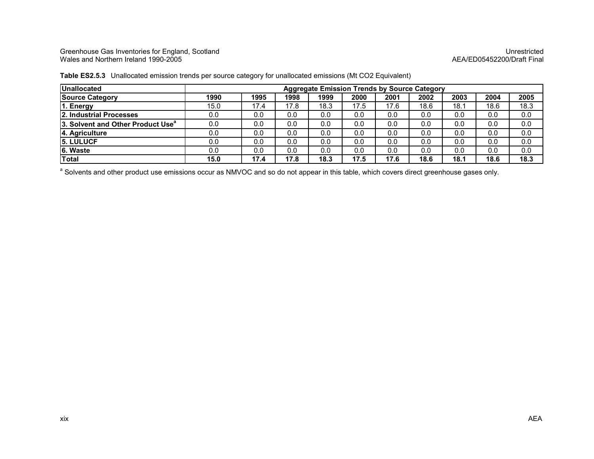#### Greenhouse Gas Inventories for England, Scotland Unrestricted Wales and Northern Ireland 1990-2005 AEA/ED05452200/Draft Final

| <b>Unallocated</b>                            | <b>Aggregate Emission Trends by Source Category</b> |      |      |      |      |      |      |      |      |      |
|-----------------------------------------------|-----------------------------------------------------|------|------|------|------|------|------|------|------|------|
| <b>Source Category</b>                        | 1990                                                | 1995 | 1998 | 1999 | 2000 | 2001 | 2002 | 2003 | 2004 | 2005 |
| 1. Energy                                     | 15.0                                                | 17.4 | 17.8 | 18.3 | 17.5 | 17.6 | 18.6 | 18.1 | 18.6 | 18.3 |
| 2. Industrial Processes                       | 0.0                                                 | 0.0  | 0.0  | 0.0  | 0.0  | 0.0  | 0.0  | 0.0  | 0.0  | 0.0  |
| 3. Solvent and Other Product Use <sup>a</sup> | 0.0                                                 | 0.0  | 0.0  | 0.0  | 0.0  | 0.0  | 0.0  | 0.0  | 0.0  | 0.0  |
| 4. Agriculture                                | 0.0                                                 | 0.0  | 0.0  | 0.0  | 0.0  | 0.0  | 0.0  | 0.0  | 0.0  | 0.0  |
| <b>5. LULUCF</b>                              | 0.0                                                 | 0.0  | 0.0  | 0.0  | 0.0  | 0.0  | 0.0  | 0.0  | 0.0  | 0.0  |
| 6. Waste                                      | 0.0                                                 | 0.0  | 0.0  | 0.0  | 0.0  | 0.0  | 0.0  | 0.0  | 0.0  | 0.0  |
| Total                                         | 15.0                                                | 17.4 | 17.8 | 18.3 | 17.5 | 17.6 | 18.6 | 18.1 | 18.6 | 18.3 |

Table ES2.5.3 Unallocated emission trends per source category for unallocated emissions (Mt CO2 Equivalent)

a Solvents and other product use emissions occur as NMVOC and so do not appear in this table, which covers direct greenhouse gases only.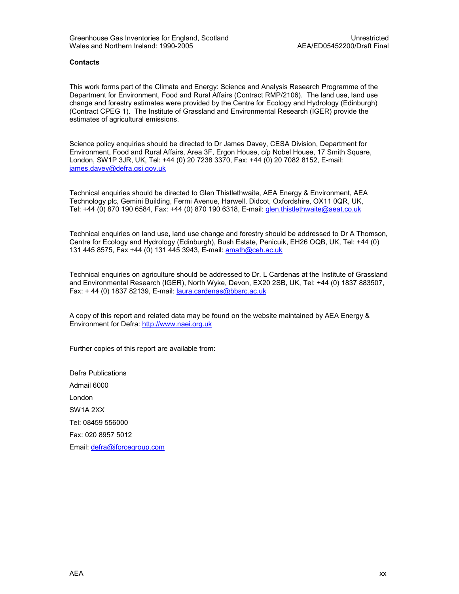#### **Contacts**

This work forms part of the Climate and Energy: Science and Analysis Research Programme of the Department for Environment, Food and Rural Affairs (Contract RMP/2106). The land use, land use change and forestry estimates were provided by the Centre for Ecology and Hydrology (Edinburgh) (Contract CPEG 1). The Institute of Grassland and Environmental Research (IGER) provide the estimates of agricultural emissions.

Science policy enquiries should be directed to Dr James Davey, CESA Division, Department for Environment, Food and Rural Affairs, Area 3F, Ergon House, c/p Nobel House, 17 Smith Square, London, SW1P 3JR, UK, Tel: +44 (0) 20 7238 3370, Fax: +44 (0) 20 7082 8152, E-mail: james.davey@defra.gsi.gov.uk

Technical enquiries should be directed to Glen Thistlethwaite, AEA Energy & Environment, AEA Technology plc, Gemini Building, Fermi Avenue, Harwell, Didcot, Oxfordshire, OX11 0QR, UK, Tel: +44 (0) 870 190 6584, Fax: +44 (0) 870 190 6318, E-mail: glen.thistlethwaite@aeat.co.uk

Technical enquiries on land use, land use change and forestry should be addressed to Dr A Thomson, Centre for Ecology and Hydrology (Edinburgh), Bush Estate, Penicuik, EH26 OQB, UK, Tel: +44 (0) 131 445 8575, Fax +44 (0) 131 445 3943, E-mail: amath@ceh.ac.uk

Technical enquiries on agriculture should be addressed to Dr. L Cardenas at the Institute of Grassland and Environmental Research (IGER), North Wyke, Devon, EX20 2SB, UK, Tel: +44 (0) 1837 883507, Fax: + 44 (0) 1837 82139, E-mail: laura.cardenas@bbsrc.ac.uk

A copy of this report and related data may be found on the website maintained by AEA Energy & Environment for Defra: http://www.naei.org.uk

Further copies of this report are available from:

Defra Publications Admail 6000 London SW1A 2XX Tel: 08459 556000 Fax: 020 8957 5012 Email: defra@iforcegroup.com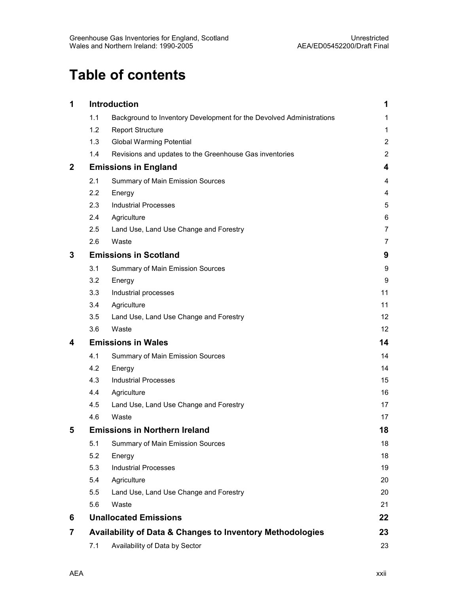## Table of contents

| 1                |     | Introduction                                                         | 1                       |
|------------------|-----|----------------------------------------------------------------------|-------------------------|
|                  | 1.1 | Background to Inventory Development for the Devolved Administrations | 1                       |
|                  | 1.2 | <b>Report Structure</b>                                              | 1                       |
|                  | 1.3 | <b>Global Warming Potential</b>                                      | $\overline{2}$          |
|                  | 1.4 | Revisions and updates to the Greenhouse Gas inventories              | $\overline{2}$          |
| $\boldsymbol{2}$ |     | <b>Emissions in England</b>                                          | $\overline{\mathbf{4}}$ |
|                  | 2.1 | Summary of Main Emission Sources                                     | 4                       |
|                  | 2.2 | Energy                                                               | 4                       |
|                  | 2.3 | <b>Industrial Processes</b>                                          | 5                       |
|                  | 2.4 | Agriculture                                                          | 6                       |
|                  | 2.5 | Land Use, Land Use Change and Forestry                               | $\overline{7}$          |
|                  | 2.6 | Waste                                                                | $\overline{7}$          |
| 3                |     | <b>Emissions in Scotland</b>                                         | 9                       |
|                  | 3.1 | Summary of Main Emission Sources                                     | 9                       |
|                  | 3.2 | Energy                                                               | 9                       |
|                  | 3.3 | Industrial processes                                                 | 11                      |
|                  | 3.4 | Agriculture                                                          | 11                      |
|                  | 3.5 | Land Use, Land Use Change and Forestry                               | 12                      |
|                  | 3.6 | Waste                                                                | $12 \overline{ }$       |
| 4                |     | <b>Emissions in Wales</b>                                            | 14                      |
|                  | 4.1 | Summary of Main Emission Sources                                     | 14                      |
|                  | 4.2 | Energy                                                               | 14                      |
|                  | 4.3 | <b>Industrial Processes</b>                                          | 15                      |
|                  | 4.4 | Agriculture                                                          | 16                      |
|                  | 4.5 | Land Use, Land Use Change and Forestry                               | 17                      |
|                  | 4.6 | Waste                                                                | 17                      |
| 5                |     | <b>Emissions in Northern Ireland</b>                                 | 18                      |
|                  | 5.1 | Summary of Main Emission Sources                                     | 18                      |
|                  | 5.2 | Energy                                                               | 18                      |
|                  | 5.3 | <b>Industrial Processes</b>                                          | 19                      |
|                  | 5.4 | Agriculture                                                          | 20                      |
|                  | 5.5 | Land Use, Land Use Change and Forestry                               | 20                      |
|                  | 5.6 | Waste                                                                | 21                      |
| 6                |     | <b>Unallocated Emissions</b>                                         | 22                      |
| 7                |     | <b>Availability of Data &amp; Changes to Inventory Methodologies</b> | 23                      |
|                  | 7.1 | Availability of Data by Sector                                       | 23                      |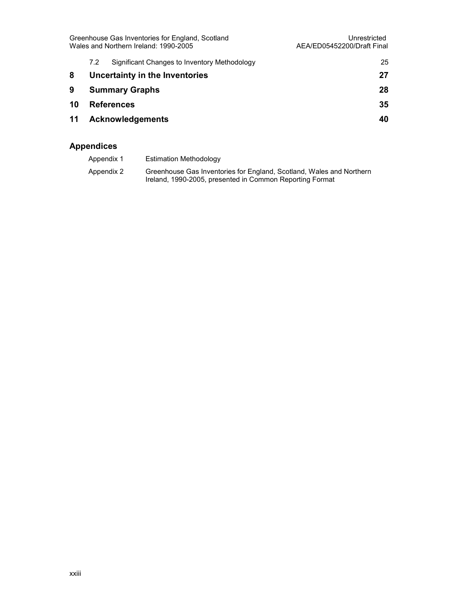|    | Greenhouse Gas Inventories for England, Scotland<br>Wales and Northern Ireland: 1990-2005 | Unrestricted<br>AEA/ED05452200/Draft Final   |    |
|----|-------------------------------------------------------------------------------------------|----------------------------------------------|----|
|    | 7.2                                                                                       | Significant Changes to Inventory Methodology | 25 |
| 8  |                                                                                           | Uncertainty in the Inventories               | 27 |
| 9  |                                                                                           | <b>Summary Graphs</b>                        | 28 |
| 10 |                                                                                           | <b>References</b>                            | 35 |
| 11 |                                                                                           | <b>Acknowledgements</b>                      | 40 |
|    |                                                                                           |                                              |    |

#### Appendices

| Appendix 1 | Estimation Methodology                                                                                                           |
|------------|----------------------------------------------------------------------------------------------------------------------------------|
| Appendix 2 | Greenhouse Gas Inventories for England, Scotland, Wales and Northern<br>Ireland, 1990-2005, presented in Common Reporting Format |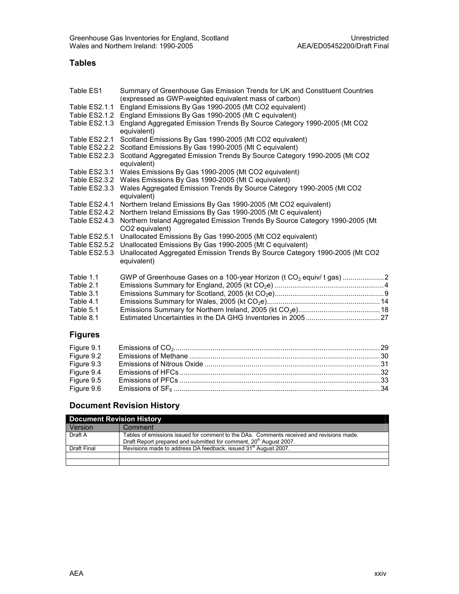#### Tables

| Table ES1      | Summary of Greenhouse Gas Emission Trends for UK and Constituent Countries                                      |
|----------------|-----------------------------------------------------------------------------------------------------------------|
| Table ES2.1.1  | (expressed as GWP-weighted equivalent mass of carbon)<br>England Emissions By Gas 1990-2005 (Mt CO2 equivalent) |
| Table ES2.1.2  | England Emissions By Gas 1990-2005 (Mt C equivalent)                                                            |
| Table ES2.1.3  | England Aggregated Emission Trends By Source Category 1990-2005 (Mt CO2                                         |
|                | equivalent)                                                                                                     |
| Table ES2.2.1  | Scotland Emissions By Gas 1990-2005 (Mt CO2 equivalent)                                                         |
| Table ES2.2.2  | Scotland Emissions By Gas 1990-2005 (Mt C equivalent)                                                           |
| Table ES2.2.3  | Scotland Aggregated Emission Trends By Source Category 1990-2005 (Mt CO2                                        |
|                | equivalent)                                                                                                     |
| Table ES2.3.1  | Wales Emissions By Gas 1990-2005 (Mt CO2 equivalent)                                                            |
| Table ES2.3.2  | Wales Emissions By Gas 1990-2005 (Mt C equivalent)                                                              |
| Table ES2.3.3  | Wales Aggregated Emission Trends By Source Category 1990-2005 (Mt CO2                                           |
|                | equivalent)                                                                                                     |
| Table ES2.4.1  | Northern Ireland Emissions By Gas 1990-2005 (Mt CO2 equivalent)                                                 |
| Table ES2.4.2  | Northern Ireland Emissions By Gas 1990-2005 (Mt C equivalent)                                                   |
| Table ES2.4.3  | Northern Ireland Aggregated Emission Trends By Source Category 1990-2005 (Mt                                    |
|                | CO2 equivalent)                                                                                                 |
| Table ES2.5.1  | Unallocated Emissions By Gas 1990-2005 (Mt CO2 equivalent)                                                      |
| Table ES2.5.2  | Unallocated Emissions By Gas 1990-2005 (Mt C equivalent)                                                        |
| Table ES2.5.3  | Unallocated Aggregated Emission Trends By Source Category 1990-2005 (Mt CO2                                     |
|                | equivalent)                                                                                                     |
|                |                                                                                                                 |
| Table 1.1      | GWP of Greenhouse Gases on a 100-year Horizon (t CO <sub>2</sub> equiv/ t gas) 2                                |
| Table 2.1      |                                                                                                                 |
| Table 3.1      |                                                                                                                 |
| Table 4.1      |                                                                                                                 |
| Table 5.1      |                                                                                                                 |
| Table 8.1      |                                                                                                                 |
| <b>Figures</b> |                                                                                                                 |

| Figure 9.3<br>Figure 9.4 |  |
|--------------------------|--|
|                          |  |
|                          |  |
| Figure 9.5<br>Figure 9.6 |  |

#### Document Revision History

|                | <b>Document Revision History</b>                                                                                                                                           |  |  |  |  |
|----------------|----------------------------------------------------------------------------------------------------------------------------------------------------------------------------|--|--|--|--|
| <b>Version</b> | Comment                                                                                                                                                                    |  |  |  |  |
| Draft A        | Tables of emissions issued for comment to the DAs. Comments received and revisions made.<br>Draft Report prepared and submitted for comment, 20 <sup>th</sup> August 2007. |  |  |  |  |
| Draft Final    | Revisions made to address DA feedback, issued 31 <sup>st</sup> August 2007.                                                                                                |  |  |  |  |
|                |                                                                                                                                                                            |  |  |  |  |
|                |                                                                                                                                                                            |  |  |  |  |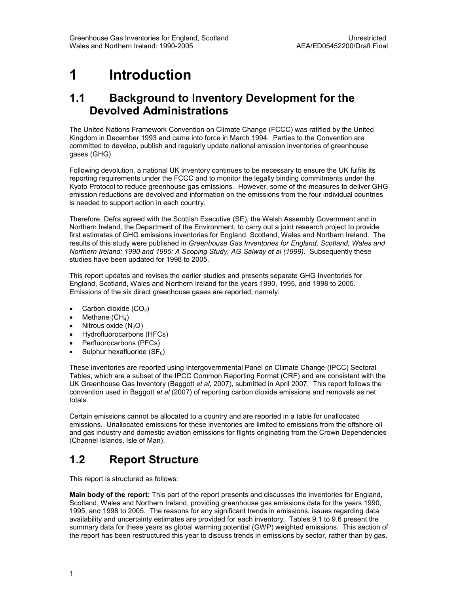## 1 Introduction

#### 1.1 Background to Inventory Development for the Devolved Administrations

The United Nations Framework Convention on Climate Change (FCCC) was ratified by the United Kingdom in December 1993 and came into force in March 1994. Parties to the Convention are committed to develop, publish and regularly update national emission inventories of greenhouse gases (GHG).

Following devolution, a national UK inventory continues to be necessary to ensure the UK fulfils its reporting requirements under the FCCC and to monitor the legally binding commitments under the Kyoto Protocol to reduce greenhouse gas emissions. However, some of the measures to deliver GHG emission reductions are devolved and information on the emissions from the four individual countries is needed to support action in each country.

Therefore, Defra agreed with the Scottish Executive (SE), the Welsh Assembly Government and in Northern Ireland, the Department of the Environment, to carry out a joint research project to provide first estimates of GHG emissions inventories for England, Scotland, Wales and Northern Ireland. The results of this study were published in Greenhouse Gas Inventories for England, Scotland, Wales and Northern Ireland: 1990 and 1995: A Scoping Study, AG Salway et al (1999). Subsequently these studies have been updated for 1998 to 2005.

This report updates and revises the earlier studies and presents separate GHG Inventories for England, Scotland, Wales and Northern Ireland for the years 1990, 1995, and 1998 to 2005. Emissions of the six direct greenhouse gases are reported, namely:

- Carbon dioxide  $(CO<sub>2</sub>)$
- Methane  $(CH_4)$
- Nitrous oxide  $(N_2O)$
- Hydrofluorocarbons (HFCs)
- Perfluorocarbons (PFCs)
- Sulphur hexafluoride  $(SF_6)$

These inventories are reported using Intergovernmental Panel on Climate Change (IPCC) Sectoral Tables, which are a subset of the IPCC Common Reporting Format (CRF) and are consistent with the UK Greenhouse Gas Inventory (Baggott et al, 2007), submitted in April 2007. This report follows the convention used in Baggott et al (2007) of reporting carbon dioxide emissions and removals as net totals.

Certain emissions cannot be allocated to a country and are reported in a table for unallocated emissions. Unallocated emissions for these inventories are limited to emissions from the offshore oil and gas industry and domestic aviation emissions for flights originating from the Crown Dependencies (Channel Islands, Isle of Man).

### 1.2 Report Structure

This report is structured as follows:

Main body of the report: This part of the report presents and discusses the inventories for England, Scotland, Wales and Northern Ireland, providing greenhouse gas emissions data for the years 1990, 1995, and 1998 to 2005. The reasons for any significant trends in emissions, issues regarding data availability and uncertainty estimates are provided for each inventory. Tables 9.1 to 9.6 present the summary data for these years as global warming potential (GWP) weighted emissions. This section of the report has been restructured this year to discuss trends in emissions by sector, rather than by gas.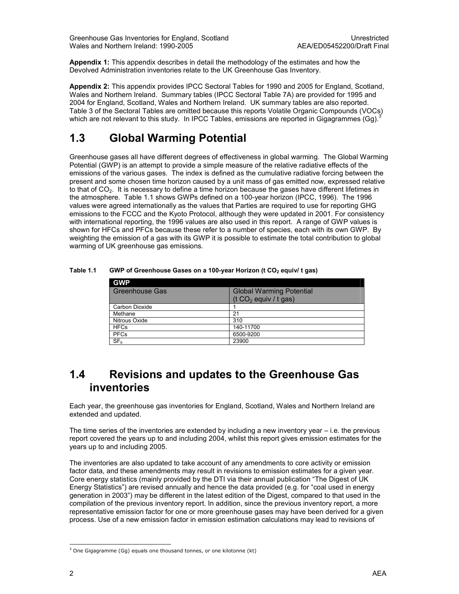Appendix 1: This appendix describes in detail the methodology of the estimates and how the Devolved Administration inventories relate to the UK Greenhouse Gas Inventory.

Appendix 2: This appendix provides IPCC Sectoral Tables for 1990 and 2005 for England, Scotland, Wales and Northern Ireland. Summary tables (IPCC Sectoral Table 7A) are provided for 1995 and 2004 for England, Scotland, Wales and Northern Ireland. UK summary tables are also reported. Table 3 of the Sectoral Tables are omitted because this reports Volatile Organic Compounds (VOCs) which are not relevant to this study. In IPCC Tables, emissions are reported in Gigagrammes (Gg).<sup>3</sup>

### 1.3 Global Warming Potential

Greenhouse gases all have different degrees of effectiveness in global warming. The Global Warming Potential (GWP) is an attempt to provide a simple measure of the relative radiative effects of the emissions of the various gases. The index is defined as the cumulative radiative forcing between the present and some chosen time horizon caused by a unit mass of gas emitted now, expressed relative to that of CO<sub>2</sub>. It is necessary to define a time horizon because the gases have different lifetimes in the atmosphere. Table 1.1 shows GWPs defined on a 100-year horizon (IPCC, 1996). The 1996 values were agreed internationally as the values that Parties are required to use for reporting GHG emissions to the FCCC and the Kyoto Protocol, although they were updated in 2001. For consistency with international reporting, the 1996 values are also used in this report. A range of GWP values is shown for HFCs and PFCs because these refer to a number of species, each with its own GWP. By weighting the emission of a gas with its GWP it is possible to estimate the total contribution to global warming of UK greenhouse gas emissions.

| <b>GWP</b>            |                                 |
|-----------------------|---------------------------------|
| <b>Greenhouse Gas</b> | <b>Global Warming Potential</b> |
|                       | (t $CO2$ equiv / t gas)         |
| Carbon Dioxide        |                                 |
| Methane               | 21                              |
| Nitrous Oxide         | 310                             |
| <b>HFCs</b>           | 140-11700                       |
| <b>PFCs</b>           | 6500-9200                       |
| SF <sub>6</sub>       | 23900                           |

#### Table 1.1 GWP of Greenhouse Gases on a 100-year Horizon (t  $CO<sub>2</sub>$  equiv/ t gas)

### 1.4 Revisions and updates to the Greenhouse Gas inventories

Each year, the greenhouse gas inventories for England, Scotland, Wales and Northern Ireland are extended and updated.

The time series of the inventories are extended by including a new inventory year  $-$  i.e. the previous report covered the years up to and including 2004, whilst this report gives emission estimates for the years up to and including 2005.

The inventories are also updated to take account of any amendments to core activity or emission factor data, and these amendments may result in revisions to emission estimates for a given year. Core energy statistics (mainly provided by the DTI via their annual publication "The Digest of UK Energy Statistics") are revised annually and hence the data provided (e.g. for "coal used in energy generation in 2003") may be different in the latest edition of the Digest, compared to that used in the compilation of the previous inventory report. In addition, since the previous inventory report, a more representative emission factor for one or more greenhouse gases may have been derived for a given process. Use of a new emission factor in emission estimation calculations may lead to revisions of

 3 One Gigagramme (Gg) equals one thousand tonnes, or one kilotonne (kt)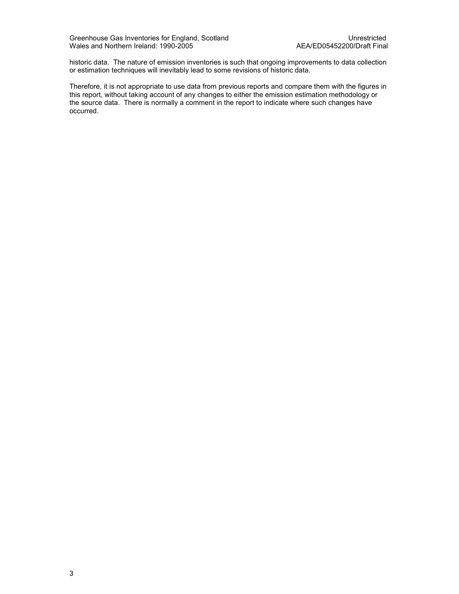historic data. The nature of emission inventories is such that ongoing improvements to data collection or estimation techniques will inevitably lead to some revisions of historic data.

Therefore, it is not appropriate to use data from previous reports and compare them with the figures in this report, without taking account of any changes to either the emission estimation methodology or the source data. There is normally a comment in the report to indicate where such changes have occurred.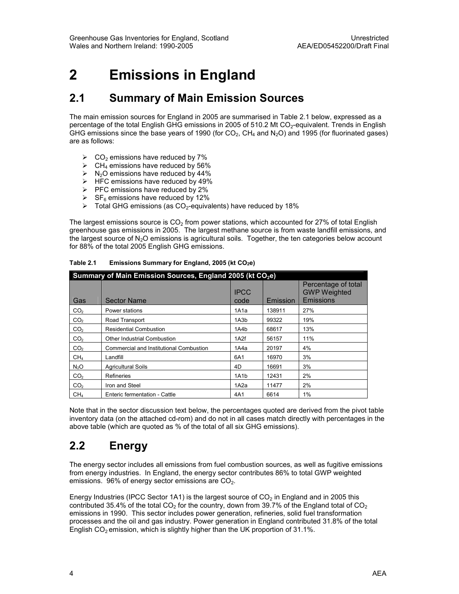## 2 Emissions in England

### 2.1 Summary of Main Emission Sources

The main emission sources for England in 2005 are summarised in Table 2.1 below, expressed as a percentage of the total English GHG emissions in 2005 of 510.2 Mt  $CO<sub>2</sub>$ -equivalent. Trends in English GHG emissions since the base years of 1990 (for  $CO<sub>2</sub>$ , CH<sub>4</sub> and N<sub>2</sub>O) and 1995 (for fluorinated gases) are as follows:

- $\triangleright$  CO<sub>2</sub> emissions have reduced by 7%
- $\triangleright$  CH<sub>4</sub> emissions have reduced by 56%
- $\triangleright$  N<sub>2</sub>O emissions have reduced by 44%
- $\triangleright$  HFC emissions have reduced by 49%
- $\triangleright$  PFC emissions have reduced by 2%
- $\triangleright$  SF<sub>6</sub> emissions have reduced by 12%
- $\triangleright$  Total GHG emissions (as CO<sub>2</sub>-equivalents) have reduced by 18%

The largest emissions source is  $CO<sub>2</sub>$  from power stations, which accounted for 27% of total English greenhouse gas emissions in 2005. The largest methane source is from waste landfill emissions, and the largest source of N<sub>2</sub>O emissions is agricultural soils. Together, the ten categories below account for 88% of the total 2005 English GHG emissions.

| Summary of Main Emission Sources, England 2005 (kt CO <sub>2</sub> e) |                                         |                     |          |                                                         |  |
|-----------------------------------------------------------------------|-----------------------------------------|---------------------|----------|---------------------------------------------------------|--|
| Gas                                                                   | <b>Sector Name</b>                      | <b>IPCC</b><br>code | Emission | Percentage of total<br><b>GWP Weighted</b><br>Emissions |  |
| CO <sub>2</sub>                                                       | Power stations                          | 1A1a                | 138911   | 27%                                                     |  |
| CO <sub>2</sub>                                                       | Road Transport                          | 1A3b                | 99322    | 19%                                                     |  |
| CO <sub>2</sub>                                                       | <b>Residential Combustion</b>           | 1A4b                | 68617    | 13%                                                     |  |
| CO <sub>2</sub>                                                       | Other Industrial Combustion             | 1A2f                | 56157    | 11%                                                     |  |
| CO <sub>2</sub>                                                       | Commercial and Institutional Combustion | 1A4a                | 20197    | 4%                                                      |  |
| CH <sub>4</sub>                                                       | Landfill                                | 6A1                 | 16970    | 3%                                                      |  |
| N <sub>2</sub> O                                                      | <b>Agricultural Soils</b>               | 4D                  | 16691    | 3%                                                      |  |
| CO <sub>2</sub>                                                       | Refineries                              | 1A1b                | 12431    | 2%                                                      |  |
| CO <sub>2</sub>                                                       | Iron and Steel                          | 1A2a                | 11477    | 2%                                                      |  |
| CH <sub>4</sub>                                                       | Enteric fermentation - Cattle           | 4A1                 | 6614     | $1\%$                                                   |  |

Table 2.1 Emissions Summary for England, 2005 (kt  $CO<sub>2</sub>e$ )

Note that in the sector discussion text below, the percentages quoted are derived from the pivot table inventory data (on the attached cd-rom) and do not in all cases match directly with percentages in the above table (which are quoted as % of the total of all six GHG emissions).

### 2.2 Energy

The energy sector includes all emissions from fuel combustion sources, as well as fugitive emissions from energy industries. In England, the energy sector contributes 86% to total GWP weighted emissions.  $96\%$  of energy sector emissions are  $CO<sub>2</sub>$ .

Energy Industries (IPCC Sector 1A1) is the largest source of  $CO<sub>2</sub>$  in England and in 2005 this contributed 35.4% of the total  $CO<sub>2</sub>$  for the country, down from 39.7% of the England total of  $CO<sub>2</sub>$ emissions in 1990. This sector includes power generation, refineries, solid fuel transformation processes and the oil and gas industry. Power generation in England contributed 31.8% of the total English  $CO<sub>2</sub>$  emission, which is slightly higher than the UK proportion of 31.1%.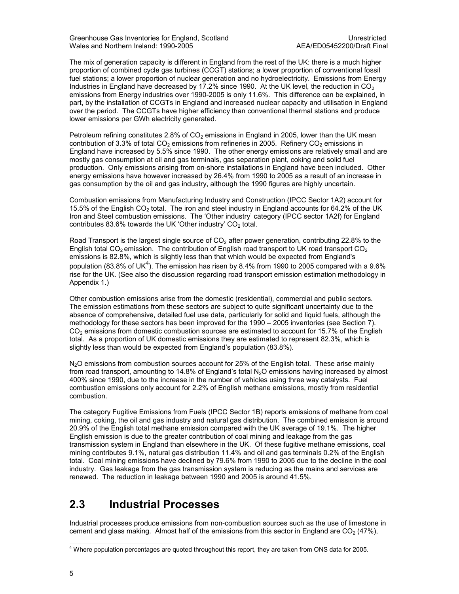Greenhouse Gas Inventories for England, Scotland<br>Wales and Northern Ireland: 1990-2005<br>AEA/ED05452200/Draft Final Wales and Northern Ireland: 1990-2005

The mix of generation capacity is different in England from the rest of the UK: there is a much higher proportion of combined cycle gas turbines (CCGT) stations; a lower proportion of conventional fossil fuel stations; a lower proportion of nuclear generation and no hydroelectricity. Emissions from Energy Industries in England have decreased by  $17.2\%$  since 1990. At the UK level, the reduction in CO<sub>2</sub> emissions from Energy industries over 1990-2005 is only 11.6%. This difference can be explained, in part, by the installation of CCGTs in England and increased nuclear capacity and utilisation in England over the period. The CCGTs have higher efficiency than conventional thermal stations and produce lower emissions per GWh electricity generated.

Petroleum refining constitutes 2.8% of  $CO<sub>2</sub>$  emissions in England in 2005, lower than the UK mean contribution of 3.3% of total  $CO<sub>2</sub>$  emissions from refineries in 2005. Refinery  $CO<sub>2</sub>$  emissions in England have increased by 5.5% since 1990. The other energy emissions are relatively small and are mostly gas consumption at oil and gas terminals, gas separation plant, coking and solid fuel production. Only emissions arising from on-shore installations in England have been included. Other energy emissions have however increased by 26.4% from 1990 to 2005 as a result of an increase in gas consumption by the oil and gas industry, although the 1990 figures are highly uncertain.

Combustion emissions from Manufacturing Industry and Construction (IPCC Sector 1A2) account for 15.5% of the English CO<sub>2</sub> total. The iron and steel industry in England accounts for 64.2% of the UK Iron and Steel combustion emissions. The 'Other industry' category (IPCC sector 1A2f) for England contributes  $83.6\%$  towards the UK 'Other industry' CO<sub>2</sub> total.

Road Transport is the largest single source of  $CO<sub>2</sub>$  after power generation, contributing 22.8% to the English total CO<sub>2</sub> emission. The contribution of English road transport to UK road transport CO<sub>2</sub> emissions is 82.8%, which is slightly less than that which would be expected from England's population (83.8% of UK<sup>4</sup>). The emission has risen by 8.4% from 1990 to 2005 compared with a 9.6% rise for the UK. (See also the discussion regarding road transport emission estimation methodology in Appendix 1.)

Other combustion emissions arise from the domestic (residential), commercial and public sectors. The emission estimations from these sectors are subject to quite significant uncertainty due to the absence of comprehensive, detailed fuel use data, particularly for solid and liquid fuels, although the methodology for these sectors has been improved for the 1990 – 2005 inventories (see Section 7).  $CO<sub>2</sub>$  emissions from domestic combustion sources are estimated to account for 15.7% of the English total. As a proportion of UK domestic emissions they are estimated to represent 82.3%, which is slightly less than would be expected from England's population (83.8%).

 $N<sub>2</sub>O$  emissions from combustion sources account for 25% of the English total. These arise mainly from road transport, amounting to 14.8% of England's total N<sub>2</sub>O emissions having increased by almost 400% since 1990, due to the increase in the number of vehicles using three way catalysts. Fuel combustion emissions only account for 2.2% of English methane emissions, mostly from residential combustion.

The category Fugitive Emissions from Fuels (IPCC Sector 1B) reports emissions of methane from coal mining, coking, the oil and gas industry and natural gas distribution. The combined emission is around 20.9% of the English total methane emission compared with the UK average of 19.1%. The higher English emission is due to the greater contribution of coal mining and leakage from the gas transmission system in England than elsewhere in the UK. Of these fugitive methane emissions, coal mining contributes 9.1%, natural gas distribution 11.4% and oil and gas terminals 0.2% of the English total. Coal mining emissions have declined by 79.6% from 1990 to 2005 due to the decline in the coal industry. Gas leakage from the gas transmission system is reducing as the mains and services are renewed. The reduction in leakage between 1990 and 2005 is around 41.5%.

### 2.3 Industrial Processes

Industrial processes produce emissions from non-combustion sources such as the use of limestone in cement and glass making. Almost half of the emissions from this sector in England are  $CO<sub>2</sub>$  (47%),

 4 Where population percentages are quoted throughout this report, they are taken from ONS data for 2005.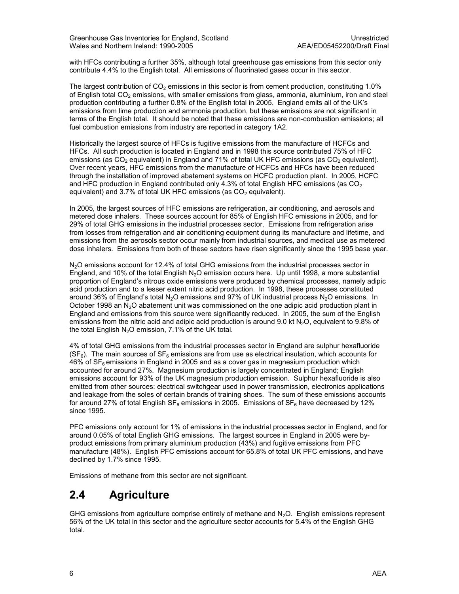with HFCs contributing a further 35%, although total greenhouse gas emissions from this sector only contribute 4.4% to the English total. All emissions of fluorinated gases occur in this sector.

The largest contribution of  $CO<sub>2</sub>$  emissions in this sector is from cement production, constituting 1.0% of English total  $CO<sub>2</sub>$  emissions, with smaller emissions from glass, ammonia, aluminium, iron and steel production contributing a further 0.8% of the English total in 2005. England emits all of the UK's emissions from lime production and ammonia production, but these emissions are not significant in terms of the English total. It should be noted that these emissions are non-combustion emissions; all fuel combustion emissions from industry are reported in category 1A2.

Historically the largest source of HFCs is fugitive emissions from the manufacture of HCFCs and HFCs. All such production is located in England and in 1998 this source contributed 75% of HFC emissions (as  $CO<sub>2</sub>$  equivalent) in England and 71% of total UK HFC emissions (as  $CO<sub>2</sub>$  equivalent). Over recent years, HFC emissions from the manufacture of HCFCs and HFCs have been reduced through the installation of improved abatement systems on HCFC production plant. In 2005, HCFC and HFC production in England contributed only 4.3% of total English HFC emissions (as  $CO<sub>2</sub>$ equivalent) and 3.7% of total UK HFC emissions (as  $CO<sub>2</sub>$  equivalent).

In 2005, the largest sources of HFC emissions are refrigeration, air conditioning, and aerosols and metered dose inhalers. These sources account for 85% of English HFC emissions in 2005, and for 29% of total GHG emissions in the industrial processes sector. Emissions from refrigeration arise from losses from refrigeration and air conditioning equipment during its manufacture and lifetime, and emissions from the aerosols sector occur mainly from industrial sources, and medical use as metered dose inhalers. Emissions from both of these sectors have risen significantly since the 1995 base year.

N<sub>2</sub>O emissions account for 12.4% of total GHG emissions from the industrial processes sector in England, and 10% of the total English N<sub>2</sub>O emission occurs here. Up until 1998, a more substantial proportion of England's nitrous oxide emissions were produced by chemical processes, namely adipic acid production and to a lesser extent nitric acid production. In 1998, these processes constituted around 36% of England's total N<sub>2</sub>O emissions and 97% of UK industrial process N<sub>2</sub>O emissions. In October 1998 an  $N_2O$  abatement unit was commissioned on the one adipic acid production plant in England and emissions from this source were significantly reduced. In 2005, the sum of the English emissions from the nitric acid and adipic acid production is around 9.0 kt N<sub>2</sub>O, equivalent to 9.8% of the total English  $N_2O$  emission, 7.1% of the UK total.

4% of total GHG emissions from the industrial processes sector in England are sulphur hexafluoride  $(SF_6)$ . The main sources of  $SF_6$  emissions are from use as electrical insulation, which accounts for  $46\%$  of SF<sub>6</sub> emissions in England in 2005 and as a cover gas in magnesium production which accounted for around 27%. Magnesium production is largely concentrated in England; English emissions account for 93% of the UK magnesium production emission. Sulphur hexafluoride is also emitted from other sources: electrical switchgear used in power transmission, electronics applications and leakage from the soles of certain brands of training shoes. The sum of these emissions accounts for around 27% of total English SF<sub>6</sub> emissions in 2005. Emissions of SF<sub>6</sub> have decreased by 12% since 1995.

PFC emissions only account for 1% of emissions in the industrial processes sector in England, and for around 0.05% of total English GHG emissions. The largest sources in England in 2005 were byproduct emissions from primary aluminium production (43%) and fugitive emissions from PFC manufacture (48%). English PFC emissions account for 65.8% of total UK PFC emissions, and have declined by 1.7% since 1995.

Emissions of methane from this sector are not significant.

### 2.4 Agriculture

GHG emissions from agriculture comprise entirely of methane and  $N_2O$ . English emissions represent 56% of the UK total in this sector and the agriculture sector accounts for 5.4% of the English GHG total.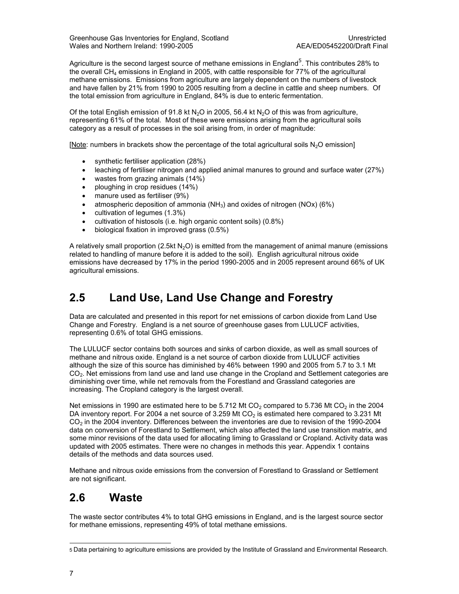Greenhouse Gas Inventories for England, Scotland<br>Wales and Northern Ireland: 1990-2005<br>AEA/ED05452200/Draft Final Wales and Northern Ireland: 1990-2005

Agriculture is the second largest source of methane emissions in England<sup>5</sup>. This contributes 28% to the overall  $CH<sub>4</sub>$  emissions in England in 2005, with cattle responsible for 77% of the agricultural methane emissions. Emissions from agriculture are largely dependent on the numbers of livestock and have fallen by 21% from 1990 to 2005 resulting from a decline in cattle and sheep numbers. Of the total emission from agriculture in England, 84% is due to enteric fermentation.

Of the total English emission of 91.8 kt N<sub>2</sub>O in 2005, 56.4 kt N<sub>2</sub>O of this was from agriculture, representing 61% of the total. Most of these were emissions arising from the agricultural soils category as a result of processes in the soil arising from, in order of magnitude:

[Note: numbers in brackets show the percentage of the total agricultural soils  $N_2O$  emission]

- synthetic fertiliser application (28%)
- leaching of fertiliser nitrogen and applied animal manures to ground and surface water (27%)
- wastes from grazing animals (14%)
- ploughing in crop residues (14%)
- manure used as fertiliser (9%)
- atmospheric deposition of ammonia  $(NH_3)$  and oxides of nitrogen  $(NOx)$  (6%)
- cultivation of legumes (1.3%)
- cultivation of histosols (i.e. high organic content soils) (0.8%)
- biological fixation in improved grass (0.5%)

A relatively small proportion (2.5kt N<sub>2</sub>O) is emitted from the management of animal manure (emissions related to handling of manure before it is added to the soil). English agricultural nitrous oxide emissions have decreased by 17% in the period 1990-2005 and in 2005 represent around 66% of UK agricultural emissions.

### 2.5 Land Use, Land Use Change and Forestry

Data are calculated and presented in this report for net emissions of carbon dioxide from Land Use Change and Forestry. England is a net source of greenhouse gases from LULUCF activities, representing 0.6% of total GHG emissions.

The LULUCF sector contains both sources and sinks of carbon dioxide, as well as small sources of methane and nitrous oxide. England is a net source of carbon dioxide from LULUCF activities although the size of this source has diminished by 46% between 1990 and 2005 from 5.7 to 3.1 Mt CO<sub>2</sub>. Net emissions from land use and land use change in the Cropland and Settlement categories are diminishing over time, while net removals from the Forestland and Grassland categories are increasing. The Cropland category is the largest overall.

Net emissions in 1990 are estimated here to be 5.712 Mt CO<sub>2</sub> compared to 5.736 Mt CO<sub>2</sub> in the 2004 DA inventory report. For 2004 a net source of 3.259 Mt  $CO<sub>2</sub>$  is estimated here compared to 3.231 Mt CO<sub>2</sub> in the 2004 inventory. Differences between the inventories are due to revision of the 1990-2004 data on conversion of Forestland to Settlement, which also affected the land use transition matrix, and some minor revisions of the data used for allocating liming to Grassland or Cropland. Activity data was updated with 2005 estimates. There were no changes in methods this year. Appendix 1 contains details of the methods and data sources used.

Methane and nitrous oxide emissions from the conversion of Forestland to Grassland or Settlement are not significant.

### 2.6 Waste

The waste sector contributes 4% to total GHG emissions in England, and is the largest source sector for methane emissions, representing 49% of total methane emissions.

1

<sup>5</sup> Data pertaining to agriculture emissions are provided by the Institute of Grassland and Environmental Research.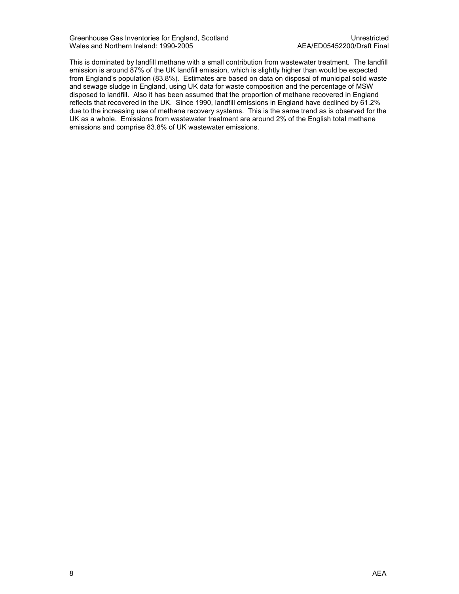Greenhouse Gas Inventories for England, Scotland<br>Wales and Northern Ireland: 1990-2005<br>AEA/ED05452200/Draft Final Wales and Northern Ireland: 1990-2005

This is dominated by landfill methane with a small contribution from wastewater treatment. The landfill emission is around 87% of the UK landfill emission, which is slightly higher than would be expected from England's population (83.8%). Estimates are based on data on disposal of municipal solid waste and sewage sludge in England, using UK data for waste composition and the percentage of MSW disposed to landfill. Also it has been assumed that the proportion of methane recovered in England reflects that recovered in the UK. Since 1990, landfill emissions in England have declined by 61.2% due to the increasing use of methane recovery systems. This is the same trend as is observed for the UK as a whole. Emissions from wastewater treatment are around 2% of the English total methane emissions and comprise 83.8% of UK wastewater emissions.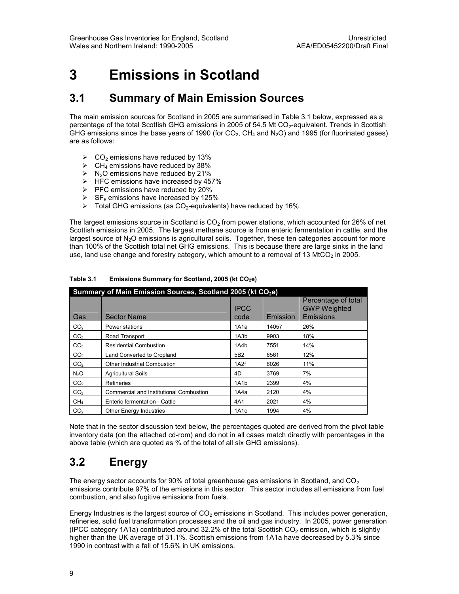## 3 Emissions in Scotland

### 3.1 Summary of Main Emission Sources

The main emission sources for Scotland in 2005 are summarised in Table 3.1 below, expressed as a percentage of the total Scottish GHG emissions in 2005 of 54.5 Mt CO<sub>2</sub>-equivalent. Trends in Scottish GHG emissions since the base years of 1990 (for  $CO_2$ , CH<sub>4</sub> and N<sub>2</sub>O) and 1995 (for fluorinated gases) are as follows:

- $\triangleright$  CO<sub>2</sub> emissions have reduced by 13%
- $\triangleright$  CH<sub>4</sub> emissions have reduced by 38%
- $\triangleright$  N<sub>2</sub>O emissions have reduced by 21%
- $\triangleright$  HFC emissions have increased by 457%
- $\triangleright$  PFC emissions have reduced by 20%
- $\triangleright$  SF<sub>6</sub> emissions have increased by 125%
- $\triangleright$  Total GHG emissions (as CO<sub>2</sub>-equivalents) have reduced by 16%

The largest emissions source in Scotland is  $CO<sub>2</sub>$  from power stations, which accounted for 26% of net Scottish emissions in 2005. The largest methane source is from enteric fermentation in cattle, and the largest source of  $N_2O$  emissions is agricultural soils. Together, these ten categories account for more than 100% of the Scottish total net GHG emissions. This is because there are large sinks in the land use, land use change and forestry category, which amount to a removal of 13 MtCO<sub>2</sub> in 2005.

| Summary of Main Emission Sources, Scotland 2005 (kt CO <sub>2</sub> e) |                                         |                     |          |                                                         |  |
|------------------------------------------------------------------------|-----------------------------------------|---------------------|----------|---------------------------------------------------------|--|
| Gas                                                                    | <b>Sector Name</b>                      | <b>IPCC</b><br>code | Emission | Percentage of total<br><b>GWP Weighted</b><br>Emissions |  |
| CO <sub>2</sub>                                                        | Power stations                          | 1A1a                | 14057    | 26%                                                     |  |
| CO <sub>2</sub>                                                        | Road Transport                          | 1A3b                | 9903     | 18%                                                     |  |
| CO <sub>2</sub>                                                        | <b>Residential Combustion</b>           | 1A4b                | 7551     | 14%                                                     |  |
| CO <sub>2</sub>                                                        | Land Converted to Cropland              | 5B <sub>2</sub>     | 6561     | 12%                                                     |  |
| CO <sub>2</sub>                                                        | <b>Other Industrial Combustion</b>      | 1A <sub>2</sub> f   | 6026     | 11%                                                     |  |
| N <sub>2</sub> O                                                       | <b>Agricultural Soils</b>               | 4D                  | 3769     | 7%                                                      |  |
| CO <sub>2</sub>                                                        | Refineries                              | 1A1b                | 2399     | 4%                                                      |  |
| CO <sub>2</sub>                                                        | Commercial and Institutional Combustion | 1A4a                | 2120     | 4%                                                      |  |
| CH <sub>4</sub>                                                        | Enteric fermentation - Cattle           | 4A1                 | 2021     | 4%                                                      |  |
| CO <sub>2</sub>                                                        | <b>Other Energy Industries</b>          | 1A <sub>1</sub> c   | 1994     | 4%                                                      |  |

#### Table 3.1 Emissions Summary for Scotland, 2005 (kt  $CO<sub>2</sub>e$ )

Note that in the sector discussion text below, the percentages quoted are derived from the pivot table inventory data (on the attached cd-rom) and do not in all cases match directly with percentages in the above table (which are quoted as % of the total of all six GHG emissions).

### 3.2 Energy

The energy sector accounts for 90% of total greenhouse gas emissions in Scotland, and  $CO<sub>2</sub>$ emissions contribute 97% of the emissions in this sector. This sector includes all emissions from fuel combustion, and also fugitive emissions from fuels.

Energy Industries is the largest source of  $CO<sub>2</sub>$  emissions in Scotland. This includes power generation, refineries, solid fuel transformation processes and the oil and gas industry. In 2005, power generation (IPCC category 1A1a) contributed around 32.2% of the total Scottish  $CO<sub>2</sub>$  emission, which is slightly higher than the UK average of 31.1%. Scottish emissions from 1A1a have decreased by 5.3% since 1990 in contrast with a fall of 15.6% in UK emissions.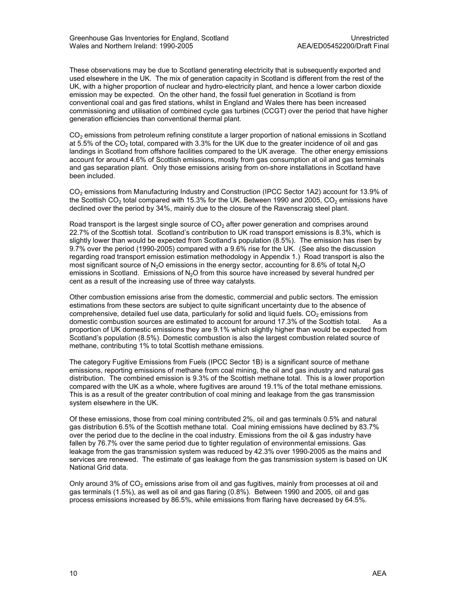These observations may be due to Scotland generating electricity that is subsequently exported and used elsewhere in the UK. The mix of generation capacity in Scotland is different from the rest of the UK, with a higher proportion of nuclear and hydro-electricity plant, and hence a lower carbon dioxide emission may be expected. On the other hand, the fossil fuel generation in Scotland is from conventional coal and gas fired stations, whilst in England and Wales there has been increased commissioning and utilisation of combined cycle gas turbines (CCGT) over the period that have higher generation efficiencies than conventional thermal plant.

CO2 emissions from petroleum refining constitute a larger proportion of national emissions in Scotland at 5.5% of the  $CO<sub>2</sub>$  total, compared with 3.3% for the UK due to the greater incidence of oil and gas landings in Scotland from offshore facilities compared to the UK average. The other energy emissions account for around 4.6% of Scottish emissions, mostly from gas consumption at oil and gas terminals and gas separation plant. Only those emissions arising from on-shore installations in Scotland have been included.

CO2 emissions from Manufacturing Industry and Construction (IPCC Sector 1A2) account for 13.9% of the Scottish CO<sub>2</sub> total compared with 15.3% for the UK. Between 1990 and 2005, CO<sub>2</sub> emissions have declined over the period by 34%, mainly due to the closure of the Ravenscraig steel plant.

Road transport is the largest single source of  $CO<sub>2</sub>$  after power generation and comprises around 22.7% of the Scottish total. Scotland's contribution to UK road transport emissions is 8.3%, which is slightly lower than would be expected from Scotland's population (8.5%). The emission has risen by 9.7% over the period (1990-2005) compared with a 9.6% rise for the UK. (See also the discussion regarding road transport emission estimation methodology in Appendix 1.) Road transport is also the most significant source of  $N_2O$  emissions in the energy sector, accounting for 8.6% of total  $N_2O$ emissions in Scotland. Emissions of  $N<sub>2</sub>O$  from this source have increased by several hundred per cent as a result of the increasing use of three way catalysts.

Other combustion emissions arise from the domestic, commercial and public sectors. The emission estimations from these sectors are subject to quite significant uncertainty due to the absence of comprehensive, detailed fuel use data, particularly for solid and liquid fuels.  $CO<sub>2</sub>$  emissions from domestic combustion sources are estimated to account for around 17.3% of the Scottish total. As a proportion of UK domestic emissions they are 9.1% which slightly higher than would be expected from Scotland's population (8.5%). Domestic combustion is also the largest combustion related source of methane, contributing 1% to total Scottish methane emissions.

The category Fugitive Emissions from Fuels (IPCC Sector 1B) is a significant source of methane emissions, reporting emissions of methane from coal mining, the oil and gas industry and natural gas distribution. The combined emission is 9.3% of the Scottish methane total. This is a lower proportion compared with the UK as a whole, where fugitives are around 19.1% of the total methane emissions. This is as a result of the greater contribution of coal mining and leakage from the gas transmission system elsewhere in the UK.

Of these emissions, those from coal mining contributed 2%, oil and gas terminals 0.5% and natural gas distribution 6.5% of the Scottish methane total. Coal mining emissions have declined by 83.7% over the period due to the decline in the coal industry. Emissions from the oil & gas industry have fallen by 76.7% over the same period due to tighter regulation of environmental emissions. Gas leakage from the gas transmission system was reduced by 42.3% over 1990-2005 as the mains and services are renewed. The estimate of gas leakage from the gas transmission system is based on UK National Grid data.

Only around  $3\%$  of  $CO<sub>2</sub>$  emissions arise from oil and gas fugitives, mainly from processes at oil and gas terminals (1.5%), as well as oil and gas flaring (0.8%). Between 1990 and 2005, oil and gas process emissions increased by 86.5%, while emissions from flaring have decreased by 64.5%.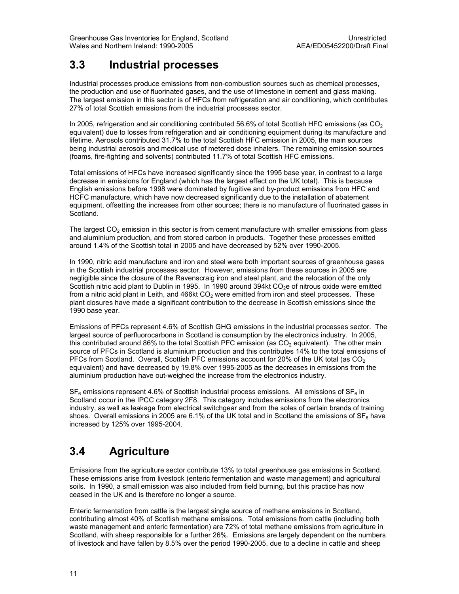### 3.3 Industrial processes

Industrial processes produce emissions from non-combustion sources such as chemical processes, the production and use of fluorinated gases, and the use of limestone in cement and glass making. The largest emission in this sector is of HFCs from refrigeration and air conditioning, which contributes 27% of total Scottish emissions from the industrial processes sector.

In 2005, refrigeration and air conditioning contributed 56.6% of total Scottish HFC emissions (as  $CO<sub>2</sub>$ equivalent) due to losses from refrigeration and air conditioning equipment during its manufacture and lifetime. Aerosols contributed 31.7% to the total Scottish HFC emission in 2005, the main sources being industrial aerosols and medical use of metered dose inhalers. The remaining emission sources (foams, fire-fighting and solvents) contributed 11.7% of total Scottish HFC emissions.

Total emissions of HFCs have increased significantly since the 1995 base year, in contrast to a large decrease in emissions for England (which has the largest effect on the UK total). This is because English emissions before 1998 were dominated by fugitive and by-product emissions from HFC and HCFC manufacture, which have now decreased significantly due to the installation of abatement equipment, offsetting the increases from other sources; there is no manufacture of fluorinated gases in Scotland.

The largest  $CO<sub>2</sub>$  emission in this sector is from cement manufacture with smaller emissions from glass and aluminium production, and from stored carbon in products. Together these processes emitted around 1.4% of the Scottish total in 2005 and have decreased by 52% over 1990-2005.

In 1990, nitric acid manufacture and iron and steel were both important sources of greenhouse gases in the Scottish industrial processes sector. However, emissions from these sources in 2005 are negligible since the closure of the Ravenscraig iron and steel plant, and the relocation of the only Scottish nitric acid plant to Dublin in 1995. In 1990 around 394kt CO<sub>2</sub>e of nitrous oxide were emitted from a nitric acid plant in Leith, and 466kt  $CO<sub>2</sub>$  were emitted from iron and steel processes. These plant closures have made a significant contribution to the decrease in Scottish emissions since the 1990 base year.

Emissions of PFCs represent 4.6% of Scottish GHG emissions in the industrial processes sector. The largest source of perfluorocarbons in Scotland is consumption by the electronics industry. In 2005, this contributed around 86% to the total Scottish PFC emission (as  $CO<sub>2</sub>$  equivalent). The other main source of PFCs in Scotland is aluminium production and this contributes 14% to the total emissions of PFCs from Scotland. Overall, Scottish PFC emissions account for 20% of the UK total (as CO<sub>2</sub> equivalent) and have decreased by 19.8% over 1995-2005 as the decreases in emissions from the aluminium production have out-weighed the increase from the electronics industry.

 $SF<sub>6</sub>$  emissions represent 4.6% of Scottish industrial process emissions. All emissions of  $SF<sub>6</sub>$  in Scotland occur in the IPCC category 2F8. This category includes emissions from the electronics industry, as well as leakage from electrical switchgear and from the soles of certain brands of training shoes. Overall emissions in 2005 are 6.1% of the UK total and in Scotland the emissions of  $SF_6$  have increased by 125% over 1995-2004.

### 3.4 Agriculture

Emissions from the agriculture sector contribute 13% to total greenhouse gas emissions in Scotland. These emissions arise from livestock (enteric fermentation and waste management) and agricultural soils. In 1990, a small emission was also included from field burning, but this practice has now ceased in the UK and is therefore no longer a source.

Enteric fermentation from cattle is the largest single source of methane emissions in Scotland, contributing almost 40% of Scottish methane emissions. Total emissions from cattle (including both waste management and enteric fermentation) are 72% of total methane emissions from agriculture in Scotland, with sheep responsible for a further 26%. Emissions are largely dependent on the numbers of livestock and have fallen by 8.5% over the period 1990-2005, due to a decline in cattle and sheep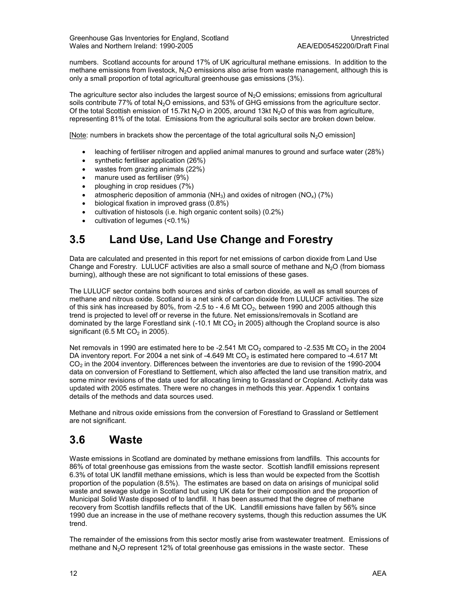numbers. Scotland accounts for around 17% of UK agricultural methane emissions. In addition to the methane emissions from livestock, N<sub>2</sub>O emissions also arise from waste management, although this is only a small proportion of total agricultural greenhouse gas emissions (3%).

The agriculture sector also includes the largest source of  $N_2O$  emissions; emissions from agricultural soils contribute 77% of total N<sub>2</sub>O emissions, and 53% of GHG emissions from the agriculture sector. Of the total Scottish emission of 15.7kt N<sub>2</sub>O in 2005, around 13kt N<sub>2</sub>O of this was from agriculture, representing 81% of the total. Emissions from the agricultural soils sector are broken down below.

[Note: numbers in brackets show the percentage of the total agricultural soils  $N_2O$  emission]

- leaching of fertiliser nitrogen and applied animal manures to ground and surface water (28%)
- synthetic fertiliser application (26%)
- wastes from grazing animals (22%)
- manure used as fertiliser (9%)
- ploughing in crop residues (7%)
- atmospheric deposition of ammonia (NH<sub>3</sub>) and oxides of nitrogen (NO<sub>x</sub>) (7%)
- biological fixation in improved grass (0.8%)
- cultivation of histosols (i.e. high organic content soils) (0.2%)
- cultivation of legumes (<0.1%)

### 3.5 Land Use, Land Use Change and Forestry

Data are calculated and presented in this report for net emissions of carbon dioxide from Land Use Change and Forestry. LULUCF activities are also a small source of methane and  $N_2O$  (from biomass burning), although these are not significant to total emissions of these gases.

The LULUCF sector contains both sources and sinks of carbon dioxide, as well as small sources of methane and nitrous oxide. Scotland is a net sink of carbon dioxide from LULUCF activities. The size of this sink has increased by 80%, from  $-2.5$  to  $-4.6$  Mt CO<sub>2</sub>, between 1990 and 2005 although this trend is projected to level off or reverse in the future. Net emissions/removals in Scotland are dominated by the large Forestland sink (-10.1 Mt  $CO<sub>2</sub>$  in 2005) although the Cropland source is also significant (6.5 Mt  $CO<sub>2</sub>$  in 2005).

Net removals in 1990 are estimated here to be -2.541 Mt  $CO<sub>2</sub>$  compared to -2.535 Mt  $CO<sub>2</sub>$  in the 2004 DA inventory report. For 2004 a net sink of -4.649 Mt  $CO<sub>2</sub>$  is estimated here compared to -4.617 Mt CO<sub>2</sub> in the 2004 inventory. Differences between the inventories are due to revision of the 1990-2004 data on conversion of Forestland to Settlement, which also affected the land use transition matrix, and some minor revisions of the data used for allocating liming to Grassland or Cropland. Activity data was updated with 2005 estimates. There were no changes in methods this year. Appendix 1 contains details of the methods and data sources used.

Methane and nitrous oxide emissions from the conversion of Forestland to Grassland or Settlement are not significant.

### 3.6 Waste

Waste emissions in Scotland are dominated by methane emissions from landfills. This accounts for 86% of total greenhouse gas emissions from the waste sector. Scottish landfill emissions represent 6.3% of total UK landfill methane emissions, which is less than would be expected from the Scottish proportion of the population (8.5%). The estimates are based on data on arisings of municipal solid waste and sewage sludge in Scotland but using UK data for their composition and the proportion of Municipal Solid Waste disposed of to landfill. It has been assumed that the degree of methane recovery from Scottish landfills reflects that of the UK. Landfill emissions have fallen by 56% since 1990 due an increase in the use of methane recovery systems, though this reduction assumes the UK trend.

The remainder of the emissions from this sector mostly arise from wastewater treatment. Emissions of methane and N<sub>2</sub>O represent 12% of total greenhouse gas emissions in the waste sector. These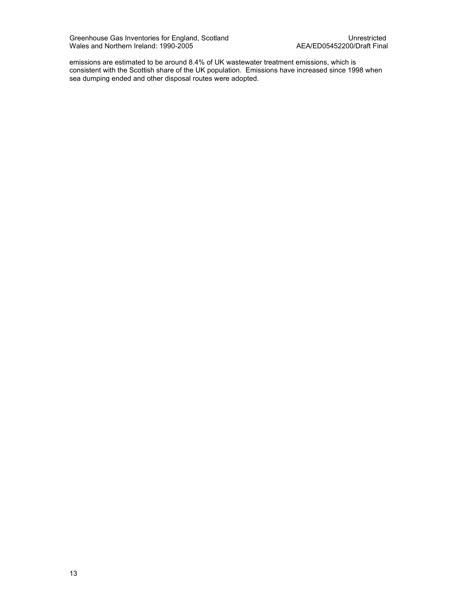Greenhouse Gas Inventories for England, Scotland North Communication Controller Controller Controller Controlle Wales and Northern Ireland: 1990-2005 AEA/ED05452200/Draft Final

emissions are estimated to be around 8.4% of UK wastewater treatment emissions, which is consistent with the Scottish share of the UK population. Emissions have increased since 1998 when sea dumping ended and other disposal routes were adopted.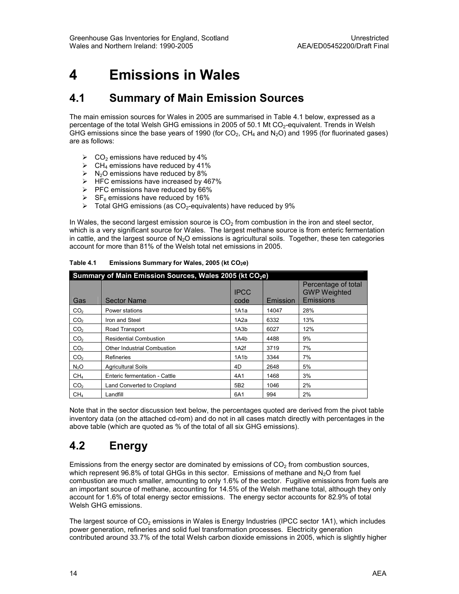## 4 Emissions in Wales

### 4.1 Summary of Main Emission Sources

The main emission sources for Wales in 2005 are summarised in Table 4.1 below, expressed as a percentage of the total Welsh GHG emissions in 2005 of 50.1 Mt  $CO<sub>2</sub>$ -equivalent. Trends in Welsh GHG emissions since the base years of 1990 (for  $CO_2$ , CH<sub>4</sub> and N<sub>2</sub>O) and 1995 (for fluorinated gases) are as follows:

- $\triangleright$  CO<sub>2</sub> emissions have reduced by 4%
- $\triangleright$  CH<sub>4</sub> emissions have reduced by 41%
- $\triangleright$  N<sub>2</sub>O emissions have reduced by 8%
- $\triangleright$  HFC emissions have increased by 467%
- $\triangleright$  PFC emissions have reduced by 66%
- $\triangleright$  SF<sub>6</sub> emissions have reduced by 16%
- $\triangleright$  Total GHG emissions (as CO<sub>2</sub>-equivalents) have reduced by 9%

In Wales, the second largest emission source is  $CO<sub>2</sub>$  from combustion in the iron and steel sector, which is a very significant source for Wales. The largest methane source is from enteric fermentation in cattle, and the largest source of  $N<sub>2</sub>O$  emissions is agricultural soils. Together, these ten categories account for more than 81% of the Welsh total net emissions in 2005.

| Summary of Main Emission Sources, Wales 2005 (kt CO <sub>2</sub> e) |                               |                     |          |                                                         |  |
|---------------------------------------------------------------------|-------------------------------|---------------------|----------|---------------------------------------------------------|--|
| Gas                                                                 | <b>Sector Name</b>            | <b>IPCC</b><br>code | Emission | Percentage of total<br><b>GWP Weighted</b><br>Emissions |  |
| CO <sub>2</sub>                                                     | Power stations                | 1A1a                | 14047    | 28%                                                     |  |
| CO <sub>2</sub>                                                     | Iron and Steel                | 1A <sub>2</sub> a   | 6332     | 13%                                                     |  |
| CO <sub>2</sub>                                                     | Road Transport                | 1A3b                | 6027     | 12%                                                     |  |
| CO <sub>2</sub>                                                     | <b>Residential Combustion</b> | 1A4b                | 4488     | 9%                                                      |  |
| CO <sub>2</sub>                                                     | Other Industrial Combustion   | 1A2f                | 3719     | 7%                                                      |  |
| CO <sub>2</sub>                                                     | Refineries                    | 1A1b                | 3344     | 7%                                                      |  |
| N <sub>2</sub> O                                                    | <b>Agricultural Soils</b>     | 4D                  | 2648     | 5%                                                      |  |
| CH <sub>4</sub>                                                     | Enteric fermentation - Cattle | 4A1                 | 1468     | 3%                                                      |  |
| CO <sub>2</sub>                                                     | Land Converted to Cropland    | 5B <sub>2</sub>     | 1046     | 2%                                                      |  |
| CH <sub>4</sub>                                                     | Landfill                      | 6A1                 | 994      | 2%                                                      |  |

Table 4.1 Emissions Summary for Wales, 2005 (kt  $CO<sub>2</sub>e$ )

Note that in the sector discussion text below, the percentages quoted are derived from the pivot table inventory data (on the attached cd-rom) and do not in all cases match directly with percentages in the above table (which are quoted as % of the total of all six GHG emissions).

### 4.2 Energy

Emissions from the energy sector are dominated by emissions of  $CO<sub>2</sub>$  from combustion sources, which represent 96.8% of total GHGs in this sector. Emissions of methane and  $N<sub>2</sub>O$  from fuel combustion are much smaller, amounting to only 1.6% of the sector. Fugitive emissions from fuels are an important source of methane, accounting for 14.5% of the Welsh methane total, although they only account for 1.6% of total energy sector emissions. The energy sector accounts for 82.9% of total Welsh GHG emissions.

The largest source of  $CO<sub>2</sub>$  emissions in Wales is Energy Industries (IPCC sector 1A1), which includes power generation, refineries and solid fuel transformation processes. Electricity generation contributed around 33.7% of the total Welsh carbon dioxide emissions in 2005, which is slightly higher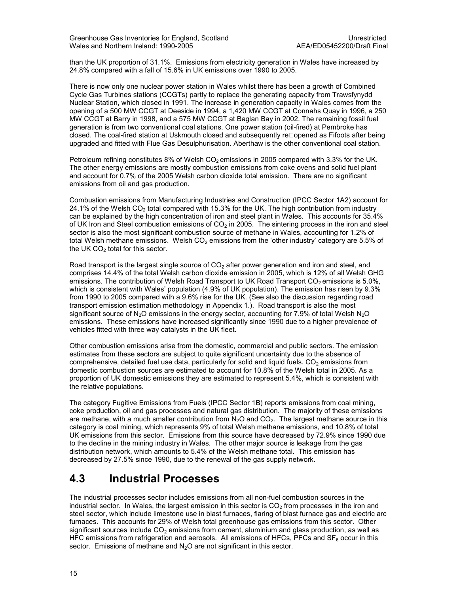than the UK proportion of 31.1%. Emissions from electricity generation in Wales have increased by 24.8% compared with a fall of 15.6% in UK emissions over 1990 to 2005.

There is now only one nuclear power station in Wales whilst there has been a growth of Combined Cycle Gas Turbines stations (CCGTs) partly to replace the generating capacity from Trawsfynydd Nuclear Station, which closed in 1991. The increase in generation capacity in Wales comes from the opening of a 500 MW CCGT at Deeside in 1994, a 1,420 MW CCGT at Connahs Quay in 1996, a 250 MW CCGT at Barry in 1998, and a 575 MW CCGT at Baglan Bay in 2002. The remaining fossil fuel generation is from two conventional coal stations. One power station (oil-fired) at Pembroke has closed. The coal-fired station at Uskmouth closed and subsequently reUopened as Fifoots after being upgraded and fitted with Flue Gas Desulphurisation. Aberthaw is the other conventional coal station.

Petroleum refining constitutes 8% of Welsh  $CO<sub>2</sub>$  emissions in 2005 compared with 3.3% for the UK. The other energy emissions are mostly combustion emissions from coke ovens and solid fuel plant and account for 0.7% of the 2005 Welsh carbon dioxide total emission. There are no significant emissions from oil and gas production.

Combustion emissions from Manufacturing Industries and Construction (IPCC Sector 1A2) account for 24.1% of the Welsh CO<sub>2</sub> total compared with 15.3% for the UK. The high contribution from industry can be explained by the high concentration of iron and steel plant in Wales. This accounts for 35.4% of UK Iron and Steel combustion emissions of  $CO<sub>2</sub>$  in 2005. The sintering process in the iron and steel sector is also the most significant combustion source of methane in Wales, accounting for 1.2% of total Welsh methane emissions. Welsh  $CO<sub>2</sub>$  emissions from the 'other industry' category are 5.5% of the UK  $CO<sub>2</sub>$  total for this sector.

Road transport is the largest single source of  $CO<sub>2</sub>$  after power generation and iron and steel, and comprises 14.4% of the total Welsh carbon dioxide emission in 2005, which is 12% of all Welsh GHG emissions. The contribution of Welsh Road Transport to UK Road Transport  $CO<sub>2</sub>$  emissions is 5.0%, which is consistent with Wales' population (4.9% of UK population). The emission has risen by 9.3% from 1990 to 2005 compared with a 9.6% rise for the UK. (See also the discussion regarding road transport emission estimation methodology in Appendix 1.). Road transport is also the most significant source of N<sub>2</sub>O emissions in the energy sector, accounting for 7.9% of total Welsh N<sub>2</sub>O emissions. These emissions have increased significantly since 1990 due to a higher prevalence of vehicles fitted with three way catalysts in the UK fleet.

Other combustion emissions arise from the domestic, commercial and public sectors. The emission estimates from these sectors are subject to quite significant uncertainty due to the absence of comprehensive, detailed fuel use data, particularly for solid and liquid fuels.  $CO<sub>2</sub>$  emissions from domestic combustion sources are estimated to account for 10.8% of the Welsh total in 2005. As a proportion of UK domestic emissions they are estimated to represent 5.4%, which is consistent with the relative populations.

The category Fugitive Emissions from Fuels (IPCC Sector 1B) reports emissions from coal mining, coke production, oil and gas processes and natural gas distribution. The majority of these emissions are methane, with a much smaller contribution from  $N<sub>2</sub>O$  and  $CO<sub>2</sub>$ . The largest methane source in this category is coal mining, which represents 9% of total Welsh methane emissions, and 10.8% of total UK emissions from this sector. Emissions from this source have decreased by 72.9% since 1990 due to the decline in the mining industry in Wales. The other major source is leakage from the gas distribution network, which amounts to 5.4% of the Welsh methane total. This emission has decreased by 27.5% since 1990, due to the renewal of the gas supply network.

### 4.3 Industrial Processes

The industrial processes sector includes emissions from all non-fuel combustion sources in the industrial sector. In Wales, the largest emission in this sector is  $CO<sub>2</sub>$  from processes in the iron and steel sector, which include limestone use in blast furnaces, flaring of blast furnace gas and electric arc furnaces. This accounts for 29% of Welsh total greenhouse gas emissions from this sector. Other significant sources include  $CO<sub>2</sub>$  emissions from cement, aluminium and glass production, as well as HFC emissions from refrigeration and aerosols. All emissions of HFCs, PFCs and  $SF<sub>6</sub>$  occur in this sector. Emissions of methane and N<sub>2</sub>O are not significant in this sector.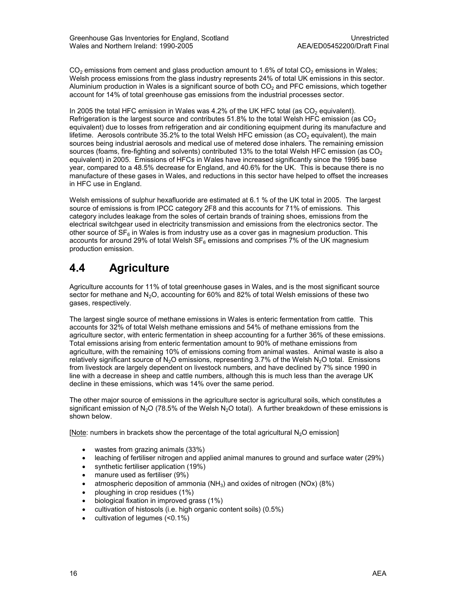$CO<sub>2</sub>$  emissions from cement and glass production amount to 1.6% of total  $CO<sub>2</sub>$  emissions in Wales; Welsh process emissions from the glass industry represents 24% of total UK emissions in this sector. Aluminium production in Wales is a significant source of both  $CO<sub>2</sub>$  and PFC emissions, which together account for 14% of total greenhouse gas emissions from the industrial processes sector.

In 2005 the total HFC emission in Wales was 4.2% of the UK HFC total (as  $CO<sub>2</sub>$  equivalent). Refrigeration is the largest source and contributes  $51.8\%$  to the total Welsh HFC emission (as CO<sub>2</sub>) equivalent) due to losses from refrigeration and air conditioning equipment during its manufacture and lifetime. Aerosols contribute  $35.2\%$  to the total Welsh HFC emission (as  $CO<sub>2</sub>$  equivalent), the main sources being industrial aerosols and medical use of metered dose inhalers. The remaining emission sources (foams, fire-fighting and solvents) contributed 13% to the total Welsh HFC emission (as  $CO<sub>2</sub>$ equivalent) in 2005. Emissions of HFCs in Wales have increased significantly since the 1995 base year, compared to a 48.5% decrease for England, and 40.6% for the UK. This is because there is no manufacture of these gases in Wales, and reductions in this sector have helped to offset the increases in HFC use in England.

Welsh emissions of sulphur hexafluoride are estimated at 6.1 % of the UK total in 2005. The largest source of emissions is from IPCC category 2F8 and this accounts for 71% of emissions. This category includes leakage from the soles of certain brands of training shoes, emissions from the electrical switchgear used in electricity transmission and emissions from the electronics sector. The other source of  $SF<sub>6</sub>$  in Wales is from industry use as a cover gas in magnesium production. This accounts for around 29% of total Welsh  $SF<sub>6</sub>$  emissions and comprises 7% of the UK magnesium production emission.

### 4.4 Agriculture

Agriculture accounts for 11% of total greenhouse gases in Wales, and is the most significant source sector for methane and  $N_2O$ , accounting for 60% and 82% of total Welsh emissions of these two gases, respectively.

The largest single source of methane emissions in Wales is enteric fermentation from cattle. This accounts for 32% of total Welsh methane emissions and 54% of methane emissions from the agriculture sector, with enteric fermentation in sheep accounting for a further 36% of these emissions. Total emissions arising from enteric fermentation amount to 90% of methane emissions from agriculture, with the remaining 10% of emissions coming from animal wastes. Animal waste is also a relatively significant source of  $N_2O$  emissions, representing 3.7% of the Welsh  $N_2O$  total. Emissions from livestock are largely dependent on livestock numbers, and have declined by 7% since 1990 in line with a decrease in sheep and cattle numbers, although this is much less than the average UK decline in these emissions, which was 14% over the same period.

The other major source of emissions in the agriculture sector is agricultural soils, which constitutes a significant emission of N<sub>2</sub>O (78.5% of the Welsh N<sub>2</sub>O total). A further breakdown of these emissions is shown below.

[Note: numbers in brackets show the percentage of the total agricultural  $N_2O$  emission]

- wastes from grazing animals (33%)
- leaching of fertiliser nitrogen and applied animal manures to ground and surface water (29%)
- synthetic fertiliser application (19%)
- manure used as fertiliser (9%)
- atmospheric deposition of ammonia ( $NH<sub>3</sub>$ ) and oxides of nitrogen (NOx) (8%)
- ploughing in crop residues (1%)
- biological fixation in improved grass (1%)
- cultivation of histosols (i.e. high organic content soils) (0.5%)
- cultivation of legumes (<0.1%)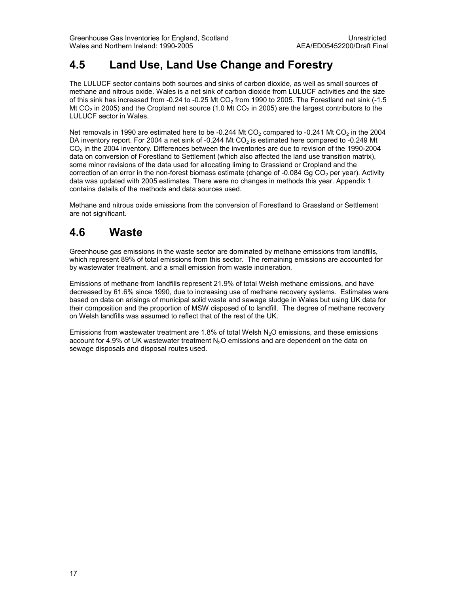### 4.5 Land Use, Land Use Change and Forestry

The LULUCF sector contains both sources and sinks of carbon dioxide, as well as small sources of methane and nitrous oxide. Wales is a net sink of carbon dioxide from LULUCF activities and the size of this sink has increased from -0.24 to -0.25 Mt CO<sub>2</sub> from 1990 to 2005. The Forestland net sink (-1.5) Mt CO<sub>2</sub> in 2005) and the Cropland net source (1.0 Mt CO<sub>2</sub> in 2005) are the largest contributors to the LULUCF sector in Wales.

Net removals in 1990 are estimated here to be -0.244 Mt  $CO<sub>2</sub>$  compared to -0.241 Mt  $CO<sub>2</sub>$  in the 2004 DA inventory report. For 2004 a net sink of -0.244 Mt CO<sub>2</sub> is estimated here compared to -0.249 Mt CO<sub>2</sub> in the 2004 inventory. Differences between the inventories are due to revision of the 1990-2004 data on conversion of Forestland to Settlement (which also affected the land use transition matrix), some minor revisions of the data used for allocating liming to Grassland or Cropland and the correction of an error in the non-forest biomass estimate (change of -0.084 Gg CO<sub>2</sub> per year). Activity data was updated with 2005 estimates. There were no changes in methods this year. Appendix 1 contains details of the methods and data sources used.

Methane and nitrous oxide emissions from the conversion of Forestland to Grassland or Settlement are not significant.

### 4.6 Waste

Greenhouse gas emissions in the waste sector are dominated by methane emissions from landfills, which represent 89% of total emissions from this sector. The remaining emissions are accounted for by wastewater treatment, and a small emission from waste incineration.

Emissions of methane from landfills represent 21.9% of total Welsh methane emissions, and have decreased by 61.6% since 1990, due to increasing use of methane recovery systems. Estimates were based on data on arisings of municipal solid waste and sewage sludge in Wales but using UK data for their composition and the proportion of MSW disposed of to landfill. The degree of methane recovery on Welsh landfills was assumed to reflect that of the rest of the UK.

Emissions from wastewater treatment are 1.8% of total Welsh N<sub>2</sub>O emissions, and these emissions account for 4.9% of UK wastewater treatment N<sub>2</sub>O emissions and are dependent on the data on sewage disposals and disposal routes used.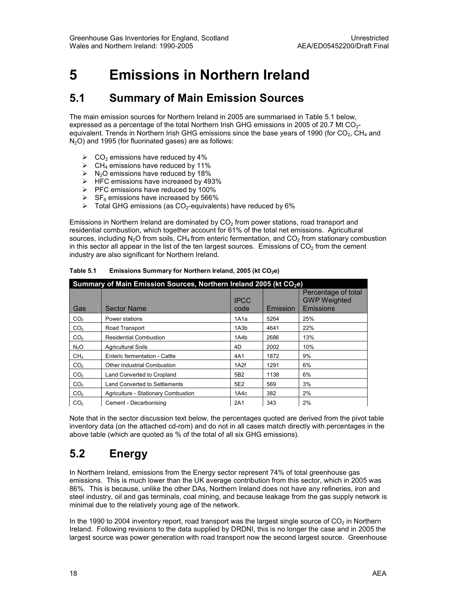## 5 Emissions in Northern Ireland

### 5.1 Summary of Main Emission Sources

The main emission sources for Northern Ireland in 2005 are summarised in Table 5.1 below, expressed as a percentage of the total Northern Irish GHG emissions in 2005 of 20.7 Mt  $CO<sub>2</sub>$ equivalent. Trends in Northern Irish GHG emissions since the base years of 1990 (for  $CO<sub>2</sub>$ , CH<sub>4</sub> and  $N<sub>2</sub>O$ ) and 1995 (for fluorinated gases) are as follows:

- $\triangleright$  CO<sub>2</sub> emissions have reduced by 4%
- $\triangleright$  CH<sub>4</sub> emissions have reduced by 11%
- $\triangleright$  N<sub>2</sub>O emissions have reduced by 18%
- $\triangleright$  HFC emissions have increased by 493%
- $\triangleright$  PFC emissions have reduced by 100%
- $\triangleright$  SF<sub>6</sub> emissions have increased by 566%
- $\triangleright$  Total GHG emissions (as CO<sub>2</sub>-equivalents) have reduced by 6%

Emissions in Northern Ireland are dominated by  $CO<sub>2</sub>$  from power stations, road transport and residential combustion, which together account for 61% of the total net emissions. Agricultural sources, including  $N_2O$  from soils, CH<sub>4</sub> from enteric fermentation, and  $CO_2$  from stationary combustion in this sector all appear in the list of the ten largest sources. Emissions of  $CO<sub>2</sub>$  from the cement industry are also significant for Northern Ireland.

| Summary of Main Emission Sources, Northern Ireland 2005 (kt CO <sub>2</sub> e) |                                      |                     |          |                                                         |  |
|--------------------------------------------------------------------------------|--------------------------------------|---------------------|----------|---------------------------------------------------------|--|
| Gas                                                                            | <b>Sector Name</b>                   | <b>IPCC</b><br>code | Emission | Percentage of total<br><b>GWP Weighted</b><br>Emissions |  |
| CO <sub>2</sub>                                                                | Power stations                       | 1A1a                | 5264     | 25%                                                     |  |
| CO <sub>2</sub>                                                                | Road Transport                       | 1A3b                | 4641     | 22%                                                     |  |
| CO <sub>2</sub>                                                                | <b>Residential Combustion</b>        | 1A4b                | 2686     | 13%                                                     |  |
| N <sub>2</sub> O                                                               | <b>Agricultural Soils</b>            | 4D                  | 2002     | 10%                                                     |  |
| CH <sub>4</sub>                                                                | Enteric fermentation - Cattle        | 4A1                 | 1872     | 9%                                                      |  |
| CO <sub>2</sub>                                                                | <b>Other Industrial Combustion</b>   | 1A <sub>2</sub> f   | 1291     | 6%                                                      |  |
| CO <sub>2</sub>                                                                | Land Converted to Cropland           | 5B <sub>2</sub>     | 1138     | 6%                                                      |  |
| CO <sub>2</sub>                                                                | <b>Land Converted to Settlements</b> | 5E2                 | 569      | 3%                                                      |  |
| CO <sub>2</sub>                                                                | Agriculture - Stationary Combustion  | 1A4c                | 382      | 2%                                                      |  |
| CO <sub>2</sub>                                                                | Cement - Decarbonising               | 2A1                 | 343      | 2%                                                      |  |

Table 5.1 Emissions Summary for Northern Ireland, 2005 (kt  $CO<sub>2</sub>e$ )

Note that in the sector discussion text below, the percentages quoted are derived from the pivot table inventory data (on the attached cd-rom) and do not in all cases match directly with percentages in the above table (which are quoted as % of the total of all six GHG emissions).

### 5.2 Energy

In Northern Ireland, emissions from the Energy sector represent 74% of total greenhouse gas emissions. This is much lower than the UK average contribution from this sector, which in 2005 was 86%. This is because, unlike the other DAs, Northern Ireland does not have any refineries, iron and steel industry, oil and gas terminals, coal mining, and because leakage from the gas supply network is minimal due to the relatively young age of the network.

In the 1990 to 2004 inventory report, road transport was the largest single source of  $CO<sub>2</sub>$  in Northern Ireland. Following revisions to the data supplied by DRDNI, this is no longer the case and in 2005 the largest source was power generation with road transport now the second largest source. Greenhouse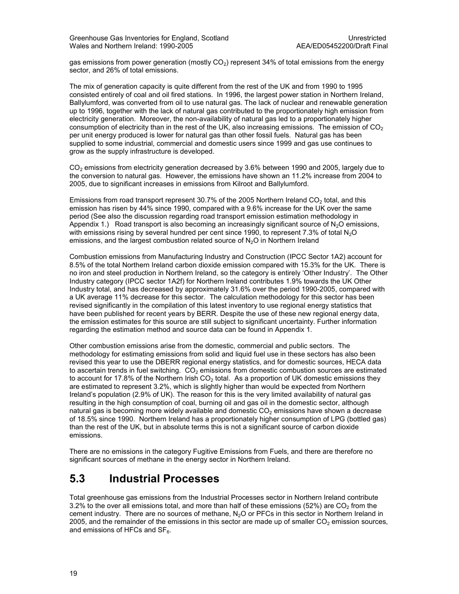gas emissions from power generation (mostly  $CO<sub>2</sub>$ ) represent 34% of total emissions from the energy sector, and 26% of total emissions.

The mix of generation capacity is quite different from the rest of the UK and from 1990 to 1995 consisted entirely of coal and oil fired stations. In 1996, the largest power station in Northern Ireland, Ballylumford, was converted from oil to use natural gas. The lack of nuclear and renewable generation up to 1996, together with the lack of natural gas contributed to the proportionately high emission from electricity generation. Moreover, the non-availability of natural gas led to a proportionately higher consumption of electricity than in the rest of the UK, also increasing emissions. The emission of  $CO<sub>2</sub>$ per unit energy produced is lower for natural gas than other fossil fuels. Natural gas has been supplied to some industrial, commercial and domestic users since 1999 and gas use continues to grow as the supply infrastructure is developed.

CO<sub>2</sub> emissions from electricity generation decreased by 3.6% between 1990 and 2005, largely due to the conversion to natural gas. However, the emissions have shown an 11.2% increase from 2004 to 2005, due to significant increases in emissions from Kilroot and Ballylumford.

Emissions from road transport represent 30.7% of the 2005 Northern Ireland  $CO<sub>2</sub>$  total, and this emission has risen by 44% since 1990, compared with a 9.6% increase for the UK over the same period (See also the discussion regarding road transport emission estimation methodology in Appendix 1.) Road transport is also becoming an increasingly significant source of  $N<sub>2</sub>O$  emissions, with emissions rising by several hundred per cent since 1990, to represent 7.3% of total  $N_2O$ emissions, and the largest combustion related source of  $N<sub>2</sub>O$  in Northern Ireland

Combustion emissions from Manufacturing Industry and Construction (IPCC Sector 1A2) account for 8.5% of the total Northern Ireland carbon dioxide emission compared with 15.3% for the UK. There is no iron and steel production in Northern Ireland, so the category is entirely 'Other Industry'. The Other Industry category (IPCC sector 1A2f) for Northern Ireland contributes 1.9% towards the UK Other Industry total, and has decreased by approximately 31.6% over the period 1990-2005, compared with a UK average 11% decrease for this sector. The calculation methodology for this sector has been revised significantly in the compilation of this latest inventory to use regional energy statistics that have been published for recent years by BERR. Despite the use of these new regional energy data, the emission estimates for this source are still subject to significant uncertainty. Further information regarding the estimation method and source data can be found in Appendix 1.

Other combustion emissions arise from the domestic, commercial and public sectors. The methodology for estimating emissions from solid and liquid fuel use in these sectors has also been revised this year to use the DBERR regional energy statistics, and for domestic sources, HECA data to ascertain trends in fuel switching.  $CO<sub>2</sub>$  emissions from domestic combustion sources are estimated to account for 17.8% of the Northern Irish  $CO<sub>2</sub>$  total. As a proportion of UK domestic emissions they are estimated to represent 3.2%, which is slightly higher than would be expected from Northern Ireland's population (2.9% of UK). The reason for this is the very limited availability of natural gas resulting in the high consumption of coal, burning oil and gas oil in the domestic sector, although natural gas is becoming more widely available and domestic  $CO<sub>2</sub>$  emissions have shown a decrease of 18.5% since 1990. Northern Ireland has a proportionately higher consumption of LPG (bottled gas) than the rest of the UK, but in absolute terms this is not a significant source of carbon dioxide emissions.

There are no emissions in the category Fugitive Emissions from Fuels, and there are therefore no significant sources of methane in the energy sector in Northern Ireland.

### 5.3 Industrial Processes

Total greenhouse gas emissions from the Industrial Processes sector in Northern Ireland contribute 3.2% to the over all emissions total, and more than half of these emissions (52%) are  $CO<sub>2</sub>$  from the cement industry. There are no sources of methane,  $N<sub>2</sub>O$  or PFCs in this sector in Northern Ireland in 2005, and the remainder of the emissions in this sector are made up of smaller  $CO<sub>2</sub>$  emission sources, and emissions of HFCs and  $SF<sub>6</sub>$ .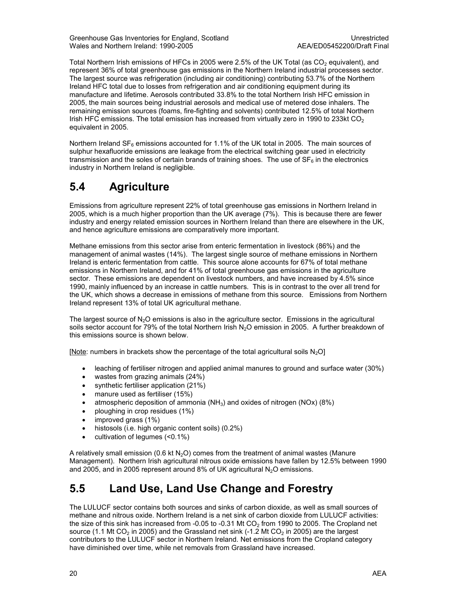Greenhouse Gas Inventories for England, Scotland<br>Wales and Northern Ireland: 1990-2005 Wales and Northern Ireland: 1990-2005

Total Northern Irish emissions of HFCs in 2005 were 2.5% of the UK Total (as CO<sub>2</sub> equivalent), and represent 36% of total greenhouse gas emissions in the Northern Ireland industrial processes sector. The largest source was refrigeration (including air conditioning) contributing 53.7% of the Northern Ireland HFC total due to losses from refrigeration and air conditioning equipment during its manufacture and lifetime. Aerosols contributed 33.8% to the total Northern Irish HFC emission in 2005, the main sources being industrial aerosols and medical use of metered dose inhalers. The remaining emission sources (foams, fire-fighting and solvents) contributed 12.5% of total Northern Irish HFC emissions. The total emission has increased from virtually zero in 1990 to 233kt CO<sub>2</sub> equivalent in 2005.

Northern Ireland  $SF_6$  emissions accounted for 1.1% of the UK total in 2005. The main sources of sulphur hexafluoride emissions are leakage from the electrical switching gear used in electricity transmission and the soles of certain brands of training shoes. The use of  $SF<sub>6</sub>$  in the electronics industry in Northern Ireland is negligible.

### 5.4 Agriculture

Emissions from agriculture represent 22% of total greenhouse gas emissions in Northern Ireland in 2005, which is a much higher proportion than the UK average (7%). This is because there are fewer industry and energy related emission sources in Northern Ireland than there are elsewhere in the UK, and hence agriculture emissions are comparatively more important.

Methane emissions from this sector arise from enteric fermentation in livestock (86%) and the management of animal wastes (14%). The largest single source of methane emissions in Northern Ireland is enteric fermentation from cattle. This source alone accounts for 67% of total methane emissions in Northern Ireland, and for 41% of total greenhouse gas emissions in the agriculture sector. These emissions are dependent on livestock numbers, and have increased by 4.5% since 1990, mainly influenced by an increase in cattle numbers. This is in contrast to the over all trend for the UK, which shows a decrease in emissions of methane from this source. Emissions from Northern Ireland represent 13% of total UK agricultural methane.

The largest source of  $N_2O$  emissions is also in the agriculture sector. Emissions in the agricultural soils sector account for 79% of the total Northern Irish N<sub>2</sub>O emission in 2005. A further breakdown of this emissions source is shown below.

[Note: numbers in brackets show the percentage of the total agricultural soils  $N_2O$ ]

- leaching of fertiliser nitrogen and applied animal manures to ground and surface water (30%)
- wastes from grazing animals (24%)
- synthetic fertiliser application (21%)
- manure used as fertiliser (15%)
- atmospheric deposition of ammonia ( $NH<sub>3</sub>$ ) and oxides of nitrogen (NOx) (8%)
- ploughing in crop residues (1%)
- improved grass (1%)
- histosols (i.e. high organic content soils) (0.2%)
- cultivation of legumes (<0.1%)

A relatively small emission (0.6 kt  $N<sub>2</sub>O$ ) comes from the treatment of animal wastes (Manure Management). Northern Irish agricultural nitrous oxide emissions have fallen by 12.5% between 1990 and 2005, and in 2005 represent around 8% of UK agricultural  $N_2O$  emissions.

### 5.5 Land Use, Land Use Change and Forestry

The LULUCF sector contains both sources and sinks of carbon dioxide, as well as small sources of methane and nitrous oxide. Northern Ireland is a net sink of carbon dioxide from LULUCF activities: the size of this sink has increased from -0.05 to -0.31 Mt  $CO<sub>2</sub>$  from 1990 to 2005. The Cropland net source (1.1 Mt CO<sub>2</sub> in 2005) and the Grassland net sink (-1.2 Mt CO<sub>2</sub> in 2005) are the largest contributors to the LULUCF sector in Northern Ireland. Net emissions from the Cropland category have diminished over time, while net removals from Grassland have increased.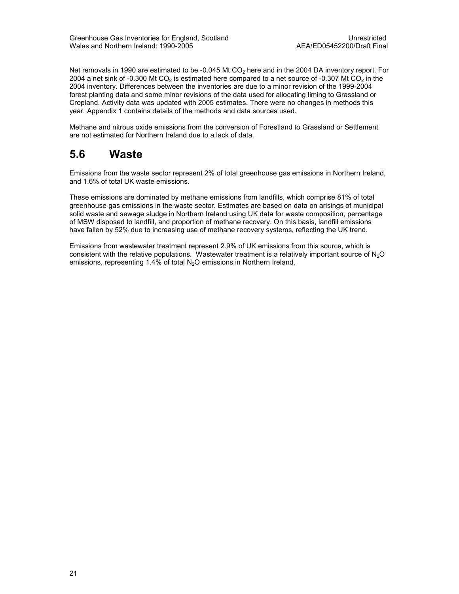Net removals in 1990 are estimated to be -0.045 Mt  $CO<sub>2</sub>$  here and in the 2004 DA inventory report. For 2004 a net sink of -0.300 Mt CO<sub>2</sub> is estimated here compared to a net source of -0.307 Mt CO<sub>2</sub> in the 2004 inventory. Differences between the inventories are due to a minor revision of the 1999-2004 forest planting data and some minor revisions of the data used for allocating liming to Grassland or Cropland. Activity data was updated with 2005 estimates. There were no changes in methods this year. Appendix 1 contains details of the methods and data sources used.

Methane and nitrous oxide emissions from the conversion of Forestland to Grassland or Settlement are not estimated for Northern Ireland due to a lack of data.

### 5.6 Waste

Emissions from the waste sector represent 2% of total greenhouse gas emissions in Northern Ireland, and 1.6% of total UK waste emissions.

These emissions are dominated by methane emissions from landfills, which comprise 81% of total greenhouse gas emissions in the waste sector. Estimates are based on data on arisings of municipal solid waste and sewage sludge in Northern Ireland using UK data for waste composition, percentage of MSW disposed to landfill, and proportion of methane recovery. On this basis, landfill emissions have fallen by 52% due to increasing use of methane recovery systems, reflecting the UK trend.

Emissions from wastewater treatment represent 2.9% of UK emissions from this source, which is consistent with the relative populations. Wastewater treatment is a relatively important source of  $N_2O$ emissions, representing 1.4% of total N<sub>2</sub>O emissions in Northern Ireland.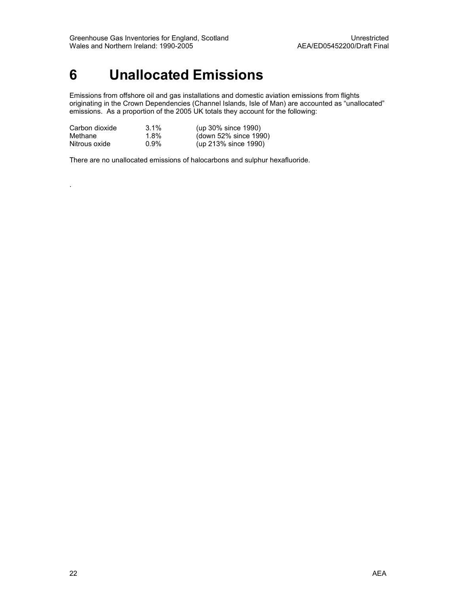## 6 Unallocated Emissions

Emissions from offshore oil and gas installations and domestic aviation emissions from flights originating in the Crown Dependencies (Channel Islands, Isle of Man) are accounted as "unallocated" emissions. As a proportion of the 2005 UK totals they account for the following:

| Carbon dioxide | $3.1\%$ | (up 30% since 1990)   |
|----------------|---------|-----------------------|
| Methane        | $1.8\%$ | (down 52% since 1990) |
| Nitrous oxide  | $0.9\%$ | (up 213% since 1990)  |

There are no unallocated emissions of halocarbons and sulphur hexafluoride.

.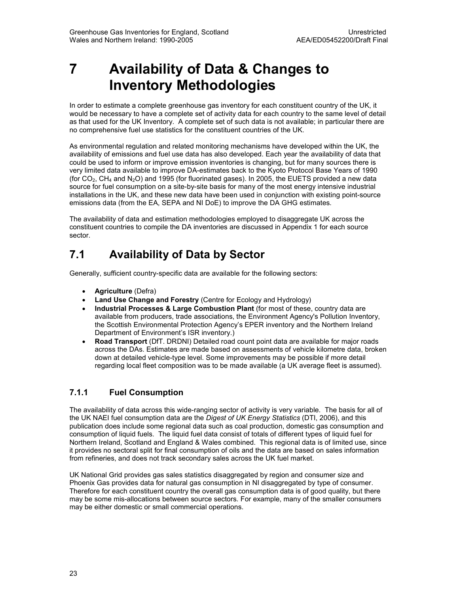## 7 Availability of Data & Changes to Inventory Methodologies

In order to estimate a complete greenhouse gas inventory for each constituent country of the UK, it would be necessary to have a complete set of activity data for each country to the same level of detail as that used for the UK Inventory. A complete set of such data is not available; in particular there are no comprehensive fuel use statistics for the constituent countries of the UK.

As environmental regulation and related monitoring mechanisms have developed within the UK, the availability of emissions and fuel use data has also developed. Each year the availability of data that could be used to inform or improve emission inventories is changing, but for many sources there is very limited data available to improve DA-estimates back to the Kyoto Protocol Base Years of 1990 (for  $CO<sub>2</sub>$ , CH<sub>4</sub> and N<sub>2</sub>O) and 1995 (for fluorinated gases). In 2005, the EUETS provided a new data source for fuel consumption on a site-by-site basis for many of the most energy intensive industrial installations in the UK, and these new data have been used in conjunction with existing point-source emissions data (from the EA, SEPA and NI DoE) to improve the DA GHG estimates.

The availability of data and estimation methodologies employed to disaggregate UK across the constituent countries to compile the DA inventories are discussed in Appendix 1 for each source sector.

### 7.1 Availability of Data by Sector

Generally, sufficient country-specific data are available for the following sectors:

- Agriculture (Defra)
- Land Use Change and Forestry (Centre for Ecology and Hydrology)
- Industrial Processes & Large Combustion Plant (for most of these, country data are available from producers, trade associations, the Environment Agency's Pollution Inventory, the Scottish Environmental Protection Agency's EPER inventory and the Northern Ireland Department of Environment's ISR inventory.)
- Road Transport (DfT. DRDNI) Detailed road count point data are available for major roads across the DAs. Estimates are made based on assessments of vehicle kilometre data, broken down at detailed vehicle-type level. Some improvements may be possible if more detail regarding local fleet composition was to be made available (a UK average fleet is assumed).

#### 7.1.1 Fuel Consumption

The availability of data across this wide-ranging sector of activity is very variable. The basis for all of the UK NAEI fuel consumption data are the Digest of UK Energy Statistics (DTI, 2006), and this publication does include some regional data such as coal production, domestic gas consumption and consumption of liquid fuels. The liquid fuel data consist of totals of different types of liquid fuel for Northern Ireland, Scotland and England & Wales combined. This regional data is of limited use, since it provides no sectoral split for final consumption of oils and the data are based on sales information from refineries, and does not track secondary sales across the UK fuel market.

UK National Grid provides gas sales statistics disaggregated by region and consumer size and Phoenix Gas provides data for natural gas consumption in NI disaggregated by type of consumer. Therefore for each constituent country the overall gas consumption data is of good quality, but there may be some mis-allocations between source sectors. For example, many of the smaller consumers may be either domestic or small commercial operations.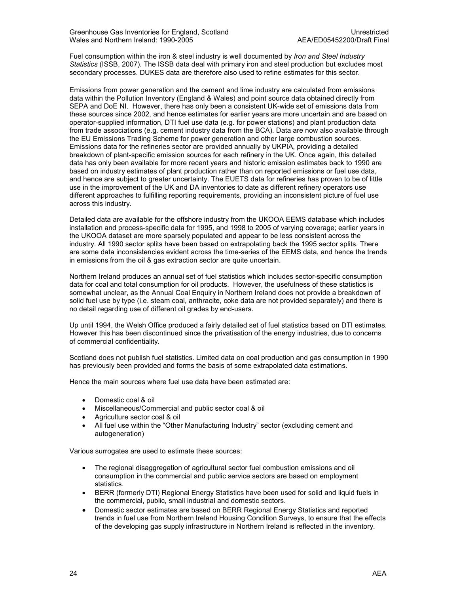Fuel consumption within the iron & steel industry is well documented by *Iron and Steel Industry* Statistics (ISSB, 2007). The ISSB data deal with primary iron and steel production but excludes most secondary processes. DUKES data are therefore also used to refine estimates for this sector.

Emissions from power generation and the cement and lime industry are calculated from emissions data within the Pollution Inventory (England & Wales) and point source data obtained directly from SEPA and DoE NI. However, there has only been a consistent UK-wide set of emissions data from these sources since 2002, and hence estimates for earlier years are more uncertain and are based on operator-supplied information, DTI fuel use data (e.g. for power stations) and plant production data from trade associations (e.g. cement industry data from the BCA). Data are now also available through the EU Emissions Trading Scheme for power generation and other large combustion sources. Emissions data for the refineries sector are provided annually by UKPIA, providing a detailed breakdown of plant-specific emission sources for each refinery in the UK. Once again, this detailed data has only been available for more recent years and historic emission estimates back to 1990 are based on industry estimates of plant production rather than on reported emissions or fuel use data, and hence are subject to greater uncertainty. The EUETS data for refineries has proven to be of little use in the improvement of the UK and DA inventories to date as different refinery operators use different approaches to fulfilling reporting requirements, providing an inconsistent picture of fuel use across this industry.

Detailed data are available for the offshore industry from the UKOOA EEMS database which includes installation and process-specific data for 1995, and 1998 to 2005 of varying coverage; earlier years in the UKOOA dataset are more sparsely populated and appear to be less consistent across the industry. All 1990 sector splits have been based on extrapolating back the 1995 sector splits. There are some data inconsistencies evident across the time-series of the EEMS data, and hence the trends in emissions from the oil & gas extraction sector are quite uncertain.

Northern Ireland produces an annual set of fuel statistics which includes sector-specific consumption data for coal and total consumption for oil products. However, the usefulness of these statistics is somewhat unclear, as the Annual Coal Enquiry in Northern Ireland does not provide a breakdown of solid fuel use by type (i.e. steam coal, anthracite, coke data are not provided separately) and there is no detail regarding use of different oil grades by end-users.

Up until 1994, the Welsh Office produced a fairly detailed set of fuel statistics based on DTI estimates. However this has been discontinued since the privatisation of the energy industries, due to concerns of commercial confidentiality.

Scotland does not publish fuel statistics. Limited data on coal production and gas consumption in 1990 has previously been provided and forms the basis of some extrapolated data estimations.

Hence the main sources where fuel use data have been estimated are:

- Domestic coal & oil
- Miscellaneous/Commercial and public sector coal & oil
- Agriculture sector coal & oil
- All fuel use within the "Other Manufacturing Industry" sector (excluding cement and autogeneration)

Various surrogates are used to estimate these sources:

- The regional disaggregation of agricultural sector fuel combustion emissions and oil consumption in the commercial and public service sectors are based on employment statistics.
- BERR (formerly DTI) Regional Energy Statistics have been used for solid and liquid fuels in the commercial, public, small industrial and domestic sectors.
- Domestic sector estimates are based on BERR Regional Energy Statistics and reported trends in fuel use from Northern Ireland Housing Condition Surveys, to ensure that the effects of the developing gas supply infrastructure in Northern Ireland is reflected in the inventory.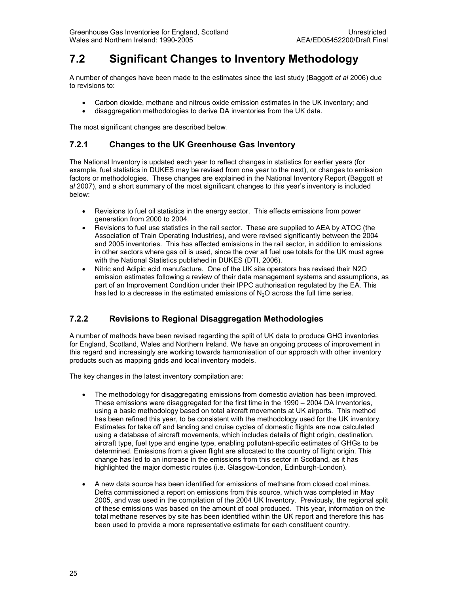### 7.2 Significant Changes to Inventory Methodology

A number of changes have been made to the estimates since the last study (Baggott et al 2006) due to revisions to:

- Carbon dioxide, methane and nitrous oxide emission estimates in the UK inventory; and
- disaggregation methodologies to derive DA inventories from the UK data.

The most significant changes are described below.

#### 7.2.1 Changes to the UK Greenhouse Gas Inventory

The National Inventory is updated each year to reflect changes in statistics for earlier years (for example, fuel statistics in DUKES may be revised from one year to the next), or changes to emission factors or methodologies. These changes are explained in the National Inventory Report (Baggott et al 2007), and a short summary of the most significant changes to this year's inventory is included below:

- Revisions to fuel oil statistics in the energy sector. This effects emissions from power generation from 2000 to 2004.
- Revisions to fuel use statistics in the rail sector. These are supplied to AEA by ATOC (the Association of Train Operating Industries), and were revised significantly between the 2004 and 2005 inventories. This has affected emissions in the rail sector, in addition to emissions in other sectors where gas oil is used, since the over all fuel use totals for the UK must agree with the National Statistics published in DUKES (DTI, 2006).
- Nitric and Adipic acid manufacture. One of the UK site operators has revised their N2O emission estimates following a review of their data management systems and assumptions, as part of an Improvement Condition under their IPPC authorisation regulated by the EA. This has led to a decrease in the estimated emissions of  $N_2O$  across the full time series.

#### 7.2.2 Revisions to Regional Disaggregation Methodologies

A number of methods have been revised regarding the split of UK data to produce GHG inventories for England, Scotland, Wales and Northern Ireland. We have an ongoing process of improvement in this regard and increasingly are working towards harmonisation of our approach with other inventory products such as mapping grids and local inventory models.

The key changes in the latest inventory compilation are:

- The methodology for disaggregating emissions from domestic aviation has been improved. These emissions were disaggregated for the first time in the 1990 – 2004 DA Inventories, using a basic methodology based on total aircraft movements at UK airports. This method has been refined this year, to be consistent with the methodology used for the UK inventory. Estimates for take off and landing and cruise cycles of domestic flights are now calculated using a database of aircraft movements, which includes details of flight origin, destination, aircraft type, fuel type and engine type, enabling pollutant-specific estimates of GHGs to be determined. Emissions from a given flight are allocated to the country of flight origin. This change has led to an increase in the emissions from this sector in Scotland, as it has highlighted the major domestic routes (i.e. Glasgow-London, Edinburgh-London).
- A new data source has been identified for emissions of methane from closed coal mines. Defra commissioned a report on emissions from this source, which was completed in May 2005, and was used in the compilation of the 2004 UK Inventory. Previously, the regional split of these emissions was based on the amount of coal produced. This year, information on the total methane reserves by site has been identified within the UK report and therefore this has been used to provide a more representative estimate for each constituent country.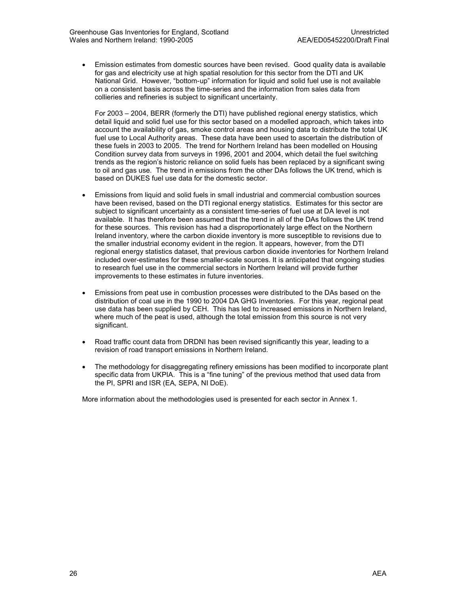• Emission estimates from domestic sources have been revised. Good quality data is available for gas and electricity use at high spatial resolution for this sector from the DTI and UK National Grid. However, "bottom-up" information for liquid and solid fuel use is not available on a consistent basis across the time-series and the information from sales data from collieries and refineries is subject to significant uncertainty.

For 2003 – 2004, BERR (formerly the DTI) have published regional energy statistics, which detail liquid and solid fuel use for this sector based on a modelled approach, which takes into account the availability of gas, smoke control areas and housing data to distribute the total UK fuel use to Local Authority areas. These data have been used to ascertain the distribution of these fuels in 2003 to 2005. The trend for Northern Ireland has been modelled on Housing Condition survey data from surveys in 1996, 2001 and 2004, which detail the fuel switching trends as the region's historic reliance on solid fuels has been replaced by a significant swing to oil and gas use. The trend in emissions from the other DAs follows the UK trend, which is based on DUKES fuel use data for the domestic sector.

- Emissions from liquid and solid fuels in small industrial and commercial combustion sources have been revised, based on the DTI regional energy statistics. Estimates for this sector are subject to significant uncertainty as a consistent time-series of fuel use at DA level is not available. It has therefore been assumed that the trend in all of the DAs follows the UK trend for these sources. This revision has had a disproportionately large effect on the Northern Ireland inventory, where the carbon dioxide inventory is more susceptible to revisions due to the smaller industrial economy evident in the region. It appears, however, from the DTI regional energy statistics dataset, that previous carbon dioxide inventories for Northern Ireland included over-estimates for these smaller-scale sources. It is anticipated that ongoing studies to research fuel use in the commercial sectors in Northern Ireland will provide further improvements to these estimates in future inventories.
- Emissions from peat use in combustion processes were distributed to the DAs based on the distribution of coal use in the 1990 to 2004 DA GHG Inventories. For this year, regional peat use data has been supplied by CEH. This has led to increased emissions in Northern Ireland, where much of the peat is used, although the total emission from this source is not very significant.
- Road traffic count data from DRDNI has been revised significantly this year, leading to a revision of road transport emissions in Northern Ireland.
- The methodology for disaggregating refinery emissions has been modified to incorporate plant specific data from UKPIA. This is a "fine tuning" of the previous method that used data from the PI, SPRI and ISR (EA, SEPA, NI DoE).

More information about the methodologies used is presented for each sector in Annex 1.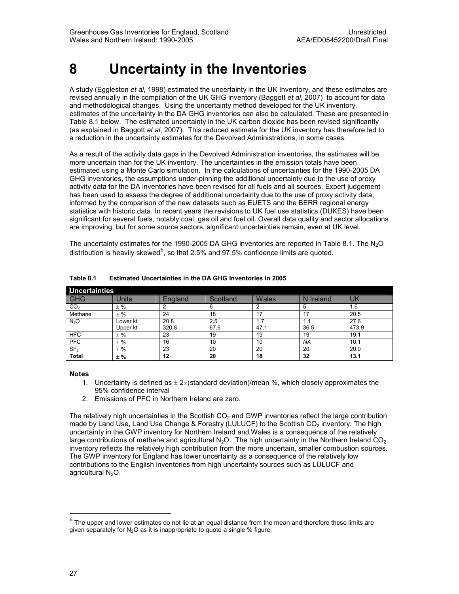## 8 Uncertainty in the Inventories

A study (Eggleston et al, 1998) estimated the uncertainty in the UK Inventory, and these estimates are revised annually in the compilation of the UK GHG inventory (Baggott et al, 2007) to account for data and methodological changes. Using the uncertainty method developed for the UK inventory, estimates of the uncertainty in the DA GHG inventories can also be calculated. These are presented in Table 8.1 below. The estimated uncertainty in the UK carbon dioxide has been revised significantly (as explained in Baggott et al, 2007). This reduced estimate for the UK inventory has therefore led to a reduction in the uncertainty estimates for the Devolved Administrations, in some cases.

As a result of the activity data gaps in the Devolved Administration inventories, the estimates will be more uncertain than for the UK inventory. The uncertainties in the emission totals have been estimated using a Monte Carlo simulation. In the calculations of uncertainties for the 1990-2005 DA GHG inventories, the assumptions under-pinning the additional uncertainty due to the use of proxy activity data for the DA inventories have been revised for all fuels and all sources. Expert judgement has been used to assess the degree of additional uncertainty due to the use of proxy activity data, informed by the comparison of the new datasets such as EUETS and the BERR regional energy statistics with historic data. In recent years the revisions to UK fuel use statistics (DUKES) have been significant for several fuels, notably coal, gas oil and fuel oil. Overall data quality and sector allocations are improving, but for some source sectors, significant uncertainties remain, even at UK level.

The uncertainty estimates for the 1990-2005 DA GHG inventories are reported in Table 8.1. The N<sub>2</sub>O distribution is heavily skewed $^6$ , so that 2.5% and 97.5% confidence limits are quoted.

| Uncertainties    |          |         |          |       |           |       |  |
|------------------|----------|---------|----------|-------|-----------|-------|--|
| <b>GHG</b>       | Units    | England | Scotland | Wales | N Ireland | UK    |  |
| CO <sub>2</sub>  | $±$ %    | 2       | 6        |       | 5         | 1.6   |  |
| Methane          | $±$ %    | 24      | 18       | 17    | 17        | 20.5  |  |
| N <sub>2</sub> O | Lower kt | 20.8    | 2.5      | 1.7   | 1.1       | 27.6  |  |
|                  | Upper kt | 320.8   | 67.6     | 47.1  | 36.5      | 473.9 |  |
| <b>HFC</b>       | $±$ %    | 23      | 19       | 19    | 19        | 19.1  |  |
| <b>PFC</b>       | $±$ %    | 16      | 10       | 10    | NA        | 10.1  |  |
| SF <sub>6</sub>  | $±$ %    | 23      | 20       | 20    | 20        | 20.0  |  |
| <b>Total</b>     | $±$ %    | 12      | 20       | 18    | 32        | 13.1  |  |

Table 8.1 Estimated Uncertainties in the DA GHG Inventories in 2005

#### Notes

- 1. Uncertainty is defined as  $\pm 2\times$ (standard deviation)/mean %, which closely approximates the 95% confidence interval
- 2. Emissions of PFC in Northern Ireland are zero.

The relatively high uncertainties in the Scottish  $CO<sub>2</sub>$  and GWP inventories reflect the large contribution made by Land Use, Land Use Change & Forestry (LULUCF) to the Scottish  $CO<sub>2</sub>$  inventory. The high uncertainty in the GWP inventory for Northern Ireland and Wales is a consequence of the relatively large contributions of methane and agricultural  $N_2O$ . The high uncertainty in the Northern Ireland  $CO<sub>2</sub>$ inventory reflects the relatively high contribution from the more uncertain, smaller combustion sources. The GWP inventory for England has lower uncertainty as a consequence of the relatively low contributions to the English inventories from high uncertainty sources such as LULUCF and agricultural  $N_2O$ .

1

 $6$  The upper and lower estimates do not lie at an equal distance from the mean and therefore these limits are given separately for  $N_2O$  as it is inappropriate to quote a single % figure.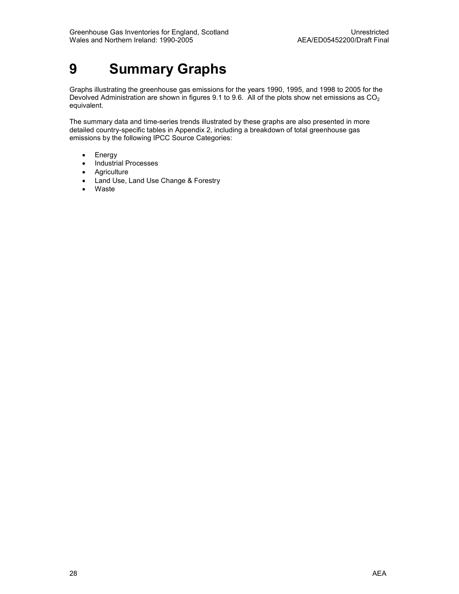## 9 Summary Graphs

Graphs illustrating the greenhouse gas emissions for the years 1990, 1995, and 1998 to 2005 for the Devolved Administration are shown in figures 9.1 to 9.6. All of the plots show net emissions as  $CO<sub>2</sub>$ equivalent.

The summary data and time-series trends illustrated by these graphs are also presented in more detailed country-specific tables in Appendix 2, including a breakdown of total greenhouse gas emissions by the following IPCC Source Categories:

- Energy
- Industrial Processes
- Agriculture
- Land Use, Land Use Change & Forestry
- Waste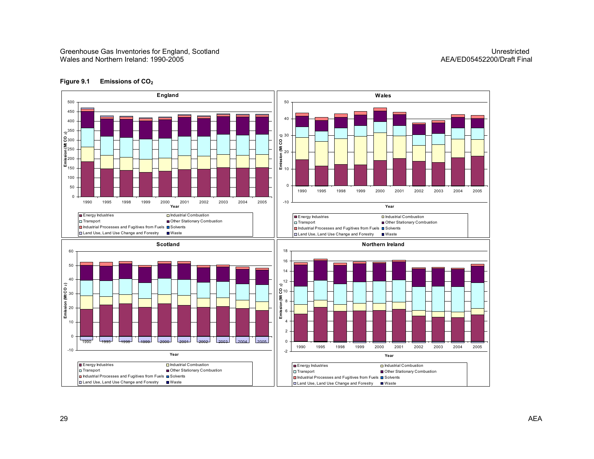#### Greenhouse Gas Inventories for England, Scotland Unrestricted Unrestricted Unrestricted Unrestricted Wales and Northern Ireland: 1990-2005

## AEA/ED05452200/Draft Final



#### Figure 9.1 Emissions of CO<sub>2</sub>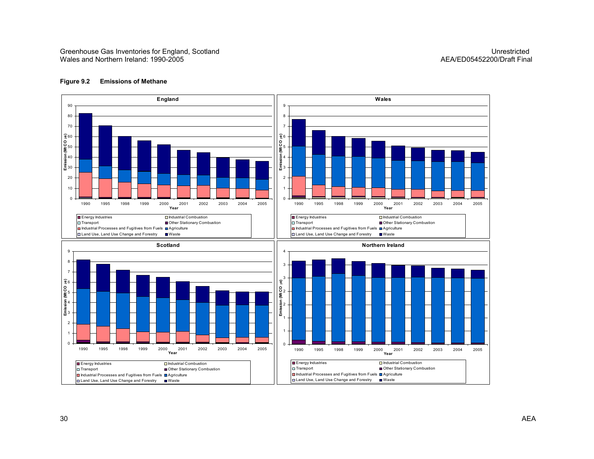

#### Figure 9.2 Emissions of Methane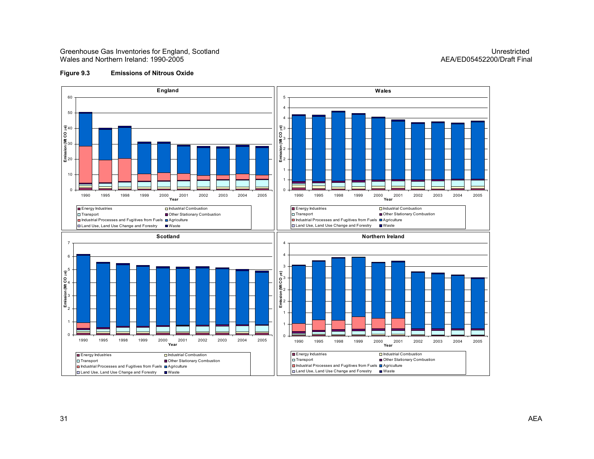Greenhouse Gas Inventories for England, Scotland Unrestricted Unrestricted Unrestricted Unrestricted Wales and Northern Ireland: 1990-2005

## AEA/ED05452200/Draft Final

#### Figure 9.3 Emissions of Nitrous Oxide

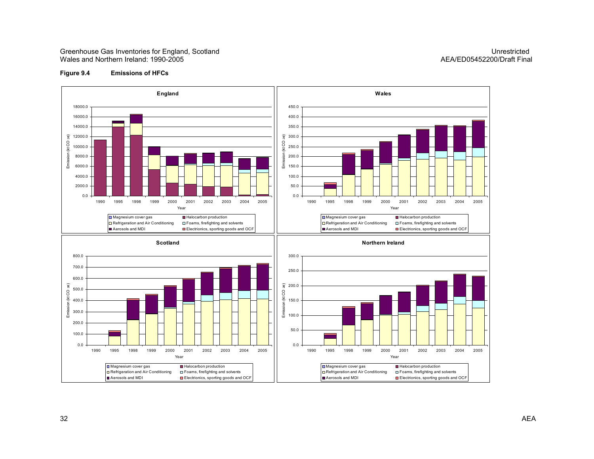Greenhouse Gas Inventories for England, Scotland Unrestricted Unrestricted Unrestricted Unrestricted Wales and Northern Ireland: 1990-2005

## AEA/ED05452200/Draft Final

#### Figure 9.4 Emissions of HFCs

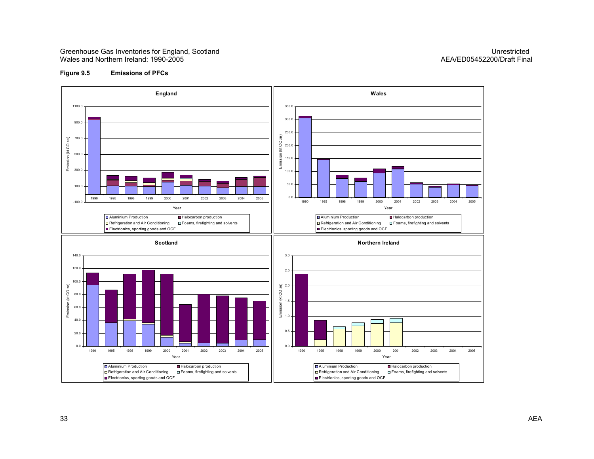#### Greenhouse Gas Inventories for England, Scotland Communication Communication Communication Communication Communication Communication Communication Communication Communication Communication Communication Communication Commu Wales and Northern Ireland: 1990-2005

## AEA/ED05452200/Draft Final

#### Figure 9.5 Emissions of PFCs

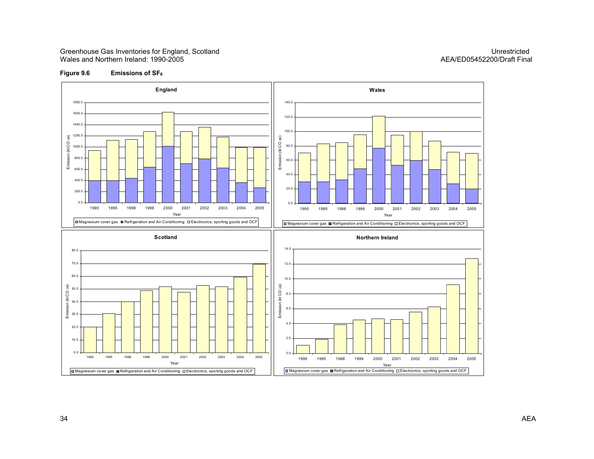#### Greenhouse Gas Inventories for England, Scotland Communication Communication Communication Communication Communication Communication Communication Communication Communication Communication Communication Communication Commu Wales and Northern Ireland: 1990-2005

## AEA/ED05452200/Draft Final

#### Figure 9.6 Emissions of  $SF_6$

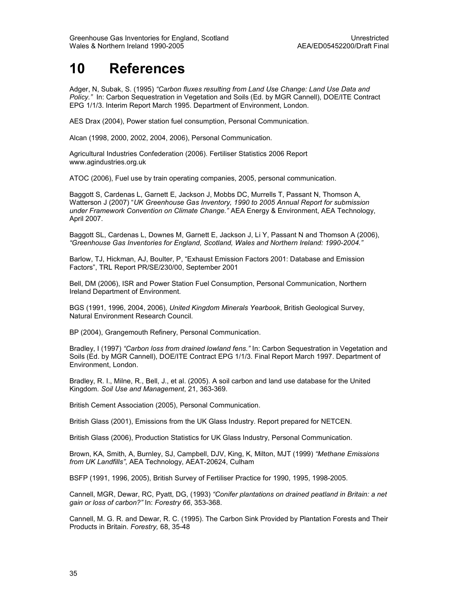## 10 References

Adger, N, Subak, S. (1995) "Carbon fluxes resulting from Land Use Change: Land Use Data and Policy." In: Carbon Sequestration in Vegetation and Soils (Ed. by MGR Cannell), DOE/ITE Contract EPG 1/1/3. Interim Report March 1995. Department of Environment, London.

AES Drax (2004), Power station fuel consumption, Personal Communication.

Alcan (1998, 2000, 2002, 2004, 2006), Personal Communication.

Agricultural Industries Confederation (2006). Fertiliser Statistics 2006 Report www.agindustries.org.uk

ATOC (2006), Fuel use by train operating companies, 2005, personal communication.

Baggott S, Cardenas L, Garnett E, Jackson J, Mobbs DC, Murrells T, Passant N, Thomson A, Watterson J (2007) "UK Greenhouse Gas Inventory, 1990 to 2005 Annual Report for submission under Framework Convention on Climate Change." AEA Energy & Environment, AEA Technology, April 2007.

Baggott SL, Cardenas L, Downes M, Garnett E, Jackson J, Li Y, Passant N and Thomson A (2006), "Greenhouse Gas Inventories for England, Scotland, Wales and Northern Ireland: 1990-2004."

Barlow, TJ, Hickman, AJ, Boulter, P, "Exhaust Emission Factors 2001: Database and Emission Factors", TRL Report PR/SE/230/00, September 2001

Bell, DM (2006), ISR and Power Station Fuel Consumption, Personal Communication, Northern Ireland Department of Environment.

BGS (1991, 1996, 2004, 2006), United Kingdom Minerals Yearbook, British Geological Survey, Natural Environment Research Council.

BP (2004), Grangemouth Refinery, Personal Communication.

Bradley, I (1997) "Carbon loss from drained lowland fens." In: Carbon Sequestration in Vegetation and Soils (Ed. by MGR Cannell), DOE/ITE Contract EPG 1/1/3. Final Report March 1997. Department of Environment, London.

Bradley, R. I., Milne, R., Bell, J., et al. (2005). A soil carbon and land use database for the United Kingdom. Soil Use and Management, 21, 363-369.

British Cement Association (2005), Personal Communication.

British Glass (2001), Emissions from the UK Glass Industry. Report prepared for NETCEN.

British Glass (2006), Production Statistics for UK Glass Industry, Personal Communication.

Brown, KA, Smith, A, Burnley, SJ, Campbell, DJV, King, K, Milton, MJT (1999) "Methane Emissions from UK Landfills", AEA Technology, AEAT-20624, Culham

BSFP (1991, 1996, 2005), British Survey of Fertiliser Practice for 1990, 1995, 1998-2005.

Cannell, MGR, Dewar, RC, Pyatt, DG, (1993) "Conifer plantations on drained peatland in Britain: a net gain or loss of carbon?" In: Forestry 66, 353-368.

Cannell, M. G. R. and Dewar, R. C. (1995). The Carbon Sink Provided by Plantation Forests and Their Products in Britain. Forestry, 68, 35-48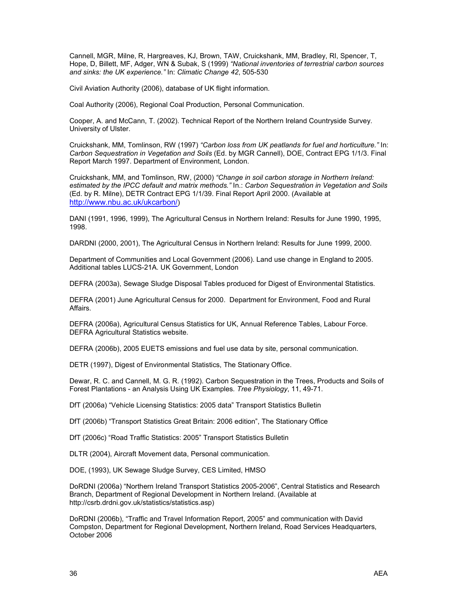Cannell, MGR, Milne, R, Hargreaves, KJ, Brown, TAW, Cruickshank, MM, Bradley, RI, Spencer, T, Hope, D, Billett, MF, Adger, WN & Subak, S (1999) "National inventories of terrestrial carbon sources and sinks: the UK experience." In: Climatic Change 42, 505-530

Civil Aviation Authority (2006), database of UK flight information.

Coal Authority (2006), Regional Coal Production, Personal Communication.

Cooper, A. and McCann, T. (2002). Technical Report of the Northern Ireland Countryside Survey. University of Ulster.

Cruickshank, MM, Tomlinson, RW (1997) "Carbon loss from UK peatlands for fuel and horticulture." In: Carbon Sequestration in Vegetation and Soils (Ed. by MGR Cannell), DOE, Contract EPG 1/1/3. Final Report March 1997. Department of Environment, London.

Cruickshank, MM, and Tomlinson, RW, (2000) "Change in soil carbon storage in Northern Ireland: estimated by the IPCC default and matrix methods." In.: Carbon Sequestration in Vegetation and Soils (Ed. by R. Milne), DETR Contract EPG 1/1/39. Final Report April 2000. (Available at http://www.nbu.ac.uk/ukcarbon/)

DANI (1991, 1996, 1999), The Agricultural Census in Northern Ireland: Results for June 1990, 1995, 1998.

DARDNI (2000, 2001), The Agricultural Census in Northern Ireland: Results for June 1999, 2000.

Department of Communities and Local Government (2006). Land use change in England to 2005. Additional tables LUCS-21A. UK Government, London

DEFRA (2003a), Sewage Sludge Disposal Tables produced for Digest of Environmental Statistics.

DEFRA (2001) June Agricultural Census for 2000. Department for Environment, Food and Rural Affairs.

DEFRA (2006a), Agricultural Census Statistics for UK, Annual Reference Tables, Labour Force. DEFRA Agricultural Statistics website.

DEFRA (2006b), 2005 EUETS emissions and fuel use data by site, personal communication.

DETR (1997), Digest of Environmental Statistics, The Stationary Office.

Dewar, R. C. and Cannell, M. G. R. (1992). Carbon Sequestration in the Trees, Products and Soils of Forest Plantations - an Analysis Using UK Examples. Tree Physiology, 11, 49-71.

DfT (2006a) "Vehicle Licensing Statistics: 2005 data" Transport Statistics Bulletin

DfT (2006b) "Transport Statistics Great Britain: 2006 edition", The Stationary Office

DfT (2006c) "Road Traffic Statistics: 2005" Transport Statistics Bulletin

DLTR (2004), Aircraft Movement data, Personal communication.

DOE, (1993), UK Sewage Sludge Survey, CES Limited, HMSO

DoRDNI (2006a) "Northern Ireland Transport Statistics 2005-2006", Central Statistics and Research Branch, Department of Regional Development in Northern Ireland. (Available at http://csrb.drdni.gov.uk/statistics/statistics.asp)

DoRDNI (2006b), "Traffic and Travel Information Report, 2005" and communication with David Compston, Department for Regional Development, Northern Ireland, Road Services Headquarters, October 2006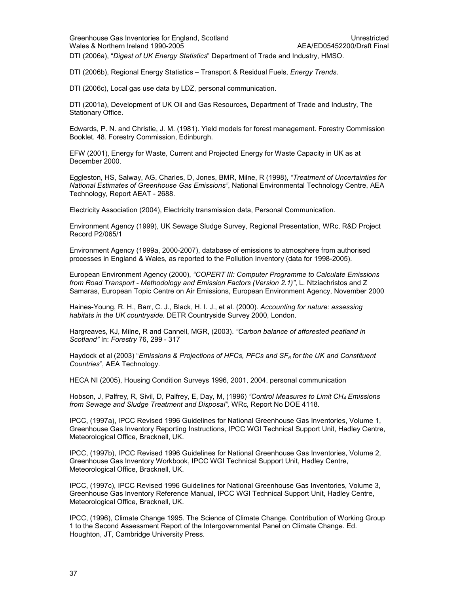DTI (2006a), "Digest of UK Energy Statistics" Department of Trade and Industry, HMSO.

DTI (2006b), Regional Energy Statistics – Transport & Residual Fuels, Energy Trends.

DTI (2006c), Local gas use data by LDZ, personal communication.

DTI (2001a), Development of UK Oil and Gas Resources, Department of Trade and Industry, The Stationary Office.

Edwards, P. N. and Christie, J. M. (1981). Yield models for forest management. Forestry Commission Booklet. 48. Forestry Commission, Edinburgh.

EFW (2001), Energy for Waste, Current and Projected Energy for Waste Capacity in UK as at December 2000.

Eggleston, HS, Salway, AG, Charles, D, Jones, BMR, Milne, R (1998), "Treatment of Uncertainties for National Estimates of Greenhouse Gas Emissions", National Environmental Technology Centre, AEA Technology, Report AEAT - 2688.

Electricity Association (2004), Electricity transmission data, Personal Communication.

Environment Agency (1999), UK Sewage Sludge Survey, Regional Presentation, WRc, R&D Project Record P2/065/1

Environment Agency (1999a, 2000-2007), database of emissions to atmosphere from authorised processes in England & Wales, as reported to the Pollution Inventory (data for 1998-2005).

European Environment Agency (2000), "COPERT III: Computer Programme to Calculate Emissions from Road Transport - Methodology and Emission Factors (Version 2.1)", L. Ntziachristos and Z Samaras, European Topic Centre on Air Emissions, European Environment Agency, November 2000

Haines-Young, R. H., Barr, C. J., Black, H. I. J., et al. (2000). Accounting for nature: assessing habitats in the UK countryside. DETR Countryside Survey 2000, London.

Hargreaves, KJ, Milne, R and Cannell, MGR, (2003). "Carbon balance of afforested peatland in Scotland" In: Forestry 76, 299 - 317

Haydock et al (2003) "Emissions & Projections of HFCs, PFCs and  $SF<sub>6</sub>$  for the UK and Constituent Countries", AEA Technology.

HECA NI (2005), Housing Condition Surveys 1996, 2001, 2004, personal communication

Hobson, J, Palfrey, R, Sivil, D, Palfrey, E, Day, M, (1996) "Control Measures to Limit CH<sub>4</sub> Emissions from Sewage and Sludge Treatment and Disposal", WRc, Report No DOE 4118.

IPCC, (1997a), IPCC Revised 1996 Guidelines for National Greenhouse Gas Inventories, Volume 1, Greenhouse Gas Inventory Reporting Instructions, IPCC WGI Technical Support Unit, Hadley Centre, Meteorological Office, Bracknell, UK.

IPCC, (1997b), IPCC Revised 1996 Guidelines for National Greenhouse Gas Inventories, Volume 2, Greenhouse Gas Inventory Workbook, IPCC WGI Technical Support Unit, Hadley Centre, Meteorological Office, Bracknell, UK.

IPCC, (1997c), IPCC Revised 1996 Guidelines for National Greenhouse Gas Inventories, Volume 3, Greenhouse Gas Inventory Reference Manual, IPCC WGI Technical Support Unit, Hadley Centre, Meteorological Office, Bracknell, UK.

IPCC, (1996), Climate Change 1995. The Science of Climate Change. Contribution of Working Group 1 to the Second Assessment Report of the Intergovernmental Panel on Climate Change. Ed. Houghton, JT, Cambridge University Press.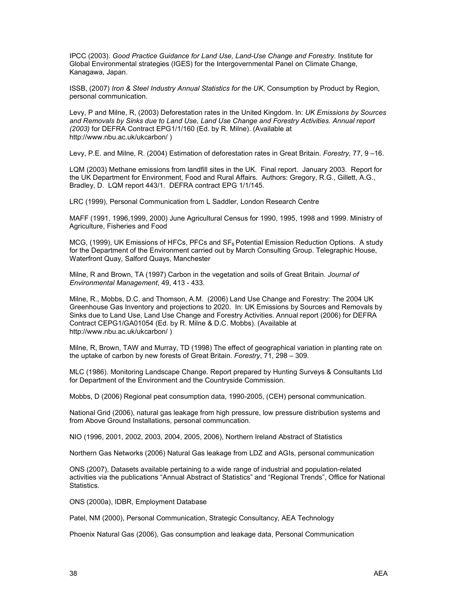IPCC (2003). Good Practice Guidance for Land Use, Land-Use Change and Forestry. Institute for Global Environmental strategies (IGES) for the Intergovernmental Panel on Climate Change, Kanagawa, Japan.

ISSB, (2007) Iron & Steel Industry Annual Statistics for the UK, Consumption by Product by Region, personal communication.

Levy, P and Milne, R, (2003) Deforestation rates in the United Kingdom. In: UK Emissions by Sources and Removals by Sinks due to Land Use, Land Use Change and Forestry Activities. Annual report (2003) for DEFRA Contract EPG1/1/160 (Ed. by R. Milne). (Available at http://www.nbu.ac.uk/ukcarbon/ )

Levy, P.E. and Milne, R. (2004) Estimation of deforestation rates in Great Britain. Forestry, 77, 9 –16.

LQM (2003) Methane emissions from landfill sites in the UK. Final report. January 2003. Report for the UK Department for Environment, Food and Rural Affairs. Authors: Gregory, R.G., Gillett, A.G., Bradley, D. LQM report 443/1. DEFRA contract EPG 1/1/145.

LRC (1999), Personal Communication from L Saddler, London Research Centre

MAFF (1991, 1996,1999, 2000) June Agricultural Census for 1990, 1995, 1998 and 1999. Ministry of Agriculture, Fisheries and Food

MCG, (1999), UK Emissions of HFCs, PFCs and  $SF_6$  Potential Emission Reduction Options. A study for the Department of the Environment carried out by March Consulting Group. Telegraphic House, Waterfront Quay, Salford Quays, Manchester

Milne, R and Brown, TA (1997) Carbon in the vegetation and soils of Great Britain. Journal of Environmental Management, 49, 413 - 433.

Milne, R., Mobbs, D.C. and Thomson, A.M. (2006) Land Use Change and Forestry: The 2004 UK Greenhouse Gas Inventory and projections to 2020. In: UK Emissions by Sources and Removals by Sinks due to Land Use, Land Use Change and Forestry Activities. Annual report (2006) for DEFRA Contract CEPG1/GA01054 (Ed. by R. Milne & D.C. Mobbs). (Available at http://www.nbu.ac.uk/ukcarbon/ )

Milne, R, Brown, TAW and Murray, TD (1998) The effect of geographical variation in planting rate on the uptake of carbon by new forests of Great Britain. Forestry, 71, 298 – 309.

MLC (1986). Monitoring Landscape Change. Report prepared by Hunting Surveys & Consultants Ltd for Department of the Environment and the Countryside Commission.

Mobbs, D (2006) Regional peat consumption data, 1990-2005, (CEH) personal communication.

National Grid (2006), natural gas leakage from high pressure, low pressure distribution systems and from Above Ground Installations, personal communcation.

NIO (1996, 2001, 2002, 2003, 2004, 2005, 2006), Northern Ireland Abstract of Statistics

Northern Gas Networks (2006) Natural Gas leakage from LDZ and AGIs, personal communication

ONS (2007), Datasets available pertaining to a wide range of industrial and population-related activities via the publications "Annual Abstract of Statistics" and "Regional Trends", Office for National Statistics.

ONS (2000a), IDBR, Employment Database

Patel, NM (2000), Personal Communication, Strategic Consultancy, AEA Technology

Phoenix Natural Gas (2006), Gas consumption and leakage data, Personal Communication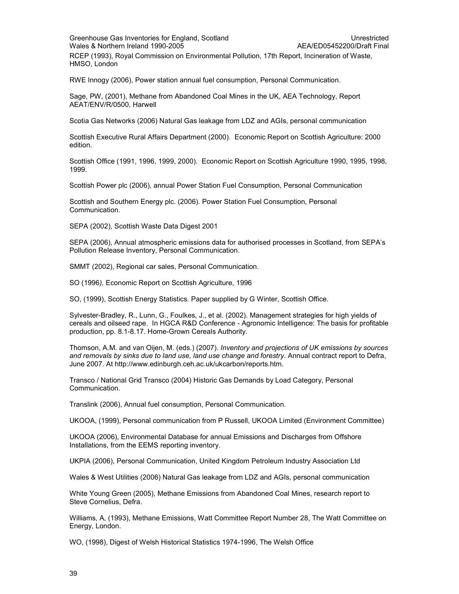#### Greenhouse Gas Inventories for England, Scotland Unrestricted Unrestricted Wales & Northern Ireland 1990-2005 AEA/ED05452200/Draft Final

RCEP (1993), Royal Commission on Environmental Pollution, 17th Report, Incineration of Waste, HMSO, London

RWE Innogy (2006), Power station annual fuel consumption, Personal Communication.

Sage, PW, (2001), Methane from Abandoned Coal Mines in the UK, AEA Technology, Report AEAT/ENV/R/0500, Harwell

Scotia Gas Networks (2006) Natural Gas leakage from LDZ and AGIs, personal communication

Scottish Executive Rural Affairs Department (2000). Economic Report on Scottish Agriculture: 2000 edition.

Scottish Office (1991, 1996, 1999, 2000). Economic Report on Scottish Agriculture 1990, 1995, 1998, 1999.

Scottish Power plc (2006), annual Power Station Fuel Consumption, Personal Communication

Scottish and Southern Energy plc. (2006). Power Station Fuel Consumption, Personal Communication.

SEPA (2002), Scottish Waste Data Digest 2001

SEPA (2006), Annual atmospheric emissions data for authorised processes in Scotland, from SEPA's Pollution Release Inventory, Personal Communication.

SMMT (2002), Regional car sales, Personal Communication.

SO (1996), Economic Report on Scottish Agriculture, 1996

SO, (1999), Scottish Energy Statistics. Paper supplied by G Winter, Scottish Office.

Sylvester-Bradley, R., Lunn, G., Foulkes, J., et al. (2002). Management strategies for high yields of cereals and oilseed rape. In HGCA R&D Conference - Agronomic Intelligence: The basis for profitable production, pp. 8.1-8.17. Home-Grown Cereals Authority.

Thomson, A.M. and van Oijen, M. (eds.) (2007). Inventory and projections of UK emissions by sources and removals by sinks due to land use, land use change and forestry. Annual contract report to Defra, June 2007. At http://www.edinburgh.ceh.ac.uk/ukcarbon/reports.htm.

Transco / National Grid Transco (2004) Historic Gas Demands by Load Category, Personal Communication.

Translink (2006), Annual fuel consumption, Personal Communication.

UKOOA, (1999), Personal communication from P Russell, UKOOA Limited (Environment Committee)

UKOOA (2006), Environmental Database for annual Emissions and Discharges from Offshore Installations, from the EEMS reporting inventory.

UKPIA (2006), Personal Communication, United Kingdom Petroleum Industry Association Ltd

Wales & West Utilities (2006) Natural Gas leakage from LDZ and AGIs, personal communication

White Young Green (2005), Methane Emissions from Abandoned Coal Mines, research report to Steve Cornelius, Defra.

Williams, A, (1993), Methane Emissions, Watt Committee Report Number 28, The Watt Committee on Energy, London.

WO, (1998), Digest of Welsh Historical Statistics 1974-1996, The Welsh Office